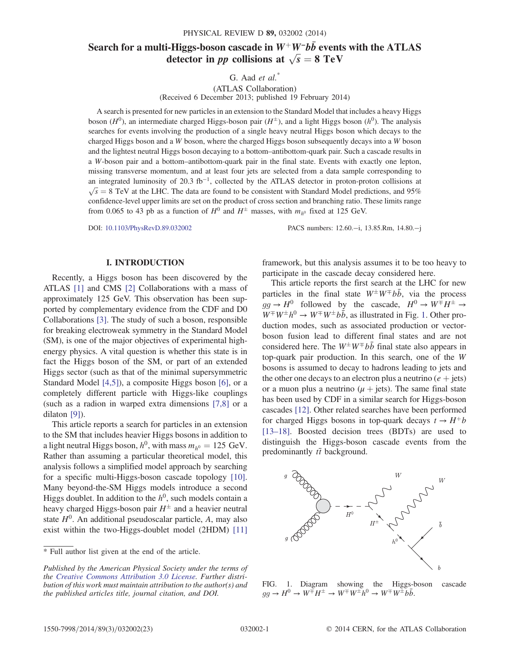# Search for a multi-Higgs-boson cascade in W<sup>+</sup>W<sup>−</sup>bb≀ events with the ATLAS detector in *pp* collisions at  $\sqrt{s} = 8 \text{ TeV}$

G. Aad  $et \ al.^*$ 

(ATLAS Collaboration) (Received 6 December 2013; published 19 February 2014)

A search is presented for new particles in an extension to the Standard Model that includes a heavy Higgs boson ( $H^0$ ), an intermediate charged Higgs-boson pair ( $H^{\pm}$ ), and a light Higgs boson ( $h^0$ ). The analysis searches for events involving the production of a single heavy neutral Higgs boson which decays to the charged Higgs boson and a W boson, where the charged Higgs boson subsequently decays into a W boson and the lightest neutral Higgs boson decaying to a bottom–antibottom-quark pair. Such a cascade results in a W-boson pair and a bottom–antibottom-quark pair in the final state. Events with exactly one lepton, missing transverse momentum, and at least four jets are selected from a data sample corresponding to an integrated luminosity of 20.3 fb<sup>-1</sup>, collected by the ATLAS detector in proton-proton collisions at  $\sqrt{s} = 8$  TeV at the LHC. The data are found to be consistent with Standard Model predictions, and 95% confidence-level upper limits are set on the product of cross section and branching ratio. These limits range from 0.065 to 43 pb as a function of  $H^0$  and  $H^{\pm}$  masses, with  $m_{h^0}$  fixed at 125 GeV.

DOI: [10.1103/PhysRevD.89.032002](http://dx.doi.org/10.1103/PhysRevD.89.032002) PACS numbers: 12.60.−i, 13.85.Rm, 14.80.−j

#### I. INTRODUCTION

Recently, a Higgs boson has been discovered by the ATLAS [\[1\]](#page-9-0) and CMS [\[2\]](#page-9-1) Collaborations with a mass of approximately 125 GeV. This observation has been supported by complementary evidence from the CDF and D0 Collaborations [\[3\]](#page-9-2). The study of such a boson, responsible for breaking electroweak symmetry in the Standard Model (SM), is one of the major objectives of experimental highenergy physics. A vital question is whether this state is in fact the Higgs boson of the SM, or part of an extended Higgs sector (such as that of the minimal supersymmetric Standard Model [\[4,5\]\)](#page-9-3), a composite Higgs boson [\[6\],](#page-9-4) or a completely different particle with Higgs-like couplings (such as a radion in warped extra dimensions [\[7,8\]](#page-9-5) or a dilaton [\[9\]\)](#page-9-6).

This article reports a search for particles in an extension to the SM that includes heavier Higgs bosons in addition to a light neutral Higgs boson,  $h^0$ , with mass  $m_{h^0} = 125$  GeV. Rather than assuming a particular theoretical model, this analysis follows a simplified model approach by searching for a specific multi-Higgs-boson cascade topology [\[10\]](#page-9-7). Many beyond-the-SM Higgs models introduce a second Higgs doublet. In addition to the  $h^0$ , such models contain a heavy charged Higgs-boson pair  $H^{\pm}$  and a heavier neutral state  $H<sup>0</sup>$ . An additional pseudoscalar particle, A, may also exist within the two-Higgs-doublet model (2HDM) [\[11\]](#page-9-8)

\* Full author list given at the end of the article.

framework, but this analysis assumes it to be too heavy to participate in the cascade decay considered here.

This article reports the first search at the LHC for new particles in the final state  $W^{\pm}W^{\mp}b\bar{b}$ , via the process  $gg \to H^0$  followed by the cascade,  $H^0 \to W^{\pm} H^{\pm} \to$  $W^{\pm}W^{\pm}h^0 \rightarrow W^{\mp}W^{\pm}b\bar{b}$ , as illustrated in Fig. [1](#page-0-0). Other production modes, such as associated production or vectorboson fusion lead to different final states and are not considered here. The  $W^{\pm}W^{\mp}bb$  final state also appears in top-quark pair production. In this search, one of the W bosons is assumed to decay to hadrons leading to jets and the other one decays to an electron plus a neutrino ( $e +$  jets) or a muon plus a neutrino ( $\mu$  + jets). The same final state has been used by CDF in a similar search for Higgs-boson cascades [\[12\]](#page-9-9). Other related searches have been performed for charged Higgs bosons in top-quark decays  $t \to H^+b$ [\[13](#page-9-10)–18]. Boosted decision trees (BDTs) are used to distinguish the Higgs-boson cascade events from the predominantly  $t\bar{t}$  background.

<span id="page-0-0"></span>

FIG. 1. Diagram showing the Higgs-boson cascade  $gg \to H^0 \to W^{\mp} H^{\pm} \to W^{\mp} W^{\pm} h^0 \to W^{\mp} W^{\pm} b \bar{b}.$ 

Published by the American Physical Society under the terms of the [Creative Commons Attribution 3.0 License.](http://creativecommons.org/licenses/by/3.0/) Further distribution of this work must maintain attribution to the author(s) and the published articles title, journal citation, and DOI.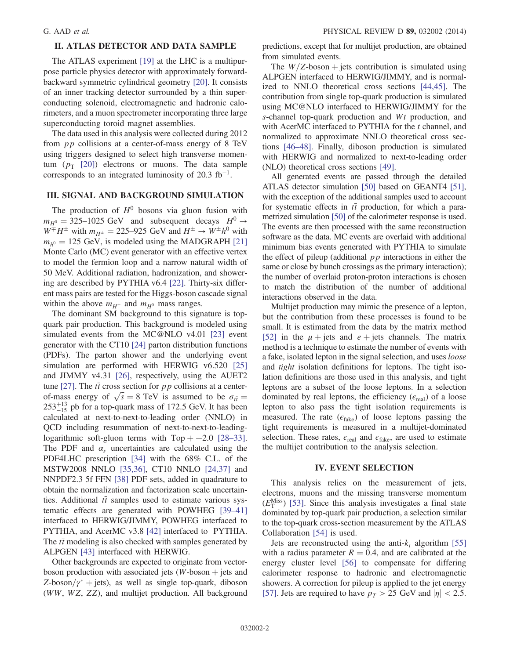# II. ATLAS DETECTOR AND DATA SAMPLE

The ATLAS experiment [\[19\]](#page-9-11) at the LHC is a multipurpose particle physics detector with approximately forwardbackward symmetric cylindrical geometry [\[20\]](#page-9-12). It consists of an inner tracking detector surrounded by a thin superconducting solenoid, electromagnetic and hadronic calorimeters, and a muon spectrometer incorporating three large superconducting toroid magnet assemblies.

The data used in this analysis were collected during 2012 from pp collisions at a center-of-mass energy of 8 TeV using triggers designed to select high transverse momentum  $(p_T$  [\[20\]\)](#page-9-12) electrons or muons. The data sample corresponds to an integrated luminosity of 20.3  $fb^{-1}$ .

## III. SIGNAL AND BACKGROUND SIMULATION

The production of  $H^0$  bosons via gluon fusion with  $m_{H^0} = 325-1025$  GeV and subsequent decays  $H^0 \rightarrow$  $W^{\pm}H^{\pm}$  with  $m_{H^{\pm}} = 225-925$  GeV and  $H^{\pm} \rightarrow W^{\pm}h^0$  with  $m_{h^0} = 125$  GeV, is modeled using the MADGRAPH [\[21\]](#page-9-13) Monte Carlo (MC) event generator with an effective vertex to model the fermion loop and a narrow natural width of 50 MeV. Additional radiation, hadronization, and showering are described by PYTHIA v6.4 [\[22\].](#page-9-14) Thirty-six different mass pairs are tested for the Higgs-boson cascade signal within the above  $m_{H^{\pm}}$  and  $m_{H^0}$  mass ranges.

The dominant SM background to this signature is topquark pair production. This background is modeled using simulated events from the MC@NLO v4.01 [\[23\]](#page-9-15) event generator with the CT10 [\[24\]](#page-9-16) parton distribution functions (PDFs). The parton shower and the underlying event simulation are performed with HERWIG v6.520 [\[25\]](#page-9-17) and JIMMY v4.31 [\[26\],](#page-9-18) respectively, using the AUET2 tune [\[27\].](#page-9-19) The  $t\bar{t}$  cross section for pp collisions at a centerof-mass energy of  $\sqrt{s} = 8$  TeV is assumed to be  $\sigma_{t\bar{t}} =$  $253^{+13}_{-15}$  pb for a top-quark mass of 172.5 GeV. It has been calculated at next-to-next-to-leading order (NNLO) in QCD including resummation of next-to-next-to-leadinglogarithmic soft-gluon terms with  $Top + +2.0$  [\[28](#page-9-20)–33]. The PDF and  $\alpha_s$  uncertainties are calculated using the PDF4LHC prescription [\[34\]](#page-10-0) with the 68% C.L. of the MSTW2008 NNLO [\[35,36\]](#page-10-1), CT10 NNLO [\[24,37\]](#page-9-16) and NNPDF2.3 5f FFN [\[38\]](#page-10-2) PDF sets, added in quadrature to obtain the normalization and factorization scale uncertainties. Additional  $t\bar{t}$  samples used to estimate various systematic effects are generated with POWHEG [\[39](#page-10-3)–41] interfaced to HERWIG/JIMMY, POWHEG interfaced to PYTHIA, and AcerMC v3.8 [\[42\]](#page-10-4) interfaced to PYTHIA. The  $t\bar{t}$  modeling is also checked with samples generated by ALPGEN [\[43\]](#page-10-5) interfaced with HERWIG.

Other backgrounds are expected to originate from vectorboson production with associated jets  $(W\text{-}boson + \text{jets}$  and  $Z$ -boson/ $\gamma^*$  + jets), as well as single top-quark, diboson (WW, WZ, ZZ), and multijet production. All background predictions, except that for multijet production, are obtained from simulated events.

The  $W/Z$ -boson + jets contribution is simulated using ALPGEN interfaced to HERWIG/JIMMY, and is normalized to NNLO theoretical cross sections [\[44,45\]](#page-10-6). The contribution from single top-quark production is simulated using MC@NLO interfaced to HERWIG/JIMMY for the s-channel top-quark production and  $Wt$  production, and with AcerMC interfaced to PYTHIA for the  $t$  channel, and normalized to approximate NNLO theoretical cross sections [46–[48\].](#page-10-7) Finally, diboson production is simulated with HERWIG and normalized to next-to-leading order (NLO) theoretical cross sections [\[49\]](#page-10-8).

All generated events are passed through the detailed ATLAS detector simulation [\[50\]](#page-10-9) based on GEANT4 [\[51\]](#page-10-10), with the exception of the additional samples used to account for systematic effects in  $t\bar{t}$  production, for which a parametrized simulation [\[50\]](#page-10-9) of the calorimeter response is used. The events are then processed with the same reconstruction software as the data. MC events are overlaid with additional minimum bias events generated with PYTHIA to simulate the effect of pileup (additional  $pp$  interactions in either the same or close by bunch crossings as the primary interaction); the number of overlaid proton-proton interactions is chosen to match the distribution of the number of additional interactions observed in the data.

Multijet production may mimic the presence of a lepton, but the contribution from these processes is found to be small. It is estimated from the data by the matrix method [\[52\]](#page-10-11) in the  $\mu$  + jets and  $e$  + jets channels. The matrix method is a technique to estimate the number of events with a fake, isolated lepton in the signal selection, and uses loose and tight isolation definitions for leptons. The tight isolation definitions are those used in this analysis, and tight leptons are a subset of the loose leptons. In a selection dominated by real leptons, the efficiency ( $\epsilon_{\text{real}}$ ) of a loose lepton to also pass the tight isolation requirements is measured. The rate  $(\epsilon_{\text{fake}})$  of loose leptons passing the tight requirements is measured in a multijet-dominated selection. These rates,  $\epsilon_{\text{real}}$  and  $\epsilon_{\text{fake}}$ , are used to estimate the multijet contribution to the analysis selection.

#### IV. EVENT SELECTION

This analysis relies on the measurement of jets, electrons, muons and the missing transverse momentum  $(E_{\text{T}}^{\text{Miss}})$  [\[53\].](#page-10-12) Since this analysis investigates a final state dominated by top-quark pair production, a selection similar to the top-quark cross-section measurement by the ATLAS Collaboration [\[54\]](#page-10-13) is used.

Jets are reconstructed using the anti- $k_t$  algorithm [\[55\]](#page-10-14) with a radius parameter  $R = 0.4$ , and are calibrated at the energy cluster level [\[56\]](#page-10-15) to compensate for differing calorimeter response to hadronic and electromagnetic showers. A correction for pileup is applied to the jet energy [\[57\]](#page-10-16). Jets are required to have  $p_T > 25$  GeV and  $|\eta| < 2.5$ .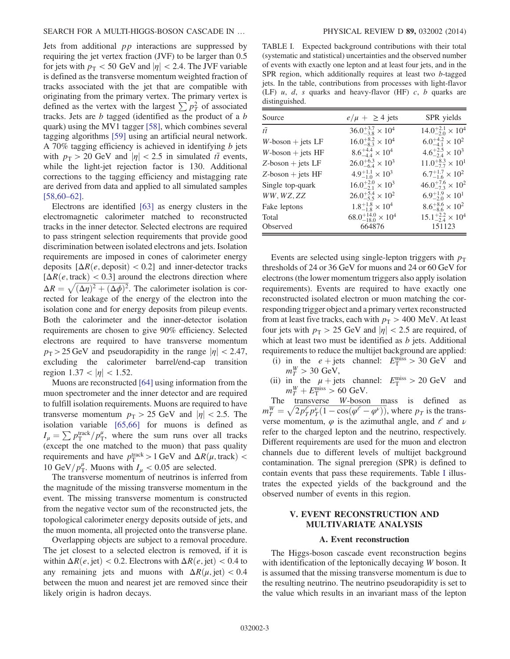Jets from additional  $pp$  interactions are suppressed by requiring the jet vertex fraction (JVF) to be larger than 0.5 for jets with  $p_T < 50$  GeV and  $|\eta| < 2.4$ . The JVF variable is defined as the transverse momentum weighted fraction of tracks associated with the jet that are compatible with originating from the primary vertex. The primary vertex is defined as the vertex with the largest  $\sum p_T^2$  of associated tracks. Jets are b tagged (identified as the product of a b quark) using the MV1 tagger [\[58\]](#page-10-17), which combines several tagging algorithms [\[59\]](#page-10-18) using an artificial neural network. A 70% tagging efficiency is achieved in identifying  $b$  jets with  $p_T > 20$  GeV and  $|\eta| < 2.5$  in simulated  $t\bar{t}$  events, while the light-jet rejection factor is 130. Additional corrections to the tagging efficiency and mistagging rate are derived from data and applied to all simulated samples [\[58,60](#page-10-17)–62].

Electrons are identified [\[63\]](#page-10-19) as energy clusters in the electromagnetic calorimeter matched to reconstructed tracks in the inner detector. Selected electrons are required to pass stringent selection requirements that provide good discrimination between isolated electrons and jets. Isolation requirements are imposed in cones of calorimeter energy deposits  $[\Delta R(e, \text{deposit})] < 0.2$ ] and inner-detector tracks  $[\Delta R(e, \text{track})]$  < 0.3] around the electrons direction where  $\Delta R = \sqrt{(\Delta \eta)^2 + (\Delta \phi)^2}$ . The calorimeter isolation is corrected for leakage of the energy of the electron into the isolation cone and for energy deposits from pileup events. Both the calorimeter and the inner-detector isolation requirements are chosen to give 90% efficiency. Selected electrons are required to have transverse momentum  $p_T > 25 \,\text{GeV}$  and pseudorapidity in the range  $|\eta| < 2.47$ , excluding the calorimeter barrel/end-cap transition region  $1.37 < |\eta| < 1.52$ .

Muons are reconstructed [\[64\]](#page-10-20) using information from the muon spectrometer and the inner detector and are required to fulfill isolation requirements. Muons are required to have transverse momentum  $p_T > 25$  GeV and  $|\eta| < 2.5$ . The isolation variable [\[65,66\]](#page-10-21) for muons is defined as  $I_{\mu} = \sum p_{\rm T}^{\rm track}/p_{\rm T}^{\mu}$ , where the sum runs over all tracks (except the one matched to the muon) that pass quality requirements and have  $p_T^{\text{track}} > 1 \text{ GeV}$  and  $\Delta R(\mu, \text{track}) <$ 10 GeV/ $p_T^{\mu}$ . Muons with  $I_{\mu} < 0.05$  are selected.

The transverse momentum of neutrinos is inferred from the magnitude of the missing transverse momentum in the event. The missing transverse momentum is constructed from the negative vector sum of the reconstructed jets, the topological calorimeter energy deposits outside of jets, and the muon momenta, all projected onto the transverse plane.

Overlapping objects are subject to a removal procedure. The jet closest to a selected electron is removed, if it is within  $\Delta R(e, \text{jet}) < 0.2$ . Electrons with  $\Delta R(e, \text{jet}) < 0.4$  to any remaining jets and muons with  $\Delta R(\mu, \text{jet}) < 0.4$ between the muon and nearest jet are removed since their likely origin is hadron decays.

<span id="page-2-0"></span>TABLE I. Expected background contributions with their total (systematic and statistical) uncertainties and the observed number of events with exactly one lepton and at least four jets, and in the SPR region, which additionally requires at least two b-tagged jets. In the table, contributions from processes with light-flavor (LF)  $u$ ,  $d$ ,  $s$  quarks and heavy-flavor (HF)  $c$ ,  $b$  quarks are distinguished.

| Source               | $e/\mu + \geq 4$ jets              | SPR yields                         |
|----------------------|------------------------------------|------------------------------------|
| $t\bar{t}$           | $36.0^{+3.7}_{-3.8} \times 10^4$   | $14.0^{+2.1}_{-2.0}\times10^4$     |
| $W$ -boson + jets LF | $16.0^{+8.2}_{-8.3}\times 10^4$    | $6.0^{+4.2}_{-4.1}\times 10^{2}$   |
| $W$ -boson + jets HF | $8.6^{+4.4}_{-4.4} \times 10^4$    | $4.6^{+2.5}_{-2.4} \times 10^3$    |
| $Z$ -boson + jets LF | $26.0^{+6.3}_{-6.4} \times 10^3$   | $11.0^{+8.3}_{-7.7}\times10^{1}$   |
| $Z$ -boson + jets HF | $4.9^{+1.1}_{-1.0} \times 10^3$    | $6.7^{+1.7}_{-1.6} \times 10^{2}$  |
| Single top-quark     | $16.0^{+2.0}_{-2.1} \times 10^3$   | $46.0^{+7.6}_{-7.3} \times 10^{2}$ |
| WW, WZ, ZZ           | $26.0^{+5.4}_{-5.5} \times 10^{2}$ | $6.9^{+1.9}_{-2.0}\times10^{1}$    |
| Fake leptons         | $1.8^{+1.8}_{-1.8}\times10^4$      | $8.6^{+8.6}_{-8.6}\times10^{2}$    |
| Total                | $68.0^{+14.0}_{-18.0}\times 10^4$  | $15.1^{+2.2}_{-2.4} \times 10^4$   |
| Observed             | 664876                             | 151123                             |

Events are selected using single-lepton triggers with  $p<sub>T</sub>$ thresholds of 24 or 36 GeV for muons and 24 or 60 GeV for electrons (the lower momentum triggers also apply isolation requirements). Events are required to have exactly one reconstructed isolated electron or muon matching the corresponding trigger object and a primary vertex reconstructed from at least five tracks, each with  $p_T > 400$  MeV. At least four jets with  $p_T > 25$  GeV and  $|\eta| < 2.5$  are required, of which at least two must be identified as  $b$  jets. Additional requirements to reduce the multijet background are applied:

- (i) in the  $e + \text{jets}$  channel:  $E_{\text{T}}^{\text{miss}} > 30 \text{ GeV}$  and  $m_T^W > 30$  GeV,
- (ii) in the  $\mu$  + jets channel:  $E_{\rm T}^{\rm miss} > 20$  GeV and  $m_T^W + E_{\rm T}^{\rm miss} > 60$  GeV.

The transverse W-boson mass is defined as  $m_T^W = \sqrt{2p_T^e p_T^{\nu}(1 - \cos(\varphi^e - \varphi^{\nu}))}$ , where  $p_T$  is the transverse momentum,  $\varphi$  is the azimuthal angle, and  $\ell$  and  $\nu$ refer to the charged lepton and the neutrino, respectively. Different requirements are used for the muon and electron channels due to different levels of multijet background contamination. The signal preregion (SPR) is defined to contain events that pass these requirements. Table [I](#page-2-0) illustrates the expected yields of the background and the observed number of events in this region.

# V. EVENT RECONSTRUCTION AND MULTIVARIATE ANALYSIS

#### A. Event reconstruction

The Higgs-boson cascade event reconstruction begins with identification of the leptonically decaying W boson. It is assumed that the missing transverse momentum is due to the resulting neutrino. The neutrino pseudorapidity is set to the value which results in an invariant mass of the lepton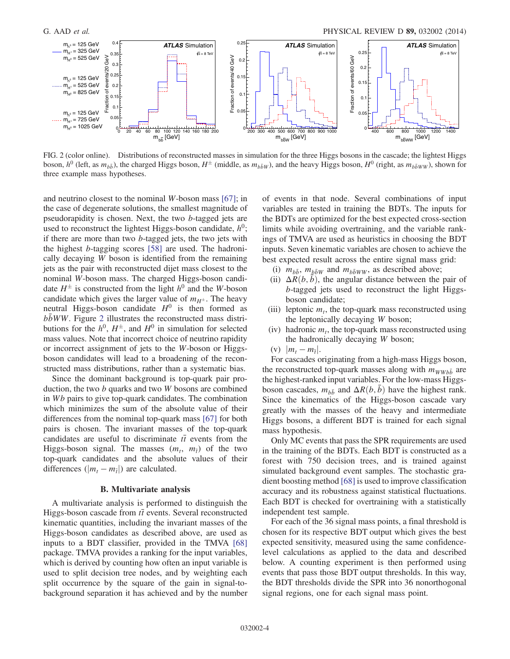<span id="page-3-0"></span>

FIG. 2 (color online). Distributions of reconstructed masses in simulation for the three Higgs bosons in the cascade; the lightest Higgs boson,  $h^0$  (left, as  $m_{b\bar{b}}$ ), the charged Higgs boson,  $H^{\pm}$  (middle, as  $m_{b\bar{b}W}$ ), and the heavy Higgs boson,  $H^0$  (right, as  $m_{b\bar{b}WW}$ ), shown for three example mass hypotheses.

and neutrino closest to the nominal W-boson mass [\[67\]](#page-10-22); in the case of degenerate solutions, the smallest magnitude of pseudorapidity is chosen. Next, the two b-tagged jets are used to reconstruct the lightest Higgs-boson candidate,  $h^0$ ; if there are more than two b-tagged jets, the two jets with the highest b-tagging scores [\[58\]](#page-10-17) are used. The hadronically decaying W boson is identified from the remaining jets as the pair with reconstructed dijet mass closest to the nominal W-boson mass. The charged Higgs-boson candidate  $H^{\pm}$  is constructed from the light  $h^0$  and the W-boson candidate which gives the larger value of  $m_{H^{\pm}}$ . The heavy neutral Higgs-boson candidate  $H^0$  is then formed as  $bbWW$ . Figure [2](#page-3-0) illustrates the reconstructed mass distributions for the  $h^0$ ,  $H^{\pm}$ , and  $H^0$  in simulation for selected mass values. Note that incorrect choice of neutrino rapidity or incorrect assignment of jets to the W-boson or Higgsboson candidates will lead to a broadening of the reconstructed mass distributions, rather than a systematic bias.

Since the dominant background is top-quark pair production, the two  $b$  quarks and two  $W$  bosons are combined in Wb pairs to give top-quark candidates. The combination which minimizes the sum of the absolute value of their differences from the nominal top-quark mass [\[67\]](#page-10-22) for both pairs is chosen. The invariant masses of the top-quark candidates are useful to discriminate  $t\bar{t}$  events from the Higgs-boson signal. The masses  $(m_t, m_{\overline{t}})$  of the two top-quark candidates and the absolute values of their differences ( $|m_t - m_{\overline{t}}|$ ) are calculated.

#### B. Multivariate analysis

A multivariate analysis is performed to distinguish the Higgs-boson cascade from  $t\bar{t}$  events. Several reconstructed kinematic quantities, including the invariant masses of the Higgs-boson candidates as described above, are used as inputs to a BDT classifier, provided in the TMVA [\[68\]](#page-10-23) package. TMVA provides a ranking for the input variables, which is derived by counting how often an input variable is used to split decision tree nodes, and by weighting each split occurrence by the square of the gain in signal-tobackground separation it has achieved and by the number of events in that node. Several combinations of input variables are tested in training the BDTs. The inputs for the BDTs are optimized for the best expected cross-section limits while avoiding overtraining, and the variable rankings of TMVA are used as heuristics in choosing the BDT inputs. Seven kinematic variables are chosen to achieve the best expected result across the entire signal mass grid:

- (i)  $m_{b\bar{b}}$ ,  $m_{b\bar{b}W}$  and  $m_{b\bar{b}WW}$ , as described above;
- (ii)  $\Delta R(b, \bar{b})$ , the angular distance between the pair of b-tagged jets used to reconstruct the light Higgsboson candidate;
- (iii) leptonic  $m_t$ , the top-quark mass reconstructed using the leptonically decaying W boson;
- (iv) hadronic  $m_t$ , the top-quark mass reconstructed using the hadronically decaying W boson;
- (v)  $|m_t m_{\bar{t}}|$ .

For cascades originating from a high-mass Higgs boson, the reconstructed top-quark masses along with  $m_{WWb\bar{b}}$  are the highest-ranked input variables. For the low-mass Higgsboson cascades,  $m_{b\bar{b}}$  and  $\Delta R(b,\bar{b})$  have the highest rank. Since the kinematics of the Higgs-boson cascade vary greatly with the masses of the heavy and intermediate Higgs bosons, a different BDT is trained for each signal mass hypothesis.

Only MC events that pass the SPR requirements are used in the training of the BDTs. Each BDT is constructed as a forest with 750 decision trees, and is trained against simulated background event samples. The stochastic gradient boosting method [\[68\]](#page-10-23) is used to improve classification accuracy and its robustness against statistical fluctuations. Each BDT is checked for overtraining with a statistically independent test sample.

For each of the 36 signal mass points, a final threshold is chosen for its respective BDT output which gives the best expected sensitivity, measured using the same confidencelevel calculations as applied to the data and described below. A counting experiment is then performed using events that pass those BDT output thresholds. In this way, the BDT thresholds divide the SPR into 36 nonorthogonal signal regions, one for each signal mass point.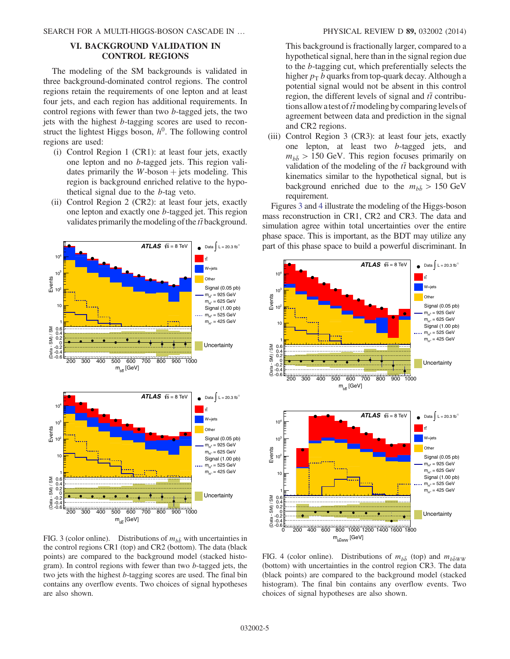# VI. BACKGROUND VALIDATION IN CONTROL REGIONS

The modeling of the SM backgrounds is validated in three background-dominated control regions. The control regions retain the requirements of one lepton and at least four jets, and each region has additional requirements. In control regions with fewer than two b-tagged jets, the two jets with the highest b-tagging scores are used to reconstruct the lightest Higgs boson,  $h^0$ . The following control regions are used:

- (i) Control Region 1 (CR1): at least four jets, exactly one lepton and no b-tagged jets. This region validates primarily the  $W$ -boson  $+$  jets modeling. This region is background enriched relative to the hypothetical signal due to the b-tag veto.
- (ii) Control Region 2 (CR2): at least four jets, exactly one lepton and exactly one b-tagged jet. This region validates primarily the modeling of the  $t\bar{t}$  background.

<span id="page-4-0"></span>

This background is fractionally larger, compared to a hypothetical signal, here than in the signal region due to the b-tagging cut, which preferentially selects the higher  $p_T b$  quarks from top-quark decay. Although a potential signal would not be absent in this control region, the different levels of signal and  $t\bar{t}$  contributions allow a test of  $t\bar{t}$  modeling by comparing levels of agreement between data and prediction in the signal and CR2 regions.

(iii) Control Region 3 (CR3): at least four jets, exactly one lepton, at least two b-tagged jets, and  $m_{h\bar{h}} > 150$  GeV. This region focuses primarily on validation of the modeling of the  $t\bar{t}$  background with kinematics similar to the hypothetical signal, but is background enriched due to the  $m_{b\bar{b}} > 150 \text{ GeV}$ requirement.

Figures [3](#page-4-0) and [4](#page-4-1) illustrate the modeling of the Higgs-boson mass reconstruction in CR1, CR2 and CR3. The data and simulation agree within total uncertainties over the entire phase space. This is important, as the BDT may utilize any part of this phase space to build a powerful discriminant. In

<span id="page-4-1"></span>

FIG. 3 (color online). Distributions of  $m_{b\bar{b}}$  with uncertainties in the control regions CR1 (top) and CR2 (bottom). The data (black points) are compared to the background model (stacked histogram). In control regions with fewer than two b-tagged jets, the two jets with the highest b-tagging scores are used. The final bin contains any overflow events. Two choices of signal hypotheses are also shown.

FIG. 4 (color online). Distributions of  $m_{b\bar{b}}$  (top) and  $m_{b\bar{b}WW}$ (bottom) with uncertainties in the control region CR3. The data (black points) are compared to the background model (stacked histogram). The final bin contains any overflow events. Two choices of signal hypotheses are also shown.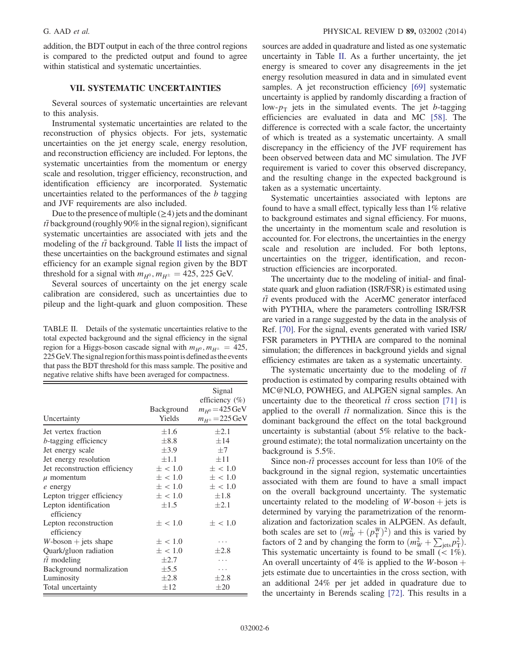addition, the BDT output in each of the three control regions is compared to the predicted output and found to agree within statistical and systematic uncertainties.

### VII. SYSTEMATIC UNCERTAINTIES

Several sources of systematic uncertainties are relevant to this analysis.

Instrumental systematic uncertainties are related to the reconstruction of physics objects. For jets, systematic uncertainties on the jet energy scale, energy resolution, and reconstruction efficiency are included. For leptons, the systematic uncertainties from the momentum or energy scale and resolution, trigger efficiency, reconstruction, and identification efficiency are incorporated. Systematic uncertainties related to the performances of the  $b$  tagging and JVF requirements are also included.

Due to the presence of multiple  $(\geq 4)$  jets and the dominant  $t\bar{t}$  background (roughly 90% in the signal region), significant systematic uncertainties are associated with jets and the modeling of the  $t\bar{t}$  background. Table [II](#page-5-0) lists the impact of these uncertainties on the background estimates and signal efficiency for an example signal region given by the BDT threshold for a signal with  $m_{H^0}$ ,  $m_{H^{\pm}} = 425$ , 225 GeV.

Several sources of uncertainty on the jet energy scale calibration are considered, such as uncertainties due to pileup and the light-quark and gluon composition. These

<span id="page-5-0"></span>TABLE II. Details of the systematic uncertainties relative to the total expected background and the signal efficiency in the signal region for a Higgs-boson cascade signal with  $m_{H^0}$ ,  $m_{H^{\pm}} = 425$ , 225 GeV. The signal region for this mass point is defined as the events that pass the BDT threshold for this mass sample. The positive and negative relative shifts have been averaged for compactness.

| Uncertainty                         | Background<br>Yields | Signal<br>efficiency $(\% )$<br>$m_{H^0} = 425 \,\text{GeV}$<br>$m_{H^{\pm}} = 225 \,\text{GeV}$ |
|-------------------------------------|----------------------|--------------------------------------------------------------------------------------------------|
| Jet vertex fraction                 | $\pm 1.6$            | $\pm 2.1$                                                                                        |
| <i>b</i> -tagging efficiency        | $\pm 8.8$            | ±14                                                                                              |
| Jet energy scale                    | $\pm 3.9$            | $+7$                                                                                             |
| Jet energy resolution               | $\pm 1.1$            | $\pm$ 11                                                                                         |
| Jet reconstruction efficiency       | $\pm$ < 1.0          | $\pm$ < 1.0                                                                                      |
| $\mu$ momentum                      | $\pm$ < 1.0          | $\pm$ < 1.0                                                                                      |
| $e$ energy                          | $\pm$ < 1.0          | $\pm$ < 1.0                                                                                      |
| Lepton trigger efficiency           | $\pm$ < 1.0          | $\pm 1.8$                                                                                        |
| Lepton identification<br>efficiency | $\pm 1.5$            | $\pm 2.1$                                                                                        |
| Lepton reconstruction<br>efficiency | $\pm$ < 1.0          | $\pm$ < 1.0                                                                                      |
| $W$ -boson + jets shape             | $\pm$ < 1.0          | .                                                                                                |
| Quark/gluon radiation               | $\pm$ < 1.0          | $\pm 2.8$                                                                                        |
| $t\bar{t}$ modeling                 | $\pm 2.7$            | .                                                                                                |
| Background normalization            | $\pm$ 5.5            | .                                                                                                |
| Luminosity                          | $\pm 2.8$            | $\pm 2.8$                                                                                        |
| Total uncertainty                   | $\pm 12$             | $\pm 20$                                                                                         |

sources are added in quadrature and listed as one systematic uncertainty in Table [II](#page-5-0). As a further uncertainty, the jet energy is smeared to cover any disagreements in the jet energy resolution measured in data and in simulated event samples. A jet reconstruction efficiency [\[69\]](#page-10-24) systematic uncertainty is applied by randomly discarding a fraction of low- $p_T$  jets in the simulated events. The jet b-tagging efficiencies are evaluated in data and MC [\[58\].](#page-10-17) The difference is corrected with a scale factor, the uncertainty of which is treated as a systematic uncertainty. A small discrepancy in the efficiency of the JVF requirement has been observed between data and MC simulation. The JVF requirement is varied to cover this observed discrepancy, and the resulting change in the expected background is taken as a systematic uncertainty.

Systematic uncertainties associated with leptons are found to have a small effect, typically less than 1% relative to background estimates and signal efficiency. For muons, the uncertainty in the momentum scale and resolution is accounted for. For electrons, the uncertainties in the energy scale and resolution are included. For both leptons, uncertainties on the trigger, identification, and reconstruction efficiencies are incorporated.

The uncertainty due to the modeling of initial- and finalstate quark and gluon radiation (ISR/FSR) is estimated using  $t\bar{t}$  events produced with the AcerMC generator interfaced with PYTHIA, where the parameters controlling ISR/FSR are varied in a range suggested by the data in the analysis of Ref. [\[70\]](#page-10-25). For the signal, events generated with varied ISR/ FSR parameters in PYTHIA are compared to the nominal simulation; the differences in background yields and signal efficiency estimates are taken as a systematic uncertainty.

The systematic uncertainty due to the modeling of  $t\bar{t}$ production is estimated by comparing results obtained with MC@NLO, POWHEG, and ALPGEN signal samples. An uncertainty due to the theoretical  $t\bar{t}$  cross section [\[71\]](#page-10-26) is applied to the overall  $t\bar{t}$  normalization. Since this is the dominant background the effect on the total background uncertainty is substantial (about 5% relative to the background estimate); the total normalization uncertainty on the background is 5.5%.

Since non- $t\bar{t}$  processes account for less than 10% of the background in the signal region, systematic uncertainties associated with them are found to have a small impact on the overall background uncertainty. The systematic uncertainty related to the modeling of  $W$ -boson  $+$  jets is determined by varying the parametrization of the renormalization and factorization scales in ALPGEN. As default, both scales are set to  $(m_W^2 + (p_{\text{T}}^W)^2)$  and this is varied by factors of 2 and by changing the form to  $(m_W^2 + \sum_{\text{jets}} p_{\text{T}}^2)$ . This systematic uncertainty is found to be small  $(< 1\%)$ . An overall uncertainty of  $4\%$  is applied to the W-boson  $+$ jets estimate due to uncertainties in the cross section, with an additional 24% per jet added in quadrature due to the uncertainty in Berends scaling [\[72\]](#page-10-27). This results in a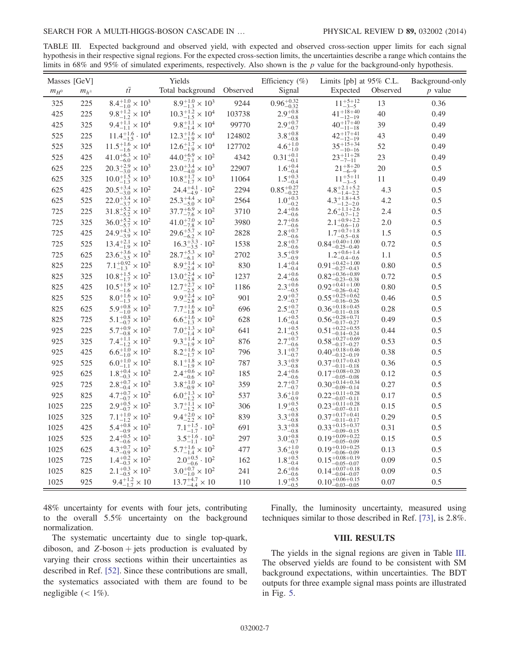<span id="page-6-0"></span>TABLE III. Expected background and observed yield, with expected and observed cross-section upper limits for each signal hypothesis in their respective signal regions. For the expected cross-section limits, the uncertainties describe a range which contains the limits in 68% and 95% of simulated experiments, respectively. Also shown is the  $p$  value for the background-only hypothesis.

|           | Masses [GeV]  |                                    | Yields                             |        | Efficiency $(\%)$               | Limits [pb] at 95% C.L.                        |          | Background-only |
|-----------|---------------|------------------------------------|------------------------------------|--------|---------------------------------|------------------------------------------------|----------|-----------------|
| $m_{H^0}$ | $m_{h^{\pm}}$ | $t\overline{t}$                    | Total background Observed          |        | Signal                          | Expected                                       | Observed | $p$ value       |
| 325       | 225           | $8.4^{+1.0}_{-1.0}\times10^3$      | $8.9^{+1.0}_{-1.3} \times 10^3$    | 9244   | $0.96\substack{+0.32 \\ -0.32}$ | $11^{+5+12}_{-3-5}$                            | 13       | 0.36            |
| 425       | 225           | $9.8^{+1.2}_{-1.2} \times 10^4$    | $10.3^{+1.2}_{-1.5} \times 10^4$   | 103738 | $2.9^{+0.8}_{-0.8}$             | $41^{+18+40}_{-12-19}$                         | 40       | 0.49            |
| 425       | 325           | $9.4^{+1.1}_{-1.1}\times10^4$      | $9.8^{+1.1}_{-1.4} \times 10^4$    | 99770  | $2.9^{+0.7}_{-0.7}$             | $40^{+17+40}_{-11-18}$                         | 39       | 0.49            |
| 525       | 225           | $11.4^{+1.6}_{-1.5} \cdot 10^4$    | $12.3^{+1.6}_{-1.9}\times10^4$     | 124802 | $3.8\substack{+0.8\\-0.8}$      | $42^{+17+41}_{-12-19}$                         | 43       | 0.49            |
| 525       | 325           | $11.5^{+1.6}_{-1.6}\times10^4$     | $12.6^{+1.7}_{-1.9} \times 10^4$   | 127702 | $4.6\substack{+1.0\\-1.0}$      | $35^{+15+34}_{-10-16}$                         | 52       | 0.49            |
| 525       | 425           | $41.0^{+6.3}_{-6.0}\times10^{2}$   | $44.0^{+6.9}_{-7.1}\times10^{2}$   | 4342   | $0.31^{+0.1}_{-0.1}$            | $23^{+11+28}_{-7-11}$                          | 23       | 0.49            |
| 625       | 225           | $20.3_{-3.0}^{+2.9} \times 10^3$   | $23.0^{+3.4}_{-4.0} \times 10^3$   | 22907  | $1.6^{+0.4}_{-0.4}$             | $21^{+8+20}_{-6-9}$                            | 20       | 0.5             |
| 625       | 325           | $10.0^{+1.5}_{-1.3} \times 10^3$   | $10.8^{+1.7}_{-1.7}\times10^3$     | 11064  | $1.5^{+0.3}_{-0.4}$             | $11^{+5+11}_{-3-5}$                            | 11       | 0.49            |
| 625       | 425           | $20.5^{+3.4}_{-3.0}\times10^{2}$   | $24.4_{-4.9}^{+4.1} \cdot 10^{2}$  | 2294   | $0.85_{-0.22}^{+0.27}$          | $4.8^{+2.1 + 5.2}_{-1.4 - 2.2}$                | 4.3      | 0.5             |
| 625       | 525           | $22.0^{+3.4}_{-3.7} \times 10^{2}$ | $25.3^{+4.4}_{-5.0}\times10^{2}$   | 2564   | $1.0^{+0.3}_{-0.2}$             | $4.3^{+1.8+4.5}_{-1.2-2.0}$                    | 4.2      | 0.5             |
| 725       | 225           | $31.8^{+5.2}_{-5.2} \times 10^{2}$ | $37.7^{+6.9}_{-7.6} \times 10^{2}$ | 3710   | $2.4^{+0.6}_{-0.6}$             | $2.6^{+1.1+2.6}_{-0.7-1.2}$                    | 2.4      | 0.5             |
| 725       | 325           | $36.0^{+5.2}_{-5.7} \times 10^2$   | $41.0^{+7.0}_{-7.8} \times 10^2$   | 3980   | $2.7^{+0.6}_{-0.6}$             | $2.1_{-0.6-1.0}^{+0.9+2.2}$                    | 2.0      | 0.5             |
| 725       | 425           | $24.9^{+4.3}_{-3.9}\times 10^2$    | $29.6^{+5.7}_{-6.2}\times10^{2}$   | 2828   | $2.8^{+0.7}_{-0.6}$             | $1.7^{+0.7+1.8}_{-0.5-0.8}$                    | 1.5      | 0.5             |
| 725       | 525           | $13.4^{+2.1}_{-1.9} \times 10^2$   | $16.3^{+3.3}_{-3.5} \cdot 10^{2}$  | 1538   | $2.8^{+0.7}_{-0.6}$             | $0.84^{+0.40+1.00}_{-0.25-0.40}$               | 0.72     | 0.5             |
| 725       | 625           | $23.6^{+3.6}_{-3.5} \times 10^2$   | $28.7^{+5.3}_{-6.1}\times 10^2$    | 2702   | $3.5^{+0.9}_{-0.9}$             | $1.2^{+0.6+1.4}_{-0.4-0.6}$                    | 1.1      | 0.5             |
| 825       | 225           | $7.1^{+0.92}_{-1.3} \times 10^{2}$ | $8.9^{+1.4}_{-2.4} \times 10^2$    | 830    | $1.4^{+0.4}_{-0.4}$             | $0.91_{-0.27-0.43}^{+0.42+1.00}$               | 0.80     | 0.5             |
| 825       | 325           | $10.8^{+1.5}_{-1.7} \times 10^{2}$ | $13.0^{+2.4}_{-2.8} \times 10^2$   | 1237   | $2.4^{+0.6}_{-0.6}$             | $0.82^{+0.36+0.89}_{-0.23-0.38}$               | 0.72     | 0.5             |
| 825       | 425           | $10.5^{+1.9}_{-1.6} \times 10^2$   | $12.7^{+2.7}_{-2.5} \times 10^2$   | 1186   | $2.3^{+0.6}_{-0.5}$             | $0.92^{+0.41+1.00}_{-0.26-0.42}$               | 0.80     | 0.5             |
| 825       | 525           | $8.0^{+1.6}_{-1.3}\times10^{2}$    | $9.9^{+2.4}_{-2.8} \times 10^2$    | 901    | $2.9^{+0.7}_{-0.7}$             | $0.55_{-0.16-0.26}^{+0.25+0.62}$               | 0.46     | 0.5             |
| 825       | 625           | $5.9^{+0.8}_{-1.0} \times 10^2$    | $7.7^{+1.6}_{-1.8}\times10^{2}$    | 696    | $2.5^{+0.7}_{-0.7}$             | $0.36_{-0.11-0.18}^{+0.18+0.45}$               | 0.28     | 0.5             |
| 825       | 725           | $5.1^{+0.8}_{-0.7} \times 10^{2}$  | $6.6^{+1.6}_{-1.3} \times 10^2$    | 628    | $1.6^{+0.5}_{-0.4}$             | $0.56^{+0.28}_{-0.17}{}_{-0.27}$               | 0.49     | 0.5             |
| 925       | 225           | $5.7^{+0.9}_{-0.8}\times10^{2}$    | $7.0^{+1.3}_{-1.4}\times10^{2}$    | 641    | $2.1_{-0.5}^{+0.5}$             | $0.51^{+0.22+0.55}_{-0.14-0.24}$               | 0.44     | 0.5             |
| 925       | 325           | $7.4^{+1.1}_{-1.2}\times10^{2}$    | $9.3^{+1.4}_{-1.9} \times 10^2$    | 876    | $2.7^{+0.7}_{-0.6}$             | $0.58_{-0.17-0.27}^{+0.27+0.69}$               | 0.53     | 0.5             |
| 925       | 425           | $6.6^{+1.0}_{-1.0}\times10^{2}$    | $8.2^{+1.6}_{-1.7}\times10^{2}$    | 796    | $3.1_{-0.7}^{+0.7}$             | $0.40_{-0.12-0.19}^{+0.18+0.46}$               | 0.38     | 0.5             |
| 925       | 525           | $6.0^{+1.0}_{-1.1} \times 10^2$    | $8.1^{+1.8}_{-1.9}\times 10^2$     | 787    | $3.3^{+0.9}_{-0.8}$             | $0.37_{-0.11-0.18}^{+0.17+0.43}$               | 0.36     | 0.5             |
| 925       | 625           | $1.8^{+0.4}_{-0.3} \times 10^2$    | $2.4^{+0.6}_{-0.6}\times10^{2}$    | 185    | $2.4^{+0.6}_{-0.6}\,$           | $0.17 \substack{+0.08 + 0.20 \\ -0.05 - 0.08}$ | 0.12     | 0.5             |
| 925       | 725           | $2.8^{+0.7}_{-0.4} \times 10^2$    | $3.8^{+1.0}_{-0.9} \times 10^2$    | 359    | $2.7^{+0.7}_{-0.7}$             | $0.30^{+0.14+0.34}_{-0.09-0.14}$               | 0.27     | 0.5             |
| 925       | 825           | $4.7^{+0.7}_{-0.7}\times10^{2}$    | $6.0^{+1.3}_{-1.2}\times10^{2}$    | 537    | $3.6^{+1.0}_{-0.9}$             | $0.22_{-0.07-0.11}^{+0.11+0.28}$               | 0.17     | 0.5             |
| 1025      | 225           | $2.9^{+0.5}_{-0.7} \times 10^2$    | $3.7^{+1.1}_{-1.2} \times 10^{2}$  | 306    | $1.9^{+0.5}_{-0.5}$             | $0.23_{-0.07-0.11}^{+0.11+0.28}$               | 0.15     | 0.5             |
| 1025      | 325           | $7.1^{+1.0}_{-1.2}\times 10^{2}$   | $9.4^{+2.0}_{-2.2}\times10^{2}$    | 839    | $3.3^{+0.8}_{-0.8}$             | $0.37_{-0.11-0.17}^{+0.17+0.41}$               | 0.29     | 0.5             |
| 1025      | 425           | $5.4^{+0.8}_{-0.9} \times 10^2$    | $7.1_{-1.7}^{+1.5} \cdot 10^2$     | 691    | $3.3^{+0.8}_{-0.8}$             | $0.33_{-0.09-0.15}^{+0.15+0.37}$               | 0.31     | 0.5             |
| 1025      | 525           | $2.4^{+0.5}_{-0.6}\times10^{2}$    | $3.5^{+1.6}_{-1.1}\cdot 10^{2}$    | 297    | $3.0^{+0.8}_{-0.7}$             | $0.19^{+0.09+0.22}_{-0.05-0.09}$               | 0.15     | 0.5             |
| 1025      | 625           | $4.3^{+0.7}_{-0.9} \times 10^2$    | $5.7^{+1.6}_{-1.4} \times 10^2$    | 477    | $3.6^{+1.0}_{-0.9}$             | $0.19^{+0.10+0.25}_{-0.06-0.09}$               | 0.13     | 0.5             |
| 1025      | 725           | $1.4^{+0.2}_{-0.3}\times10^{2}$    | $2.0^{+0.5}_{-0.6}\cdot10^{2}$     | 162    | $1.8^{+0.5}_{-0.4}$             | $0.15^{+0.08+0.19}_{-0.05-0.07}$               | 0.09     | 0.5             |
| 1025      | 825           | $2.1^{+0.3}_{-0.5} \times 10^{2}$  | $3.0^{+0.7}_{-1.0} \times 10^2$    | 241    | $2.6^{+0.6}_{-0.6}\,$           | $0.14_{-0.04-0.07}^{+0.07+0.18}$               | 0.09     | 0.5             |
| 1025      | 925           | $9.4^{+1.2}_{-1.7} \times 10$      | $13.7^{+4.7}_{-4.4} \times 10$     | 110    | $1.9^{+0.5}_{-0.5}$             | $0.10^{+0.06+0.15}_{-0.03-0.05}$               | 0.07     | 0.5             |

48% uncertainty for events with four jets, contributing to the overall 5.5% uncertainty on the background normalization.

The systematic uncertainty due to single top-quark, diboson, and  $Z$ -boson  $+$  jets production is evaluated by varying their cross sections within their uncertainties as described in Ref. [\[52\]](#page-10-11). Since these contributions are small, the systematics associated with them are found to be negligible  $(< 1\%)$ .

Finally, the luminosity uncertainty, measured using techniques similar to those described in Ref. [\[73\]](#page-10-28), is 2.8%.

## VIII. RESULTS

The yields in the signal regions are given in Table [III](#page-6-0). The observed yields are found to be consistent with SM background expectations, within uncertainties. The BDT outputs for three example signal mass points are illustrated in Fig. [5](#page-7-0).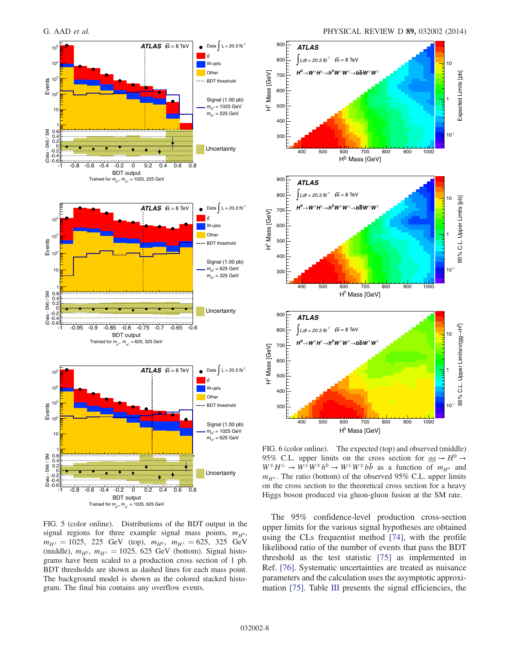<span id="page-7-0"></span>

FIG. 5 (color online). Distributions of the BDT output in the signal regions for three example signal mass points,  $m_{H^0}$ ,  $m_{H^{\pm}} = 1025$ , 225 GeV (top),  $m_{H^0}$ ,  $m_{H^{\pm}} = 625$ , 325 GeV (middle),  $m_{H^0}$ ,  $m_{H^{\pm}} = 1025$ , 625 GeV (bottom). Signal histograms have been scaled to a production cross section of 1 pb. BDT thresholds are shown as dashed lines for each mass point. The background model is shown as the colored stacked histogram. The final bin contains any overflow events.



<span id="page-7-1"></span>

FIG. 6 (color online). The expected (top) and observed (middle) 95% C.L. upper limits on the cross section for  $gg \to H^0 \to$  $W^{\pm}H^{\pm} \to W^{\pm}W^{\mp}h^0 \to W^{\pm}W^{\mp}b\bar{b}$  as a function of  $m_{H^0}$  and  $m_{H^{\pm}}$ . The ratio (bottom) of the observed 95% C.L. upper limits on the cross section to the theoretical cross section for a heavy Higgs boson produced via gluon-gluon fusion at the SM rate.

The 95% confidence-level production cross-section upper limits for the various signal hypotheses are obtained using the CLs frequentist method [\[74\]](#page-10-29), with the profile likelihood ratio of the number of events that pass the BDT threshold as the test statistic [\[75\]](#page-10-30) as implemented in Ref. [\[76\]](#page-10-31). Systematic uncertainties are treated as nuisance parameters and the calculation uses the asymptotic approximation [\[75\].](#page-10-30) Table [III](#page-6-0) presents the signal efficiencies, the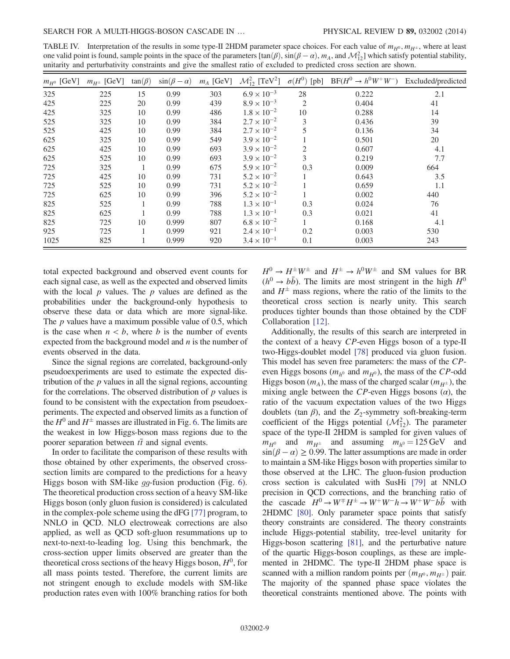<span id="page-8-0"></span>TABLE IV. Interpretation of the results in some type-II 2HDM parameter space choices. For each value of  $m_{H^0}$ ,  $m_{H^{\pm}}$ , where at least one valid point is found, sample points in the space of the parameters  $[\tan(\beta), \sin(\beta - \alpha), m_A$ , and  $\mathcal{M}_{12}^2]$  which satisfy potential stability, unitarity and perturbativity constraints and give the smallest ratio of excluded to predicted cross section are shown.

| $m_{H^0}$ [GeV] | $m_{H^{\pm}}$ [GeV] | $tan(\beta)$ | $\sin(\beta - \alpha)$ | $m_A$ [GeV] | $\mathcal{M}_{12}^2$ [TeV <sup>2</sup> ] |                | $\sigma(H^0)$ [pb] BF( $H^0 \rightarrow h^0W^+W^-$ ) Excluded/predicted |     |
|-----------------|---------------------|--------------|------------------------|-------------|------------------------------------------|----------------|-------------------------------------------------------------------------|-----|
| 325             | 225                 | 15           | 0.99                   | 303         | $6.9 \times 10^{-3}$                     | 28             | 0.222                                                                   | 2.1 |
| 425             | 225                 | 20           | 0.99                   | 439         | $8.9 \times 10^{-3}$                     | $\overline{2}$ | 0.404                                                                   | 41  |
| 425             | 325                 | 10           | 0.99                   | 486         | $1.8 \times 10^{-2}$                     | 10             | 0.288                                                                   | 14  |
| 525             | 325                 | 10           | 0.99                   | 384         | $2.7 \times 10^{-2}$                     | 3              | 0.436                                                                   | 39  |
| 525             | 425                 | 10           | 0.99                   | 384         | $2.7 \times 10^{-2}$                     |                | 0.136                                                                   | 34  |
| 625             | 325                 | 10           | 0.99                   | 549         | $3.9 \times 10^{-2}$                     |                | 0.501                                                                   | 20  |
| 625             | 425                 | 10           | 0.99                   | 693         | $3.9 \times 10^{-2}$                     | $\overline{2}$ | 0.607                                                                   | 4.1 |
| 625             | 525                 | 10           | 0.99                   | 693         | $3.9 \times 10^{-2}$                     | 3              | 0.219                                                                   | 7.7 |
| 725             | 325                 |              | 0.99                   | 675         | $5.9 \times 10^{-2}$                     | 0.3            | 0.009                                                                   | 664 |
| 725             | 425                 | 10           | 0.99                   | 731         | $5.2 \times 10^{-2}$                     |                | 0.643                                                                   | 3.5 |
| 725             | 525                 | 10           | 0.99                   | 731         | $5.2 \times 10^{-2}$                     |                | 0.659                                                                   | 1.1 |
| 725             | 625                 | 10           | 0.99                   | 396         | $5.2 \times 10^{-2}$                     |                | 0.002                                                                   | 440 |
| 825             | 525                 |              | 0.99                   | 788         | $1.3 \times 10^{-1}$                     | 0.3            | 0.024                                                                   | 76  |
| 825             | 625                 |              | 0.99                   | 788         | $1.3 \times 10^{-1}$                     | 0.3            | 0.021                                                                   | 41  |
| 825             | 725                 | 10           | 0.999                  | 807         | $6.8 \times 10^{-2}$                     | $\mathbf{1}$   | 0.168                                                                   | 4.1 |
| 925             | 725                 |              | 0.999                  | 921         | $2.4 \times 10^{-1}$                     | 0.2            | 0.003                                                                   | 530 |
| 1025            | 825                 |              | 0.999                  | 920         | $3.4 \times 10^{-1}$                     | 0.1            | 0.003                                                                   | 243 |

total expected background and observed event counts for each signal case, as well as the expected and observed limits with the local  $p$  values. The  $p$  values are defined as the probabilities under the background-only hypothesis to observe these data or data which are more signal-like. The  $p$  values have a maximum possible value of 0.5, which is the case when  $n < b$ , where b is the number of events expected from the background model and  $n$  is the number of events observed in the data.

Since the signal regions are correlated, background-only pseudoexperiments are used to estimate the expected distribution of the  $p$  values in all the signal regions, accounting for the correlations. The observed distribution of  $p$  values is found to be consistent with the expectation from pseudoexperiments. The expected and observed limits as a function of the  $H^0$  and  $H^{\pm}$  masses are illustrated in Fig. [6.](#page-7-1) The limits are the weakest in low Higgs-boson mass regions due to the poorer separation between  $t\bar{t}$  and signal events.

In order to facilitate the comparison of these results with those obtained by other experiments, the observed crosssection limits are compared to the predictions for a heavy Higgs boson with SM-like gg-fusion production (Fig. [6](#page-7-1)). The theoretical production cross section of a heavy SM-like Higgs boson (only gluon fusion is considered) is calculated in the complex-pole scheme using the dFG [\[77\]](#page-10-32) program, to NNLO in QCD. NLO electroweak corrections are also applied, as well as QCD soft-gluon resummations up to next-to-next-to-leading log. Using this benchmark, the cross-section upper limits observed are greater than the theoretical cross sections of the heavy Higgs boson,  $H^0$ , for all mass points tested. Therefore, the current limits are not stringent enough to exclude models with SM-like production rates even with 100% branching ratios for both  $H^0 \rightarrow H^{\pm}W^{\pm}$  and  $H^{\pm} \rightarrow h^0W^{\pm}$  and SM values for BR  $(h^0 \rightarrow b\bar{b})$ . The limits are most stringent in the high  $H^0$ and  $H^{\pm}$  mass regions, where the ratio of the limits to the theoretical cross section is nearly unity. This search produces tighter bounds than those obtained by the CDF Collaboration [\[12\]](#page-9-9).

Additionally, the results of this search are interpreted in the context of a heavy CP-even Higgs boson of a type-II two-Higgs-doublet model [\[78\]](#page-10-33) produced via gluon fusion. This model has seven free parameters: the mass of the CPeven Higgs bosons ( $m_{h^0}$  and  $m_{H^0}$ ), the mass of the CP-odd Higgs boson  $(m_A)$ , the mass of the charged scalar  $(m_{H^{\pm}})$ , the mixing angle between the CP-even Higgs bosons  $(\alpha)$ , the ratio of the vacuum expectation values of the two Higgs doublets (tan  $\beta$ ), and the Z<sub>2</sub>-symmetry soft-breaking-term coefficient of the Higgs potential  $(\mathcal{M}_{12}^2)$ . The parameter space of the type-II 2HDM is sampled for given values of  $m_{H^0}$  and  $m_{H^{\pm}}$  and assuming  $m_{h^0} = 125 \text{ GeV}$  and  $\sin(\beta - \alpha) \ge 0.99$ . The latter assumptions are made in order to maintain a SM-like Higgs boson with properties similar to those observed at the LHC. The gluon-fusion production cross section is calculated with SusHi [\[79\]](#page-10-34) at NNLO precision in QCD corrections, and the branching ratio of the cascade  $H^0 \to W^{\pm} H^{\pm} \to W^+ W^- h \to W^+ W^- b \bar{b}$  with 2HDMC [\[80\].](#page-10-35) Only parameter space points that satisfy theory constraints are considered. The theory constraints include Higgs-potential stability, tree-level unitarity for Higgs-boson scattering [\[81\]](#page-10-36), and the perturbative nature of the quartic Higgs-boson couplings, as these are implemented in 2HDMC. The type-II 2HDM phase space is scanned with a million random points per  $(m_{H^0}, m_{H^{\pm}})$  pair. The majority of the spanned phase space violates the theoretical constraints mentioned above. The points with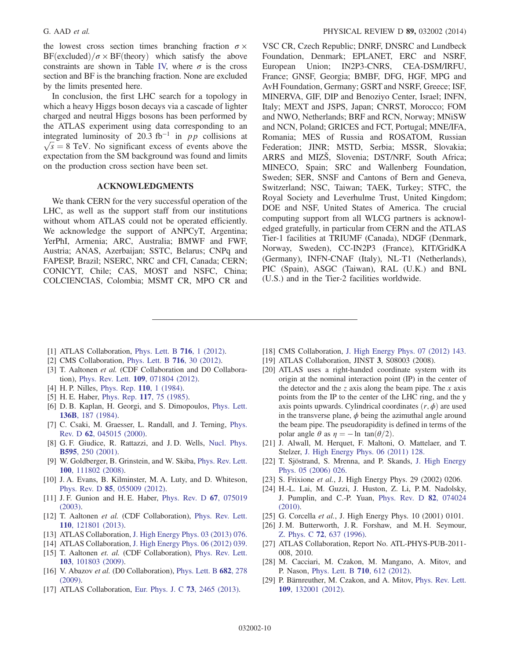the lowest cross section times branching fraction  $\sigma \times$  $BF(excluded)/\sigma \times BF(theory)$  which satisfy the above constraints are shown in Table [IV,](#page-8-0) where  $\sigma$  is the cross section and BF is the branching fraction. None are excluded by the limits presented here.

In conclusion, the first LHC search for a topology in which a heavy Higgs boson decays via a cascade of lighter charged and neutral Higgs bosons has been performed by the ATLAS experiment using data corresponding to an integrated luminosity of 20.3 fb<sup>-1</sup> in *pp* collisions at  $\sqrt{s} = 8$  TeV. No significant excess of events above the expectation from the SM background was found and limits on the production cross section have been set.

#### ACKNOWLEDGMENTS

We thank CERN for the very successful operation of the LHC, as well as the support staff from our institutions without whom ATLAS could not be operated efficiently. We acknowledge the support of ANPCyT, Argentina; YerPhI, Armenia; ARC, Australia; BMWF and FWF, Austria; ANAS, Azerbaijan; SSTC, Belarus; CNPq and FAPESP, Brazil; NSERC, NRC and CFI, Canada; CERN; CONICYT, Chile; CAS, MOST and NSFC, China; COLCIENCIAS, Colombia; MSMT CR, MPO CR and

VSC CR, Czech Republic; DNRF, DNSRC and Lundbeck Foundation, Denmark; EPLANET, ERC and NSRF, European Union; IN2P3-CNRS, CEA-DSM/IRFU, France; GNSF, Georgia; BMBF, DFG, HGF, MPG and AvH Foundation, Germany; GSRT and NSRF, Greece; ISF, MINERVA, GIF, DIP and Benoziyo Center, Israel; INFN, Italy; MEXT and JSPS, Japan; CNRST, Morocco; FOM and NWO, Netherlands; BRF and RCN, Norway; MNiSW and NCN, Poland; GRICES and FCT, Portugal; MNE/IFA, Romania; MES of Russia and ROSATOM, Russian Federation; JINR; MSTD, Serbia; MSSR, Slovakia; ARRS and MIZŠ, Slovenia; DST/NRF, South Africa; MINECO, Spain; SRC and Wallenberg Foundation, Sweden; SER, SNSF and Cantons of Bern and Geneva, Switzerland; NSC, Taiwan; TAEK, Turkey; STFC, the Royal Society and Leverhulme Trust, United Kingdom; DOE and NSF, United States of America. The crucial computing support from all WLCG partners is acknowledged gratefully, in particular from CERN and the ATLAS Tier-1 facilities at TRIUMF (Canada), NDGF (Denmark, Norway, Sweden), CC-IN2P3 (France), KIT/GridKA (Germany), INFN-CNAF (Italy), NL-T1 (Netherlands), PIC (Spain), ASGC (Taiwan), RAL (U.K.) and BNL (U.S.) and in the Tier-2 facilities worldwide.

- <span id="page-9-0"></span>[1] ATLAS Collaboration, *[Phys. Lett. B](http://dx.doi.org/10.1016/j.physletb.2012.08.020)* **716**, 1 (2012).
- <span id="page-9-1"></span>[2] CMS Collaboration, [Phys. Lett. B](http://dx.doi.org/10.1016/j.physletb.2012.08.021) 716, 30 (2012).
- <span id="page-9-2"></span>[3] T. Aaltonen et al. (CDF Collaboration and D0 Collaboration), Phys. Rev. Lett. 109[, 071804 \(2012\)](http://dx.doi.org/10.1103/PhysRevLett.109.071804).
- <span id="page-9-3"></span>[4] H. P. Nilles, [Phys. Rep.](http://dx.doi.org/10.1016/0370-1573(84)90008-5) 110, 1 (1984).
- [5] H. E. Haber, *Phys. Rep.* **117**[, 75 \(1985\).](http://dx.doi.org/10.1016/0370-1573(85)90051-1)
- <span id="page-9-4"></span>[6] D. B. Kaplan, H. Georgi, and S. Dimopoulos, [Phys. Lett.](http://dx.doi.org/10.1016/0370-2693(84)91178-X) 136B[, 187 \(1984\).](http://dx.doi.org/10.1016/0370-2693(84)91178-X)
- <span id="page-9-5"></span>[7] C. Csaki, M. Graesser, L. Randall, and J. Terning, [Phys.](http://dx.doi.org/10.1103/PhysRevD.62.045015) Rev. D 62[, 045015 \(2000\)](http://dx.doi.org/10.1103/PhysRevD.62.045015).
- [8] G. F. Giudice, R. Rattazzi, and J. D. Wells, [Nucl. Phys.](http://dx.doi.org/10.1016/S0550-3213(00)00686-6) B595[, 250 \(2001\).](http://dx.doi.org/10.1016/S0550-3213(00)00686-6)
- <span id="page-9-6"></span>[9] W. Goldberger, B. Grinstein, and W. Skiba, [Phys. Rev. Lett.](http://dx.doi.org/10.1103/PhysRevLett.100.111802) 100[, 111802 \(2008\).](http://dx.doi.org/10.1103/PhysRevLett.100.111802)
- <span id="page-9-7"></span>[10] J. A. Evans, B. Kilminster, M. A. Luty, and D. Whiteson, Phys. Rev. D 85[, 055009 \(2012\)](http://dx.doi.org/10.1103/PhysRevD.85.055009).
- <span id="page-9-8"></span>[11] J. F. Gunion and H. E. Haber, [Phys. Rev. D](http://dx.doi.org/10.1103/PhysRevD.67.075019) 67, 075019 [\(2003\).](http://dx.doi.org/10.1103/PhysRevD.67.075019)
- <span id="page-9-9"></span>[12] T. Aaltonen et al. (CDF Collaboration), [Phys. Rev. Lett.](http://dx.doi.org/10.1103/PhysRevLett.110.121801) 110[, 121801 \(2013\).](http://dx.doi.org/10.1103/PhysRevLett.110.121801)
- <span id="page-9-10"></span>[13] ATLAS Collaboration, [J. High Energy Phys. 03 \(2013\) 076.](http://dx.doi.org/10.1007/JHEP03(2013)076)
- [14] ATLAS Collaboration, [J. High Energy Phys. 06 \(2012\) 039.](http://dx.doi.org/10.1007/JHEP06(2012)039)
- [15] T. Aaltonen et. al. (CDF Collaboration), [Phys. Rev. Lett.](http://dx.doi.org/10.1103/PhysRevLett.103.101803) 103[, 101803 \(2009\).](http://dx.doi.org/10.1103/PhysRevLett.103.101803)
- [16] V. Abazov et al. (D0 Collaboration), [Phys. Lett. B](http://dx.doi.org/10.1016/j.physletb.2009.11.016) 682, 278 [\(2009\).](http://dx.doi.org/10.1016/j.physletb.2009.11.016)
- [17] ATLAS Collaboration, [Eur. Phys. J. C](http://dx.doi.org/10.1140/epjc/s10052-013-2465-z) 73, 2465 (2013).
- [18] CMS Collaboration, [J. High Energy Phys. 07 \(2012\) 143.](http://dx.doi.org/10.1007/JHEP07(2012)143)
- <span id="page-9-11"></span>[19] ATLAS Collaboration, JINST 3, S08003 (2008).
- <span id="page-9-12"></span>[20] ATLAS uses a right-handed coordinate system with its origin at the nominal interaction point (IP) in the center of the detector and the z axis along the beam pipe. The  $x$  axis points from the IP to the center of the LHC ring, and the y axis points upwards. Cylindrical coordinates  $(r, \phi)$  are used in the transverse plane,  $\phi$  being the azimuthal angle around the beam pipe. The pseudorapidity is defined in terms of the polar angle  $\theta$  as  $\eta = -\ln \tan(\theta/2)$ .
- <span id="page-9-13"></span>[21] J. Alwall, M. Herquet, F. Maltoni, O. Mattelaer, and T. Stelzer, [J. High Energy Phys. 06 \(2011\) 128.](http://dx.doi.org/10.1007/JHEP06(2011)128)
- <span id="page-9-14"></span>[22] T. Sjöstrand, S. Mrenna, and P. Skands, [J. High Energy](http://dx.doi.org/10.1088/1126-6708/2006/05/026) [Phys. 05 \(2006\) 026.](http://dx.doi.org/10.1088/1126-6708/2006/05/026)
- <span id="page-9-15"></span>[23] S. Frixione et al., J. High Energy Phys. 29 (2002) 0206.
- <span id="page-9-16"></span>[24] H.-L. Lai, M. Guzzi, J. Huston, Z. Li, P.M. Nadolsky, J. Pumplin, and C.-P. Yuan, [Phys. Rev. D](http://dx.doi.org/10.1103/PhysRevD.82.074024) 82, 074024 [\(2010\).](http://dx.doi.org/10.1103/PhysRevD.82.074024)
- <span id="page-9-17"></span>[25] G. Corcella *et al.*, J. High Energy Phys. 10 (2001) 0101.
- <span id="page-9-18"></span>[26] J. M. Butterworth, J. R. Forshaw, and M. H. Seymour, Z. Phys. C 72[, 637 \(1996\).](http://dx.doi.org/10.1007/s002880050286)
- <span id="page-9-19"></span>[27] ATLAS Collaboration, Report No. ATL-PHYS-PUB-2011- 008, 2010.
- <span id="page-9-20"></span>[28] M. Cacciari, M. Czakon, M. Mangano, A. Mitov, and P. Nason, [Phys. Lett. B](http://dx.doi.org/10.1016/j.physletb.2012.03.013) 710, 612 (2012).
- [29] P. Bärnreuther, M. Czakon, and A. Mitov, [Phys. Rev. Lett.](http://dx.doi.org/10.1103/PhysRevLett.109.132001) 109[, 132001 \(2012\).](http://dx.doi.org/10.1103/PhysRevLett.109.132001)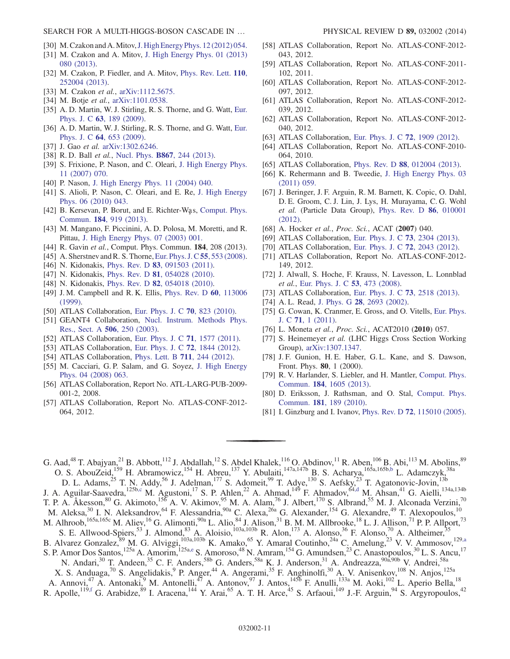SEARCH FOR A MULTI-HIGGS-BOSON CASCADE IN … PHYSICAL REVIEW D 89, 032002 (2014)

- [30] M. Czakon and A. Mitov, [J. High Energy Phys. 12 \(2012\) 054.](http://dx.doi.org/10.1007/JHEP12(2012)054)
- [31] M. Czakon and A. Mitov, [J. High Energy Phys. 01 \(2013\)](http://dx.doi.org/10.1007/JHEP01(2013)080) [080 \(2013\)](http://dx.doi.org/10.1007/JHEP01(2013)080).
- [32] M. Czakon, P. Fiedler, and A. Mitov, [Phys. Rev. Lett.](http://dx.doi.org/10.1103/PhysRevLett.110.252004) 110, [252004 \(2013\).](http://dx.doi.org/10.1103/PhysRevLett.110.252004)
- [33] M. Czakon et al., [arXiv:1112.5675.](http://arXiv.org/abs/1112.5675)
- <span id="page-10-0"></span>[34] M. Botje et al., [arXiv:1101.0538.](http://arXiv.org/abs/1101.0538)
- <span id="page-10-1"></span>[35] A. D. Martin, W. J. Stirling, R. S. Thorne, and G. Watt, [Eur.](http://dx.doi.org/10.1140/epjc/s10052-009-1072-5) Phys. J. C 63[, 189 \(2009\).](http://dx.doi.org/10.1140/epjc/s10052-009-1072-5)
- [36] A. D. Martin, W. J. Stirling, R. S. Thorne, and G. Watt, [Eur.](http://dx.doi.org/10.1140/epjc/s10052-009-1164-2) Phys. J. C 64[, 653 \(2009\).](http://dx.doi.org/10.1140/epjc/s10052-009-1164-2)
- [37] J. Gao et al. [arXiv:1302.6246.](http://arXiv.org/abs/1302.6246)
- <span id="page-10-2"></span>[38] R. D. Ball et al., Nucl. Phys. **B867**[, 244 \(2013\).](http://dx.doi.org/10.1016/j.nuclphysb.2012.10.003)
- <span id="page-10-3"></span>[39] S. Frixione, P. Nason, and C. Oleari, [J. High Energy Phys.](http://dx.doi.org/10.1088/1126-6708/2007/11/070) [11 \(2007\) 070.](http://dx.doi.org/10.1088/1126-6708/2007/11/070)
- [40] P. Nason, [J. High Energy Phys. 11 \(2004\) 040.](http://dx.doi.org/10.1088/1126-6708/2004/11/040)
- [41] S. Alioli, P. Nason, C. Oleari, and E. Re, [J. High Energy](http://dx.doi.org/10.1007/JHEP06(2010)043) [Phys. 06 \(2010\) 043.](http://dx.doi.org/10.1007/JHEP06(2010)043)
- <span id="page-10-4"></span>[42] B. Kersevan, P. Borut, and E. Richter-Was, [Comput. Phys.](http://dx.doi.org/10.1016/j.cpc.2012.10.032) Commun. 184[, 919 \(2013\)](http://dx.doi.org/10.1016/j.cpc.2012.10.032).
- <span id="page-10-5"></span>[43] M. Mangano, F. Piccinini, A. D. Polosa, M. Moretti, and R. Pittau, [J. High Energy Phys. 07 \(2003\) 001.](http://dx.doi.org/10.1088/1126-6708/2003/07/001)
- <span id="page-10-6"></span>[44] R. Gavin et al., Comput. Phys. Commun. **184**, 208 (2013).
- [45] A. Sherstnev and R. S. Thorne, [Eur. Phys. J. C](http://dx.doi.org/10.1140/epjc/s10052-008-0610-x) 55, 553 (2008).
- <span id="page-10-7"></span>[46] N. Kidonakis, Phys. Rev. D **83**[, 091503 \(2011\).](http://dx.doi.org/10.1103/PhysRevD.83.091503)
- [47] N. Kidonakis, Phys. Rev. D **81**[, 054028 \(2010\).](http://dx.doi.org/10.1103/PhysRevD.81.054028)
- [48] N. Kidonakis, Phys. Rev. D **82**[, 054018 \(2010\).](http://dx.doi.org/10.1103/PhysRevD.82.054018)
- <span id="page-10-8"></span>[49] J. M. Campbell and R. K. Ellis, *[Phys. Rev. D](http://dx.doi.org/10.1103/PhysRevD.60.113006)* 60, 113006 [\(1999\).](http://dx.doi.org/10.1103/PhysRevD.60.113006)
- <span id="page-10-9"></span>[50] ATLAS Collaboration, [Eur. Phys. J. C](http://dx.doi.org/10.1140/epjc/s10052-010-1429-9) 70, 823 (2010).
- <span id="page-10-10"></span>[51] GEANT4 Collaboration, [Nucl. Instrum. Methods Phys.](http://dx.doi.org/10.1016/S0168-9002(03)01368-8) [Res., Sect. A](http://dx.doi.org/10.1016/S0168-9002(03)01368-8) 506, 250 (2003).
- <span id="page-10-11"></span>[52] ATLAS Collaboration, [Eur. Phys. J. C](http://dx.doi.org/10.1140/epjc/s10052-011-1577-6) 71, 1577 (2011).
- <span id="page-10-12"></span>[53] ATLAS Collaboration, [Eur. Phys. J. C](http://dx.doi.org/10.1140/epjc/s10052-011-1844-6) 72, 1844 (2012).
- <span id="page-10-13"></span>[54] ATLAS Collaboration, [Phys. Lett. B](http://dx.doi.org/10.1016/j.physletb.2012.03.083) 711, 244 (2012).
- <span id="page-10-14"></span>[55] M. Cacciari, G. P. Salam, and G. Soyez, [J. High Energy](http://dx.doi.org/10.1088/1126-6708/2008/04/063) [Phys. 04 \(2008\) 063.](http://dx.doi.org/10.1088/1126-6708/2008/04/063)
- <span id="page-10-15"></span>[56] ATLAS Collaboration, Report No. ATL-LARG-PUB-2009- 001-2, 2008.
- <span id="page-10-16"></span>[57] ATLAS Collaboration, Report No. ATLAS-CONF-2012- 064, 2012.
- <span id="page-10-17"></span>[58] ATLAS Collaboration, Report No. ATLAS-CONF-2012- 043, 2012.
- <span id="page-10-18"></span>[59] ATLAS Collaboration, Report No. ATLAS-CONF-2011- 102, 2011.
- [60] ATLAS Collaboration, Report No. ATLAS-CONF-2012- 097, 2012.
- [61] ATLAS Collaboration, Report No. ATLAS-CONF-2012- 039, 2012.
- [62] ATLAS Collaboration, Report No. ATLAS-CONF-2012- 040, 2012.
- <span id="page-10-19"></span>[63] ATLAS Collaboration, [Eur. Phys. J. C](http://dx.doi.org/10.1140/epjc/s10052-012-1909-1) 72, 1909 (2012).
- <span id="page-10-20"></span>[64] ATLAS Collaboration, Report No. ATLAS-CONF-2010- 064, 2010.
- <span id="page-10-21"></span>[65] ATLAS Collaboration, Phys. Rev. D 88[, 012004 \(2013\).](http://dx.doi.org/10.1103/PhysRevD.88.012004)
- [66] K. Rehermann and B. Tweedie, [J. High Energy Phys. 03](http://dx.doi.org/10.1007/JHEP03(2011)059) [\(2011\) 059.](http://dx.doi.org/10.1007/JHEP03(2011)059)
- <span id="page-10-22"></span>[67] J. Beringer, J. F. Arguin, R. M. Barnett, K. Copic, O. Dahl, D. E. Groom, C. J. Lin, J. Lys, H. Murayama, C. G. Wohl et al. (Particle Data Group), [Phys. Rev. D](http://dx.doi.org/10.1103/PhysRevD.86.010001) 86, 010001 [\(2012\).](http://dx.doi.org/10.1103/PhysRevD.86.010001)
- <span id="page-10-23"></span>[68] A. Hocker et al., Proc. Sci., ACAT (2007) 040.
- <span id="page-10-24"></span>[69] ATLAS Collaboration, [Eur. Phys. J. C](http://dx.doi.org/10.1140/epjc/s10052-013-2304-2) 73, 2304 (2013).
- <span id="page-10-25"></span>[70] ATLAS Collaboration, [Eur. Phys. J. C](http://dx.doi.org/10.1140/epjc/s10052-012-2043-9) 72, 2043 (2012).
- <span id="page-10-26"></span>[71] ATLAS Collaboration, Report No. ATLAS-CONF-2012- 149, 2012.
- <span id="page-10-27"></span>[72] J. Alwall, S. Hoche, F. Krauss, N. Lavesson, L. Lonnblad et al., [Eur. Phys. J. C](http://dx.doi.org/10.1140/epjc/s10052-007-0490-5) 53, 473 (2008).
- <span id="page-10-28"></span>[73] ATLAS Collaboration, [Eur. Phys. J. C](http://dx.doi.org/10.1140/epjc/s10052-013-2518-3) 73, 2518 (2013).
- <span id="page-10-29"></span>[74] A. L. Read, J. Phys. G **28**[, 2693 \(2002\).](http://dx.doi.org/10.1088/0954-3899/28/10/313)
- <span id="page-10-30"></span>[75] G. Cowan, K. Cranmer, E. Gross, and O. Vitells, [Eur. Phys.](http://dx.doi.org/10.1140/epjc/s10052-011-1554-0) J. C 71[, 1 \(2011\)](http://dx.doi.org/10.1140/epjc/s10052-011-1554-0).
- <span id="page-10-31"></span>[76] L. Moneta et al., Proc. Sci., ACAT2010 (2010) 057.
- <span id="page-10-32"></span>[77] S. Heinemeyer et al. (LHC Higgs Cross Section Working Group), [arXiv:1307.1347.](http://arXiv.org/abs/1307.1347)
- <span id="page-10-33"></span>[78] J. F. Gunion, H. E. Haber, G. L. Kane, and S. Dawson, Front. Phys. 80, 1 (2000).
- <span id="page-10-34"></span>[79] R. V. Harlander, S. Liebler, and H. Mantler, [Comput. Phys.](http://dx.doi.org/10.1016/j.cpc.2013.02.006) Commun. 184[, 1605 \(2013\)](http://dx.doi.org/10.1016/j.cpc.2013.02.006).
- <span id="page-10-35"></span>[80] D. Eriksson, J. Rathsman, and O. Stal, [Comput. Phys.](http://dx.doi.org/10.1016/j.cpc.2009.09.011) Commun. 181[, 189 \(2010\)](http://dx.doi.org/10.1016/j.cpc.2009.09.011).
- <span id="page-10-36"></span>[81] I. Ginzburg and I. Ivanov, Phys. Rev. D 72[, 115010 \(2005\).](http://dx.doi.org/10.1103/PhysRevD.72.115010)

G. Aad,<sup>48</sup> T. Abajyan,<sup>21</sup> B. Abbott,<sup>112</sup> J. Abdallah,<sup>12</sup> S. Abdel Khalek,<sup>116</sup> O. Abdinov,<sup>11</sup> R. Aben,<sup>106</sup> B. Abi,<sup>113</sup> M. Abolins,<sup>89</sup> O. S. AbouZeid,<sup>159</sup> H. Abramowicz,<sup>154</sup> H. Abreu,<sup>137</sup> Y. Abulaiti,<sup>147a,147b</sup> B. S. Acharya,<sup>165a,165b[,b](#page-22-0)</sup> L. Adamczyk,<sup>38a</sup> D. L. Adams,<sup>25</sup> T. N. Addy,<sup>56</sup> J. Adelman,<sup>177</sup> S. Adomeit,<sup>99</sup> T. Adye,<sup>130</sup> S. Aefsky,<sup>23</sup> T. Agatonovic-Jovin,<sup>13b</sup>

J. A. Aguilar-Saavedra,<sup>125b[,c](#page-22-1)</sup> M. Agustoni,<sup>17</sup> S. P. Ahlen,<sup>22</sup> A. Ahmad,<sup>149</sup> F. Ahmadov,<sup>64[,d](#page-22-2)</sup> M. Ahsan,<sup>41</sup> G. Aielli,<sup>134a,134b</sup> T. P. A. Åkesson,<sup>80</sup> G. Akimoto,<sup>156</sup> A. V. Akimov,<sup>95</sup> M. A. Alam,<sup>76</sup> J. Albert,<sup>170</sup> S. Albrand,<sup>55</sup> M. J. Alconada Verzini,<sup>70</sup> M. Aleksa,<sup>30</sup> I. N. Aleksandrov,<sup>64</sup> F. Alessandria,<sup>90a</sup> C. Alexa,<sup>26a</sup> G. Alexander,<sup>154</sup> G. Alexandre,<sup>49</sup> T. Alexopoulos,<sup>10</sup>

M. Alhroob, <sup>165a, 165c</sup> M. Aliev, <sup>16</sup> G. Alimonti, <sup>90a</sup> L. Alio, <sup>84</sup> J. Alison, <sup>31</sup> B. M. M. Allbrooke, <sup>18</sup> L. J. Allison, <sup>71</sup> P. P. Allport, <sup>73</sup>

- S. E. Allwood-Spiers,<sup>53</sup> J. Almond,<sup>83</sup> A. Aloisio,<sup>103a,103b</sup> R. Alon,<sup>173</sup> A. Alonso,<sup>36</sup> F. Alonso,<sup>70</sup> A. Altheimer,<sup>35</sup> B. Alvarez Gonzalez, <sup>89</sup> M. G. Alviggi,<sup>103a,103b</sup> K. Amako, <sup>65</sup> Y. Amaral Coutinho, <sup>24a</sup> C. Amelung, <sup>23</sup> V. V. Ammosov, <sup>12[9,a](#page-22-3)</sup>
- S. P. Amor Dos Santos,<sup>125a</sup> A. Amorim,<sup>125a[,e](#page-22-4)</sup> S. Amoroso,<sup>48</sup> N. Amram,<sup>154</sup> G. Amundsen,<sup>23</sup> C. Anastopoulos,<sup>30</sup> L. S. Ancu,<sup>17</sup>

N. Andari,<sup>30</sup> T. Andeen,<sup>35</sup> C. F. Anders,<sup>58b</sup> G. Anders,<sup>58a</sup> K. J. Anderson,<sup>31</sup> A. Andreazza,<sup>90a,90b</sup> V. Andrei,<sup>58a</sup>

X. S. Anduaga,<sup>70</sup> S. Angelidakis,<sup>9</sup> P. Anger,<sup>44</sup> A. Angerami,<sup>35</sup> F. Anghinolfi,<sup>30</sup> A. V. Anisenkov,<sup>108</sup> N. Anjos,<sup>125a</sup>

A. Annovi,<sup>47</sup> A. Antonaki,<sup>9</sup> M. Antonelli,<sup>47</sup> A. Antonov,<sup>97</sup> J. Antos,<sup>145b</sup> F. Anulli,<sup>133a</sup> M. Aoki,<sup>102</sup> L. Aperio Bella,<sup>18</sup> R. Apolle,<sup>119[,f](#page-22-5)</sup> G. Arabidze,<sup>89</sup> I. Aracena,<sup>144</sup> Y. Arai,<sup>65</sup> A. T. H. Arce,<sup>45</sup> S. Arfaoui,<sup>149</sup> J.-F. Arguin,<sup>94</sup> S. Argyropoulos,<sup>42</sup>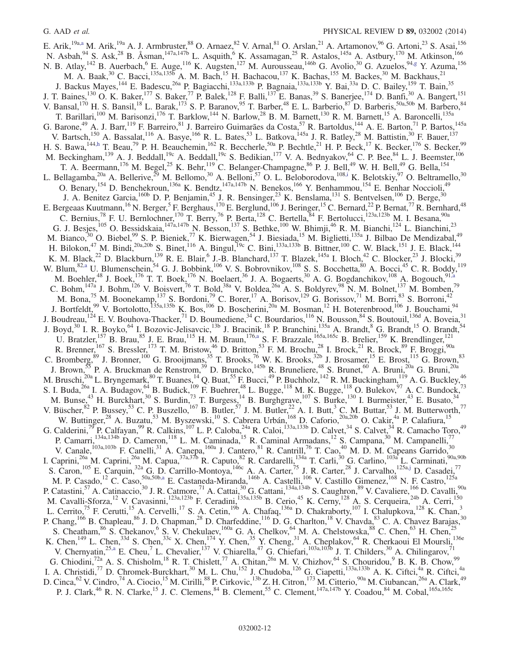E. Arik,<sup>19a[,a](#page-22-3)</sup> M. Arik,<sup>19a</sup> A. J. Armbruster,<sup>88</sup> O. Arnaez,<sup>82</sup> V. Arnal,<sup>81</sup> O. Arslan,<sup>21</sup> A. Artamonov,<sup>96</sup> G. Artoni,<sup>23</sup> S. Asai,<sup>156</sup> N. Asbah,<sup>94</sup> S. Ask,<sup>28</sup> B. Åsman,<sup>147a,147b</sup> L. Asquith,<sup>6</sup> K. Assamagan,<sup>25</sup> R. Astalos,<sup>145a</sup> A. Astbury,<sup>170</sup> M. Atkinson,<sup>166</sup> N. B. Atlay,<sup>142</sup> B. Auerbach,<sup>6</sup> E. Auge,<sup>116</sup> K. Augsten,<sup>127</sup> M. Aurousseau,<sup>146b</sup> G. Avolio,<sup>30</sup> G. Azuelos,<sup>94[,g](#page-22-6)</sup> Y. Azuma,<sup>156</sup> M. A. Baak,<sup>30</sup> C. Bacci,<sup>135a,1355</sup> A. M. Bach,<sup>15</sup> H. Bachacou,<sup>137</sup> K. Bachas,<sup>155</sup> M. Backes,<sup>30</sup> M. Backhaus,<sup>21</sup> J. Backus Mayes,<sup>144</sup> E. Badescu,<sup>26a</sup> P. Bagiacchi,<sup>133a,133b</sup> P. Bagnaia,<sup>133a,133b</sup> Y. Bai,<sup>33a</sup> D. C. Bailey,<sup>159</sup> T. Bain,<sup>35</sup> J. T. Baines,<sup>130</sup> O. K. Baker,<sup>177</sup> S. Baker,<sup>77</sup> P. Balek,<sup>128</sup> F. Balli,<sup>137</sup> E. Banas,<sup>39</sup> S. Banerjee,<sup>174</sup> D. Banfi,<sup>30</sup> A. Bangert,<sup>151</sup> V. Bansal,<sup>170</sup> H. S. Bansil,<sup>18</sup> L. Barak,<sup>173</sup> S. P. Baranov,<sup>95</sup> T. Barber,<sup>48</sup> E. L. Barberio,<sup>87</sup> D. Barberis,<sup>50a,50b</sup> M. Barbero,<sup>84</sup> T. Barillari,<sup>100</sup> M. Barisonzi,<sup>176</sup> T. Barklow,<sup>144</sup> N. Barlow,<sup>28</sup> B. M. Barnett,<sup>130</sup> R. M. Barnett,<sup>15</sup> A. Baroncelli,<sup>135a</sup> G. Barone,<sup>49</sup> A. J. Barr,<sup>119</sup> F. Barreiro,<sup>81</sup> J. Barreiro Guimarães da Costa,<sup>57</sup> R. Bartoldus,<sup>144</sup> A. E. Barton,<sup>71</sup> P. Bartos,<sup>145a</sup> V. Bartsch,<sup>150</sup> A. Bassalat,<sup>116</sup> A. Basye,<sup>166</sup> R. L. Bates,<sup>53</sup> L. Batkova,<sup>145a</sup> J. R. Batley,<sup>28</sup> M. Battistin,<sup>30</sup> F. Bauer,<sup>137</sup> H. S. Bawa,  $144, h$  T. Beau,  $79$  P. H. Beauchemin,  $162$  R. Beccherle,  $50a$  P. Bechtle,  $21$  H. P. Beck,  $17$  K. Becker,  $176$  S. Becker,  $99$ M. Beckingham,<sup>139</sup> A. J. Beddall,<sup>19c</sup> A. Beddall,<sup>19c</sup> S. Bedikian,<sup>177</sup> V. A. Bednyakov,<sup>64</sup> C. P. Bee,<sup>84</sup> L. J. Beemster,<sup>106</sup> T. A. Beermann,<sup>176</sup> M. Begel,<sup>25</sup> K. Behr,<sup>119</sup> C. Belanger-Champagne,<sup>86</sup> P. J. Bell,<sup>49</sup> W. H. Bell,<sup>49</sup> G. Bella,<sup>154</sup> L. Bellagamba,<sup>20a</sup> A. Bellerive,<sup>29</sup> M. Bellomo,<sup>30</sup> A. Belloni,<sup>57</sup> O. L. Beloborodova,<sup>108[,i](#page-22-8)</sup> K. Belotskiy,<sup>97</sup> O. Beltramello,<sup>30</sup> O. Benary,<sup>154</sup> D. Benchekroun,<sup>136a</sup> K. Bendtz,<sup>147a,147b</sup> N. Benekos,<sup>166</sup> Y. Benhammou,<sup>154</sup> E. Benhar Noccioli,<sup>49</sup> J. A. Benitez Garcia,<sup>160b</sup> D. P. Benjamin,<sup>45</sup> J. R. Bensinger,<sup>23</sup> K. Benslama,<sup>131</sup> S. Bentvelsen,<sup>106</sup> D. Berge,<sup>30</sup> E. Bergeaas Kuutmann,<sup>16</sup> N. Berger,<sup>5</sup> F. Berghaus,<sup>170</sup> E. Berglund,<sup>106</sup> J. Beringer,<sup>15</sup> C. Bernard,<sup>22</sup> P. Bernat,<sup>77</sup> R. Bernhard,<sup>48</sup> C. Bernius,<sup>78</sup> F. U. Bernlochner,<sup>170</sup> T. Berry,<sup>76</sup> P. Berta,<sup>128</sup> C. Bertella, <sup>84</sup> F. Bertolucci,<sup>123a,123b</sup> M. I. Besana,<sup>90a</sup> G. J. Besjes,<sup>105</sup> O. Bessidskaia,<sup>147a,147b</sup> N. Besson,<sup>137</sup> S. Bethke,<sup>100</sup> W. Bhimji,<sup>46</sup> R. M. Bianchi,<sup>124</sup> L. Bianchini,<sup>23</sup> M. Bianco,<sup>30</sup> O. Biebel,<sup>99</sup> S. P. Bieniek,<sup>77</sup> K. Bierwagen,<sup>54</sup> J. Biesiada,<sup>15</sup> M. Biglietti,<sup>135a</sup> J. Bilbao De Mendizabal,<sup>49</sup> H. Bilokon,<sup>47</sup> M. Bindi,<sup>20a,20b</sup> S. Binet,<sup>116</sup> A. Bingul,<sup>19c</sup> C. Bini,<sup>133a,133b</sup> B. Bittner,<sup>100</sup> C. W. Black,<sup>151</sup> J. E. Black,<sup>144</sup> K. M. Black,<sup>22</sup> D. Blackburn,<sup>139</sup> R. E. Blair,<sup>6</sup> J.-B. Blanchard,<sup>137</sup> T. Blazek,<sup>145a</sup> I. Bloch,<sup>42</sup> C. Blocker,<sup>23</sup> J. Blocki,<sup>39</sup> W. Blum,  $82, a$  U. Blumenschein,  $54$  G. J. Bobbink,  $106$  V. S. Bobrovnikov,  $108$  S. S. Bocchetta,  $80$  A. Bocci,  $45$  C. R. Boddy,  $119$ M. Boehler,<sup>48</sup> J. Boek,<sup>176</sup> T. T. Boek,<sup>176</sup> N. Boelaert,<sup>36</sup> J. A. Bogaerts,<sup>30</sup> A. G. Bogdanchikov,<sup>108</sup> A. Bogouch,<sup>91[,a](#page-22-3)</sup> C. Bohm,  $147a$  J. Bohm,  $126$  V. Boisvert,  $76$  T. Bold,  $38a$  V. Boldea,  $26a$  A. S. Boldyrev,  $98$  N. M. Bolnet,  $137$  M. Bomben,  $79$ M. Bona,<sup>75</sup> M. Boonekamp,<sup>137</sup> S. Bordoni,<sup>79</sup> C. Borer,<sup>17</sup> A. Borisov,<sup>129</sup> G. Borissov,<sup>71</sup> M. Borri,<sup>83</sup> S. Borroni,<sup>42</sup> J. Bortfeldt,<sup>99</sup> V. Bortolotto,<sup>135a,135b</sup> K. Bos,<sup>106</sup> D. Boscherini,<sup>20a</sup> M. Bosman,<sup>12</sup> H. Boterenbrood,<sup>106</sup> J. Bouchami,<sup>94</sup> J. Boudreau,<sup>124</sup> E. V. Bouhova-Thacker,<sup>71</sup> D. Boumediene,<sup>34</sup> C. Bourdarios,<sup>116</sup> N. Bousson,<sup>84</sup> S. Boutouil,<sup>136d</sup> A. Boveia,<sup>31</sup> J. Boyd,<sup>30</sup> I. R. Boyko,<sup>64</sup> I. Bozovic-Jelisavcic,<sup>13b</sup> J. Bracinik,<sup>18</sup> P. Branchini,<sup>135a</sup> A. Brandt,<sup>8</sup> G. Brandt,<sup>15</sup> O. Brandt,<sup>54</sup> U. Bratzler,<sup>157</sup> B. Brau,<sup>85</sup> J. E. Brau,<sup>115</sup> H. M. Braun,<sup>17[6,a](#page-22-3)</sup> S. F. Brazzale,<sup>165a,165c</sup> B. Brelier,<sup>159</sup> K. Brendlinger,<sup>121</sup> R. Brenner,  $^{167}$  S. Bressler,  $^{173}$  T. M. Bristow,  $^{46}$  D. Britton,  $^{53}$  F. M. Brochu,  $^{28}$  I. Brock,  $^{21}$  R. Brock,  $^{89}$  F. Broggi,  $^{90a}$ C. Bromberg,  $89$  J. Bronner,  $100$  G. Brooijmans,  $35$  T. Brooks,  $76$  W. K. Brooks,  $32b$  J. Brosamer,  $15$  E. Brost,  $115$  G. Brown,  $83$ J. Brown,<sup>55</sup> P. A. Bruckman de Renstrom,<sup>39</sup> D. Bruncko,<sup>145b</sup> R. Bruneliere,<sup>48</sup> S. Brunet,<sup>60</sup> A. Bruni,<sup>20a</sup> G. Bruni,<sup>20a</sup> M. Bruschi,<sup>20a</sup> L. Bryngemark,<sup>80</sup> T. Buanes,<sup>14</sup> Q. Buat,<sup>55</sup> F. Bucci,<sup>49</sup> P. Buchholz,<sup>142</sup> R. M. Buckingham,<sup>119</sup> A. G. Buckley,<sup>46</sup> S. I. Buda,<sup>26a</sup> I. A. Budagov,<sup>64</sup> B. Budick,<sup>109</sup> F. Buehrer,<sup>48</sup> L. Bugge,<sup>118</sup> M. K. Bugge,<sup>118</sup> O. Bulekov,<sup>97</sup> A. C. Bundock,<sup>73</sup> M. Bunse,<sup>43</sup> H. Burckhart,<sup>30</sup> S. Burdin,<sup>73</sup> T. Burgess,<sup>14</sup> B. Burghgrave,<sup>107</sup> S. Burke,<sup>130</sup> I. Burmeister,<sup>43</sup> E. Busato,<sup>34</sup> V. Büscher,  $82$  P. Bussey,  $53$  C. P. Buszello,  $167$  B. Butler,  $57$  J. M. Butler,  $22$  A. I. Butt,  $3$  C. M. Buttar,  $53$  J. M. Butterworth,  $77$ W. Buttinger,<sup>28</sup> A. Buzatu,<sup>53</sup> M. Byszewski,<sup>10</sup> S. Cabrera Urbán,<sup>168</sup> D. Caforio,<sup>20a,20b</sup> O. Cakir,<sup>4a</sup> P. Calafiura,<sup>15</sup> G. Calderini,<sup>79</sup> P. Calfayan,<sup>99</sup> R. Calkins,<sup>107</sup> L. P. Caloba,<sup>24a</sup> R. Caloi,<sup>133a,133b</sup> D. Calvet,<sup>34</sup> S. Calvet,<sup>34</sup> R. Camacho Toro,<sup>49</sup> P. Camarri,<sup>134a,134b</sup> D. Cameron,<sup>118</sup> L. M. Caminada,<sup>15</sup> R. Caminal Armadans,<sup>12</sup> S. Campana,<sup>30</sup> M. Campanelli,<sup>77</sup> V. Canale,<sup>103a,103b</sup> F. Canelli,<sup>31</sup> A. Canepa,<sup>160a</sup> J. Cantero,<sup>81</sup> R. Cantrill,<sup>76</sup> T. Cao,<sup>40</sup> M. D. M. Capeans Garrido,<sup>30</sup> I. Caprini,<sup>26a</sup> M. Caprini,<sup>26a</sup> M. Capua,<sup>37a,37b</sup> R. Caputo,<sup>82</sup> R. Cardarelli,<sup>134a</sup> T. Carli,<sup>30</sup> G. Carlino,<sup>103a</sup> L. Carminati,<sup>90a,90b</sup> S. Caron,<sup>105</sup> E. Carquin,<sup>32a</sup> G. D. Carrillo-Montoya,<sup>146c</sup> A. A. Carter,<sup>75</sup> J. R. Carter,<sup>28</sup> J. Carvalho,<sup>125a[,j](#page-22-9)</sup> D. Casadei,<sup>77</sup> M. P. Casado, <sup>12</sup> C. Caso, <sup>50a, 50b, a</sup> E. Castaneda-Miranda, <sup>146b</sup> A. Castelli, <sup>106</sup> V. Castillo Gimenez, <sup>168</sup> N. F. Castro, <sup>125a</sup> P. Catastini,<sup>57</sup> A. Catinaccio,<sup>30</sup> J. R. Catmore,<sup>71</sup> A. Cattai,<sup>30</sup> G. Cattani,<sup>134a,134b</sup> S. Caughron,<sup>89</sup> V. Cavaliere,<sup>166</sup> D. Cavalli,<sup>90a</sup> M. Cavalli-Sforza,<sup>12</sup> V. Cavasinni,<sup>123a,123b</sup> F. Ceradini,<sup>135a,135b</sup> B. Cerio,<sup>45</sup> K. Cerny,<sup>128</sup> A. S. Cerqueira,<sup>24b</sup> A. Cerri,<sup>150</sup> L. Cerrito,<sup>75</sup> F. Cerutti,<sup>15</sup> A. Cervelli,<sup>17</sup> S. A. Cetin,<sup>19b</sup> A. Chafaq,<sup>136a</sup> D. Chakraborty,<sup>107</sup> I. Chalupkova,<sup>128</sup> K. Chan,<sup>3</sup> P. Chang, <sup>166</sup> B. Chapleau, <sup>86</sup> J. D. Chapman, <sup>28</sup> D. Charfeddine, <sup>116</sup> D. G. Charlton, <sup>18</sup> V. Chavda, <sup>83</sup> C. A. Chavez Barajas, <sup>30</sup> S. Cheatham,  $86$  S. Chekanov, <sup>6</sup> S. V. Chekulaev,  $160a$  G. A. Chelkov,  $64$  M. A. Chelstowska,  $88$  C. Chen,  $63$  H. Chen,  $25$ K. Chen,<sup>149</sup> L. Chen,<sup>33d</sup> S. Chen,<sup>33c</sup> X. Chen,<sup>174</sup> Y. Chen,<sup>35</sup> Y. Cheng,<sup>31</sup> A. Cheplakov,<sup>64</sup> R. Cherkaoui El Moursli,<sup>136e</sup> V. Chernyatin,<sup>25[,a](#page-22-3)</sup> E. Cheu,<sup>7</sup> L. Chevalier,<sup>137</sup> V. Chiarella,<sup>47</sup> G. Chiefari,<sup>103a,103b</sup> J. T. Childers,<sup>30</sup> A. Chilingarov,<sup>71</sup> G. Chiodini,<sup>72a</sup> A. S. Chisholm,<sup>18</sup> R. T. Chislett,<sup>77</sup> A. Chitan,<sup>26a</sup> M. V. Chizhov,<sup>64</sup> S. Chouridou,<sup>9</sup> B. K. B. Chow,<sup>99</sup> I. A. Christidi,<sup>77</sup> D. Chromek-Burckhart,<sup>30</sup> M. L. Chu,<sup>152</sup> J. Chudoba,<sup>126</sup> G. Ciapetti,<sup>133a,133b</sup> A. K. Ciftci,<sup>4a</sup> R. Ciftci,<sup>4a</sup> D. Cinca,  $^{62}$  V. Cindro,  $^{74}$  A. Ciocio,  $^{15}$  M. Cirilli,  $^{88}$  P. Cirkovic,  $^{13b}$  Z. H. Citron,  $^{173}$  M. Citterio,  $^{90a}$  M. Ciubancan,  $^{26a}$  A. Clark,  $^{49}$ P. J. Clark,<sup>46</sup> R. N. Clarke,<sup>15</sup> J. C. Clemens,<sup>84</sup> B. Clement,<sup>55</sup> C. Clement,<sup>147a,147b</sup> Y. Coadou,<sup>84</sup> M. Cobal,<sup>165a,165c</sup>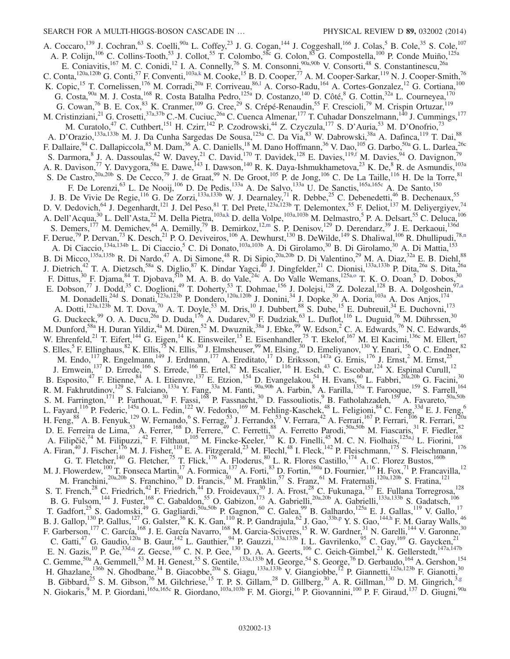A. Coccaro,<sup>139</sup> J. Cochran,<sup>63</sup> S. Coelli,<sup>90a</sup> L. Coffey,<sup>23</sup> J. G. Cogan,<sup>144</sup> J. Coggeshall,<sup>166</sup> J. Colas,<sup>5</sup> B. Cole,<sup>35</sup> S. Cole,<sup>107</sup> A. P. Colijn,<sup>106</sup> C. Collins-Tooth,<sup>53</sup> J. Collot,<sup>55</sup> T. Colombo,<sup>58c</sup> G. Colon,<sup>85</sup> G. Compostella,<sup>100</sup> P. Conde Muiño,<sup>125a</sup> E. Coniavitis,<sup>167</sup> M. C. Conidi,<sup>12</sup> I. A. Connelly,<sup>76</sup> S. M. Consonni,<sup>90a,90b</sup> V. Consorti,<sup>48</sup> S. Constantinescu,<sup>26a</sup> C. Conta,  $^{120a,120b}$  G. Conti,  $^{57}$  F. Conventi,  $^{103a,k}$  $^{103a,k}$  $^{103a,k}$  M. Cooke,  $^{15}$  B. D. Cooper,  $^{77}$  A. M. Cooper-Sarkar,  $^{119}$  N. J. Cooper-Smith,  $^{76}$ K. Copic,<sup>15</sup> T. Cornelissen,<sup>176</sup> M. Corradi,<sup>20a</sup> F. Corriveau,<sup>86,1</sup> A. Corso-Radu,<sup>164</sup> A. Cortes-Gonzalez,<sup>12</sup> G. Cortiana,<sup>100</sup> G. Costa,<sup>90a</sup> M. J. Costa,<sup>168</sup> R. Costa Batalha Pedro,<sup>125a</sup> D. Costanzo,<sup>140</sup> D. Côté,<sup>8</sup> G. Cottin,<sup>32a</sup> L. Courneyea,<sup>170</sup> G. Cowan,<sup>76</sup> B. E. Cox,<sup>83</sup> K. Cranmer,<sup>109</sup> G. Cree,<sup>29</sup> S. Crépé-Renaudin,<sup>55</sup> F. Crescioli,<sup>79</sup> M. Crispin Ortuzar,<sup>119</sup> M. Cristinziani,<sup>21</sup> G. Crosetti,<sup>37a,37b</sup> C.-M. Cuciuc,<sup>26a</sup> C. Cuenca Almenar,<sup>177</sup> T. Cuhadar Donszelmann,<sup>140</sup> J. Cummings,<sup>177</sup> M. Curatolo,<sup>47</sup> C. Cuthbert,<sup>151</sup> H. Czirr,<sup>142</sup> P. Czodrowski,<sup>44</sup> Z. Czyczula,<sup>177</sup> S. D'Auria,<sup>53</sup> M. D'Onofrio,<sup>73</sup> A. D'Orazio,<sup>133a,133b</sup> M. J. Da Cunha Sargedas De Sousa,<sup>125a</sup> C. Da Via,<sup>83</sup> W. Dabrowski,<sup>38a</sup> A. Dafinca,<sup>119</sup> T. Dai,<sup>88</sup> F. Dallaire, <sup>94</sup> C. Dallapiccola, <sup>85</sup> M. Dam, <sup>36</sup> A. C. Daniells, <sup>18</sup> M. Dano Hoffmann, <sup>36</sup> V. Dao, <sup>105</sup> G. Darbo, <sup>50a</sup> G. L. Darlea, <sup>26c</sup> S. Darmora, <sup>8</sup> J. A. Dassoulas, <sup>42</sup> W. Davey, <sup>21</sup> C. David, <sup>170</sup> T. Davidek, <sup>128</sup> E. Davies, <sup>119[,f](#page-22-5)</sup> M. Davies, <sup>94</sup> O. Davignon, <sup>79</sup> A. R. Davison,<sup>77</sup> Y. Davygora,<sup>58a</sup> E. Dawe,<sup>143</sup> I. Dawson,<sup>140</sup> R. K. Daya-Ishmukhametova,<sup>23</sup> K. De,<sup>8</sup> R. de Asmundis,<sup>103a</sup> S. De Castro,  $20a,20b$  S. De Cecco,  $79$  J. de Graat,  $99$  N. De Groot,  $105$  P. de Jong,  $106$  C. De La Taille,  $116$  H. De la Torre,  $81$ F. De Lorenzi,<sup>63</sup> L. De Nooij,<sup>106</sup> D. De Pedis,<sup>133a</sup> A. De Salvo,<sup>133a</sup> U. De Sanctis,<sup>165a,165c</sup> A. De Santo,<sup>150</sup> J. B. De Vivie De Regie,<sup>116</sup> G. De Zorzi,<sup>133a,133b</sup> W. J. Dearnaley,<sup>71</sup> R. Debbe,<sup>25</sup> C. Debenedetti,<sup>46</sup> B. Dechenaux,<sup>55</sup> D. V. Dedovich, <sup>64</sup> J. Degenhardt, <sup>121</sup> J. Del Peso, <sup>81</sup> T. Del Prete, <sup>123a,123b</sup> T. Delemontex, <sup>55</sup> F. Deliot, <sup>137</sup> M. Deliyergiyev, <sup>74</sup> A. Dell'Acqua,<sup>30</sup> L. Dell'Asta,<sup>22</sup> M. Della Pietra,<sup>103[a,k](#page-22-10)</sup> D. della Volpe,<sup>103a,103b</sup> M. Delmastro,<sup>5</sup> P. A. Delsart,<sup>55</sup> C. Deluca,<sup>106</sup> S. Demers,<sup>177</sup> M. Demichev,<sup>64</sup> A. Demilly,<sup>79</sup> B. Demirkoz,<sup>12[,m](#page-22-12)</sup> S. P. Denisov,<sup>129</sup> D. Derendarz,<sup>39</sup> J. E. Derkaoui,<sup>136d</sup> F. Derue,<sup>79</sup> P. Dervan,<sup>73</sup> K. Desch,<sup>21</sup> P. O. Deviveiros,<sup>106</sup> A. Dewhurst,<sup>130</sup> B. DeWilde,<sup>149</sup> S. Dhaliwal,<sup>106</sup> R. Dhullipudi,<sup>78[,n](#page-22-13)</sup> A. Di Ciaccio,<sup>134a,134b</sup> L. Di Ciaccio,<sup>5</sup> C. Di Donato,<sup>103a,103b</sup> A. Di Girolamo,<sup>30</sup> B. Di Girolamo,<sup>30</sup> A. Di Mattia,<sup>153</sup> B. Di Micco,<sup>135a,135b</sup> R. Di Nardo,<sup>47</sup> A. Di Simone,<sup>48</sup> R. Di Sipio,<sup>20a,20b</sup> D. Di Valentino,<sup>29</sup> M. A. Diaz,<sup>32a</sup> E. B. Diehl,<sup>88</sup> J. Dietrich,<sup>42</sup> T. A. Dietzsch,<sup>58a</sup> S. Diglio,<sup>87</sup> K. Dindar Yagci,<sup>40</sup> J. Dingfelder,<sup>21</sup> C. Dionisi,<sup>133a,133b</sup> P. Dita,<sup>26a</sup> S. Dita,<sup>26a</sup> F. Dittus,  $30$  F. Djama,  $84$  T. Djobava,  $51b$  M. A. B. do Vale,  $24c$  A. Do Valle Wemans,  $125a, o$  T. K. O. Doan,  $5$  D. Dobos,  $30$ E. Dobson,<sup>77</sup> J. Dodd,<sup>35</sup> C. Doglioni,<sup>49</sup> T. Doherty,<sup>53</sup> T. Dohmae,<sup>156</sup> J. Dolejsi,<sup>128</sup> Z. Dolezal,<sup>128</sup> B. A. Dolgoshein,<sup>9[7,a](#page-22-3)</sup> M. Donadelli,<sup>24d</sup> S. Donati,<sup>123a,123b</sup> P. Dondero,<sup>120a,120b</sup> J. Donini,<sup>34</sup> J. Dopke,<sup>30</sup> A. Doria,<sup>103a</sup> A. Dos Anjos,<sup>174</sup> A. Dotti,<sup>123a,123b</sup> M. T. Dova,<sup>70</sup> A. T. Doyle,<sup>53</sup> M. Dris,<sup>10</sup> J. Dubbert,<sup>88</sup> S. Dube,<sup>15</sup> E. Dubreuil,<sup>34</sup> E. Duchovni,<sup>173</sup> G. Duckeck, <sup>99</sup> O. A. Ducu, <sup>26a</sup> D. Duda, <sup>176</sup> A. Dudarev, <sup>30</sup> F. Dudziak, <sup>63</sup> L. Duflot, <sup>116</sup> L. Duguid, <sup>76</sup> M. Dührssen, <sup>30</sup> M. Dunford,<sup>58a</sup> H. Duran Yildiz,<sup>4a</sup> M. Düren,<sup>52</sup> M. Dwuznik,<sup>38a</sup> J. Ebke,<sup>99</sup> W. Edson,<sup>2</sup> C. A. Edwards,<sup>76</sup> N. C. Edwards,<sup>46</sup> W. Ehrenfeld,<sup>21</sup> T. Eifert,<sup>144</sup> G. Eigen,<sup>14</sup> K. Einsweiler,<sup>15</sup> E. Eisenhandler,<sup>75</sup> T. Ekelof,<sup>167</sup> M. El Kacimi,<sup>136c</sup> M. Ellert,<sup>167</sup> S. Elles,<sup>5</sup> F. Ellinghaus,<sup>82</sup> K. Ellis,<sup>75</sup> N. Ellis,<sup>30</sup> J. Elmsheuser,<sup>99</sup> M. Elsing,<sup>30</sup> D. Emeliyanov,<sup>130</sup> Y. Enari,<sup>156</sup> O. C. Endner,<sup>82</sup> M. Endo,<sup>117</sup> R. Engelmann,<sup>149</sup> J. Erdmann,<sup>177</sup> A. Ereditato,<sup>17</sup> D. Eriksson,<sup>147a</sup> G. Ernis,<sup>176</sup> J. Ernst,<sup>2</sup> M. Ernst,<sup>25</sup> J. Ernwein,<sup>137</sup> D. Errede,<sup>166</sup> S. Errede,<sup>166</sup> E. Ertel,<sup>82</sup> M. Escalier,<sup>116</sup> H. Esch,<sup>43</sup> C. Escobar,<sup>124</sup> X. Espinal Curull,<sup>12</sup> B. Esposito,<sup>47</sup> F. Etienne,<sup>84</sup> A. I. Etienvre,<sup>137</sup> E. Etzion,<sup>154</sup> D. Evangelakou,<sup>54</sup> H. Evans,<sup>60</sup> L. Fabbri,<sup>20a,20b</sup> G. Facini,<sup>30</sup> R. M. Fakhrutdinov,<sup>129</sup> S. Falciano,<sup>133a</sup> Y. Fang,<sup>33a</sup> M. Fanti,<sup>90a,90b</sup> A. Farbin,<sup>8</sup> A. Farilla,<sup>135a</sup> T. Farooque,<sup>159</sup> S. Farrell,<sup>164</sup> S. M. Farrington,<sup>171</sup> P. Farthouat,<sup>30</sup> F. Fassi,<sup>168</sup> P. Fassnacht,<sup>30</sup> D. Fassouliotis,<sup>9</sup> B. Fatholahzadeh,<sup>159</sup> A. Favareto,<sup>50a,50b</sup> L. Fayard,<sup>116</sup> P. Federic,<sup>145a</sup> O. L. Fedin,<sup>122</sup> W. Fedorko,<sup>169</sup> M. Fehling-Kaschek,<sup>48</sup> L. Feligioni,<sup>84</sup> C. Feng,<sup>33d</sup> E. J. Feng,<sup>6</sup> H. Feng,  $88$  A. B. Fenyuk,  $^{129}$  W. Fernando,  $^6$  S. Ferrag,  $^{53}$  J. Ferrando,  $^{53}$  V. Ferrara,  $^{42}$  A. Ferrari,  $^{167}$  P. Ferrari,  $^{106}$  R. Ferrari,  $^{120a}$ D. E. Ferreira de Lima,<sup>53</sup> A. Ferrer,<sup>168</sup> D. Ferrere,<sup>49</sup> C. Ferretti,<sup>88</sup> A. Ferretto Parodi,<sup>50a,50b</sup> M. Fiascaris,<sup>31</sup> F. Fiedler,<sup>82</sup> A. Filipčič,<sup>74</sup> M. Filipuzzi,<sup>42</sup> F. Filthaut,<sup>105</sup> M. Fincke-Keeler,<sup>170</sup> K. D. Finelli,<sup>45</sup> M. C. N. Fiolhais,<sup>125a[,j](#page-22-9)</sup> L. Fiorini,<sup>168</sup> A. Firan,<sup>40</sup> J. Fischer,<sup>176</sup> M. J. Fisher,<sup>110</sup> E. A. Fitzgerald,<sup>23</sup> M. Flechl,<sup>48</sup> I. Fleck,<sup>142</sup> P. Fleischmann,<sup>175</sup> S. Fleischmann,<sup>176</sup> G. T. Fletcher,<sup>140</sup> G. Fletcher,<sup>75</sup> T. Flick,<sup>176</sup> A. Floderus,<sup>80</sup> L. R. Flores Castillo,<sup>174</sup> A. C. Florez Bustos,<sup>160b</sup> M. J. Flowerdew,<sup>100</sup> T. Fonseca Martin,<sup>17</sup> A. Formica,<sup>137</sup> A. Forti,<sup>83</sup> D. Fortin,<sup>160a</sup> D. Fournier,<sup>116</sup> H. Fox,<sup>71</sup> P. Francavilla,<sup>12</sup> M. Franchini,<sup>20a,20b</sup> S. Franchino,<sup>30</sup> D. Francis,<sup>30</sup> M. Franklin,<sup>57</sup> S. Franz,<sup>61</sup> M. Fraternali,<sup>120a,120b</sup> S. Fratina,<sup>121</sup> S. T. French,<sup>28</sup> C. Friedrich,<sup>42</sup> F. Friedrich,<sup>44</sup> D. Froidevaux,<sup>30</sup> J. A. Frost,<sup>28</sup> C. Fukunaga,<sup>157</sup> E. Fullana Torregrosa,<sup>128</sup> B. G. Fulsom, <sup>144</sup> J. Fuster, <sup>168</sup> C. Gabaldon, <sup>55</sup> O. Gabizon, <sup>173</sup> A. Gabrielli, <sup>20a, 20b</sup> A. Gabrielli, <sup>133a, 133b</sup> S. Gadatsch, <sup>106</sup> T. Gadfort,<sup>25</sup> S. Gadomski,<sup>49</sup> G. Gagliardi,<sup>50a,50b</sup> P. Gagnon,<sup>60</sup> C. Galea,<sup>99</sup> B. Galhardo,<sup>125a</sup> E. J. Gallas,<sup>119</sup> V. Gallo,<sup>17</sup> B. J. Gallop,<sup>130</sup> P. Gallus,<sup>127</sup> G. Galster,<sup>36</sup> K. K. Gan,<sup>110</sup> R. P. Gandrajula,<sup>62</sup> J. Gao,<sup>33b[,p](#page-22-15)</sup> Y. S. Gao,<sup>14[4,h](#page-22-7)</sup> F. M. Garay Walls,<sup>46</sup> F. Garberson,<sup>177</sup> C. García,<sup>168</sup> J. E. García Navarro,<sup>168</sup> M. Garcia-Sciveres,<sup>15</sup> R. W. Gardner,<sup>31</sup> N. Garelli,<sup>144</sup> V. Garonne,<sup>30</sup> C. Gatti,<sup>47</sup> G. Gaudio,<sup>120a</sup> B. Gaur,<sup>142</sup> L. Gauthier,<sup>94</sup> P. Gauzzi,<sup>133a,133b</sup> I. L. Gavrilenko,<sup>95</sup> C. Gay,<sup>169</sup> G. Gaycken,<sup>21</sup> E. N. Gazis,  $^{10}$  P. Ge,  $^{33d,q}$  $^{33d,q}$  $^{33d,q}$  Z. Gecse,  $^{169}$  C. N. P. Gee,  $^{130}$  D. A. A. Geerts,  $^{106}$  C. Geich-Gimbel,  $^{21}$  K. Gellerstedt,  $^{147a,147b}$ C. Gemme,<sup>50a</sup> A. Gemmell,<sup>53</sup> M. H. Genest,<sup>55</sup> S. Gentile,<sup>133a,133b</sup> M. George,<sup>54</sup> S. George,<sup>76</sup> D. Gerbaudo,<sup>164</sup> A. Gershon,<sup>154</sup> H. Ghazlane,<sup>136b</sup> N. Ghodbane,<sup>34</sup> B. Giacobbe,<sup>20a</sup> S. Giagu,<sup>133a,133b</sup> V. Giangiobbe,<sup>12</sup> P. Giannetti,<sup>123a,123b</sup> F. Gianotti,<sup>30</sup> B. Gibbard,  $^{25}$  S. M. Gibson,  $^{76}$  M. Gilchriese,  $^{15}$  T. P. S. Gillam,  $^{28}$  D. Gillberg,  $^{30}$  A. R. Gillman,  $^{130}$  D. M. Gingrich,  $^{3,g}$  $^{3,g}$  $^{3,g}$ N. Giokaris,<sup>9</sup> M. P. Giordani,<sup>165a,165c</sup> R. Giordano,<sup>103a,103b</sup> F. M. Giorgi,<sup>16</sup> P. Giovannini,<sup>100</sup> P. F. Giraud,<sup>137</sup> D. Giugni,<sup>90a</sup>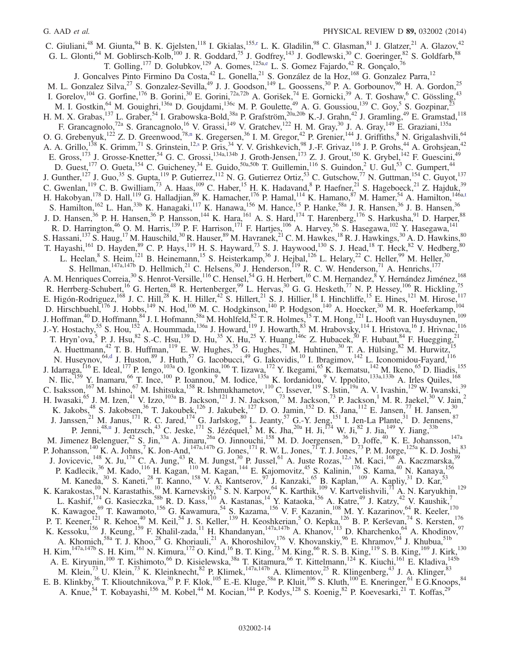C. Giuliani,<sup>48</sup> M. Giunta,<sup>94</sup> B. K. Gjelsten,<sup>118</sup> I. Gkialas,<sup>155[,r](#page-22-17)</sup> L. K. Gladilin,<sup>98</sup> C. Glasman,<sup>81</sup> J. Glatzer,<sup>21</sup> A. Glazov,<sup>42</sup> G. L. Glonti, <sup>64</sup> M. Goblirsch-Kolb,<sup>100</sup> J. R. Goddard, <sup>75</sup> J. Godfrey, <sup>143</sup> J. Godlewski, <sup>30</sup> C. Goeringer, <sup>82</sup> S. Goldfarb, <sup>88</sup> T. Golling,<sup>177</sup> D. Golubkov,<sup>129</sup> A. Gomes,<sup>125a[,e](#page-22-4)</sup> L. S. Gomez Fajardo,<sup>42</sup> R. Gonçalo,<sup>76</sup> J. Goncalves Pinto Firmino Da Costa, <sup>42</sup> L. Gonella, <sup>21</sup> S. González de la Hoz, <sup>168</sup> G. Gonzalez Parra, <sup>12</sup> M. L. Gonzalez Silva,<sup>27</sup> S. Gonzalez-Sevilla,<sup>49</sup> J. J. Goodson,<sup>149</sup> L. Goossens,<sup>30</sup> P. A. Gorbounov,<sup>96</sup> H. A. Gordon,<sup>25</sup> I. Gorelov,<sup>104</sup> G. Gorfine,<sup>176</sup> B. Gorini,<sup>30</sup> E. Gorini,<sup>72a,72b</sup> A. Gorišek,<sup>74</sup> E. Gornicki,<sup>39</sup> A. T. Goshaw,<sup>6</sup> C. Gössling,<sup>43</sup> M. I. Gostkin, <sup>64</sup> M. Gouighri, <sup>136a</sup> D. Goujdami, <sup>136c</sup> M. P. Goulette, <sup>49</sup> A. G. Goussiou, <sup>139</sup> C. Goy, 5 S. Gozpinar, <sup>23</sup> H. M. X. Grabas,<sup>137</sup> L. Graber,<sup>54</sup> I. Grabowska-Bold,<sup>38a</sup> P. Grafström,<sup>20a,20b</sup> K.-J. Grahn,<sup>42</sup> J. Gramling,<sup>49</sup> E. Gramstad,<sup>118</sup> F. Grancagnolo,<sup>72a</sup> S. Grancagnolo,<sup>16</sup> V. Grassi,<sup>149</sup> V. Gratchev,<sup>122</sup> H. M. Gray,<sup>30</sup> J. A. Gray,<sup>149</sup> E. Graziani,<sup>135a</sup> O. G. Grebenyuk,<sup>122</sup> Z. D. Greenwood,<sup>78[,n](#page-22-13)</sup> K. Gregersen,<sup>36</sup> I. M. Gregor,<sup>42</sup> P. Grenier,<sup>144</sup> J. Griffiths,<sup>8</sup> N. Grigalashvili,<sup>64</sup> A. A. Grillo,<sup>138</sup> K. Grimm,<sup>71</sup> S. Grinstein,<sup>1[2,s](#page-22-18)</sup> P. Gris,<sup>34</sup> Y. V. Grishkevich,<sup>98</sup> J.-F. Grivaz,<sup>116</sup> J. P. Grohs,<sup>44</sup> A. Grohsjean,<sup>42</sup> E. Gross,<sup>173</sup> J. Grosse-Knetter,<sup>54</sup> G. C. Grossi,<sup>134a,134b</sup> J. Groth-Jensen,<sup>173</sup> Z. J. Grout,<sup>150</sup> K. Grybel,<sup>142</sup> F. Guescini,<sup>49</sup> D. Guest,<sup>177</sup> O. Gueta,<sup>154</sup> C. Guicheney,<sup>34</sup> E. Guido,<sup>50a,50b</sup> T. Guillemin,<sup>116</sup> S. Guindon,<sup>2</sup> U. Gul,<sup>53</sup> C. Gumpert,<sup>44</sup> J. Gunther,<sup>127</sup> J. Guo,<sup>35</sup> S. Gupta,<sup>119</sup> P. Gutierrez,<sup>112</sup> N. G. Gutierrez Ortiz,<sup>53</sup> C. Gutschow,<sup>77</sup> N. Guttman,<sup>154</sup> C. Guyot,<sup>137</sup> C. Gwenlan,<sup>119</sup> C. B. Gwilliam,<sup>73</sup> A. Haas,<sup>109</sup> C. Haber,<sup>15</sup> H. K. Hadavand, <sup>8</sup> P. Haefner,<sup>21</sup> S. Hageboeck,<sup>21</sup> Z. Hajduk,<sup>39</sup> H. Hakobyan,<sup>178</sup> D. Hall,<sup>119</sup> G. Halladjian,<sup>89</sup> K. Hamacher,<sup>176</sup> P. Hamal,<sup>114</sup> K. Hamano,<sup>87</sup> M. Hamer,<sup>54</sup> A. Hamilton,<sup>146[a,t](#page-22-19)</sup> S. Hamilton,<sup>162</sup> L. Han,<sup>33b</sup> K. Hanagaki,<sup>117</sup> K. Hanawa,<sup>156</sup> M. Hance,<sup>15</sup> P. Hanke,<sup>58a</sup> J. R. Hansen,<sup>36</sup> J. B. Hansen,<sup>36</sup> J. D. Hansen,<sup>36</sup> P. H. Hansen,<sup>36</sup> P. Hansson,<sup>144</sup> K. Hara,<sup>161</sup> A. S. Hard,<sup>174</sup> T. Harenberg,<sup>176</sup> S. Harkusha,<sup>91</sup> D. Harper,<sup>88</sup> R. D. Harrington,<sup>46</sup> O. M. Harris,<sup>139</sup> P. F. Harrison,<sup>171</sup> F. Hartjes,<sup>106</sup> A. Harvey,<sup>56</sup> S. Hasegawa,<sup>102</sup> Y. Hasegawa,<sup>141</sup> S. Hassani,<sup>137</sup> S. Haug,<sup>17</sup> M. Hauschild,<sup>30</sup> R. Hauser,<sup>89</sup> M. Havranek,<sup>21</sup> C. M. Hawkes,<sup>18</sup> R. J. Hawkings,<sup>30</sup> A. D. Hawkins,<sup>80</sup> T. Hayashi,<sup>161</sup> D. Hayden, <sup>89</sup> C. P. Hays, <sup>119</sup> H. S. Hayward, <sup>73</sup> S. J. Haywood, <sup>130</sup> S. J. Head, <sup>18</sup> T. Heck, <sup>82</sup> V. Hedberg, <sup>80</sup> L. Heelan, <sup>8</sup> S. Heim, <sup>121</sup> B. Heinemann, <sup>15</sup> S. Heisterkamp, <sup>36</sup> J. Hejbal, <sup>126</sup> L. Helary, <sup>22</sup> C. Heller, <sup>99</sup> M. Heller, <sup>30</sup> S. Hellman,  $147a,147b$  D. Hellmich,  $21$  C. Helsens,  $30$  J. Henderson,  $119$  R. C. W. Henderson,  $71$  A. Henrichs,  $177$ A. M. Henriques Correia,<sup>30</sup> S. Henrot-Versille,<sup>116</sup> C. Hensel,<sup>54</sup> G. H. Herbert,<sup>16</sup> C. M. Hernandez,<sup>8</sup> Y. Hernández Jiménez,<sup>168</sup> R. Herrberg-Schubert,<sup>16</sup> G. Herten,<sup>48</sup> R. Hertenberger,<sup>99</sup> L. Hervas,<sup>30</sup> G. G. Hesketh,<sup>77</sup> N. P. Hessey,<sup>106</sup> R. Hickling,<sup>75</sup> E. Higón-Rodriguez,<sup>168</sup> J. C. Hill,<sup>28</sup> K. H. Hiller,<sup>42</sup> S. Hillert,<sup>21</sup> S. J. Hillier,<sup>18</sup> I. Hinchliffe,<sup>15</sup> E. Hines,<sup>121</sup> M. Hirose,<sup>117</sup> D. Hirschbuehl,<sup>176</sup> J. Hobbs,<sup>149</sup> N. Hod,<sup>106</sup> M. C. Hodgkinson,<sup>140</sup> P. Hodgson,<sup>140</sup> A. Hoecker,<sup>30</sup> M. R. Hoeferkamp,<sup>104</sup> J. Hoffman,<sup>40</sup> D. Hoffmann,<sup>84</sup> J. I. Hofmann,<sup>58a</sup> M. Hohlfeld,<sup>82</sup> T. R. Holmes,<sup>15</sup> T. M. Hong,<sup>121</sup> L. Hooft van Huysduynen,<sup>109</sup> J.-Y. Hostachy,<sup>55</sup> S. Hou,<sup>152</sup> A. Hoummada,<sup>136a</sup> J. Howard,<sup>119</sup> J. Howarth,<sup>83</sup> M. Hrabovsky,<sup>114</sup> I. Hristova,<sup>16</sup> J. Hrivnac,<sup>116</sup> T. Hryn'ova,<sup>5</sup> P. J. Hsu,<sup>82</sup> S.-C. Hsu,<sup>139</sup> D. Hu,<sup>35</sup> X. Hu,<sup>25</sup> Y. Huang,<sup>146c</sup> Z. Hubacek,<sup>30</sup> F. Hubaut,<sup>84</sup> F. Huegging,<sup>21</sup> A. Huettmann,<sup>42</sup> T. B. Huffman,<sup>119</sup> E. W. Hughes,<sup>35</sup> G. Hughes,<sup>71</sup> M. Huhtinen,<sup>30</sup> T. A. Hülsing,<sup>82</sup> M. Hurwitz,<sup>15</sup> N. Huseynov,<sup>64[,d](#page-22-2)</sup> J. Huston,<sup>89</sup> J. Huth,<sup>57</sup> G. Iacobucci,<sup>49</sup> G. Iakovidis,<sup>10</sup> I. Ibragimov,<sup>142</sup> L. Iconomidou-Fayard,<sup>116</sup> J. Idarraga, <sup>116</sup> E. Ideal, <sup>177</sup> P. Iengo, <sup>103a</sup> O. Igonkina, <sup>106</sup> T. Iizawa, <sup>172</sup> Y. Ikegami, <sup>65</sup> K. Ikematsu, <sup>142</sup> M. Ikeno, <sup>65</sup> D. Iliadis, <sup>155</sup> N. Ilic,<sup>159</sup> Y. Inamaru,<sup>66</sup> T. Ince,<sup>100</sup> P. Ioannou,<sup>9</sup> M. Iodice,<sup>135a</sup> K. Iordanidou,<sup>9</sup> V. Ippolito,<sup>133a,133b</sup> A. Irles Quiles,<sup>168</sup> C. Isaksson,<sup>167</sup> M. Ishino,<sup>67</sup> M. Ishitsuka,<sup>158</sup> R. Ishmukhametov,<sup>110</sup> C. Issever,<sup>119</sup> S. Istin,<sup>19a</sup> A. V. Ivashin,<sup>129</sup> W. Iwanski,<sup>39</sup> H. Iwasaki, <sup>65</sup> J. M. Izen, <sup>41</sup> V. Izzo, <sup>103a</sup> B. Jackson, <sup>121</sup> J. N. Jackson, <sup>73</sup> M. Jackson, <sup>73</sup> P. Jackson, <sup>1</sup> M. R. Jaekel, <sup>30</sup> V. Jain, <sup>2</sup> K. Jakobs,<sup>48</sup> S. Jakobsen,<sup>36</sup> T. Jakoubek,<sup>126</sup> J. Jakubek,<sup>127</sup> D. O. Jamin,<sup>152</sup> D. K. Jana,<sup>112</sup> E. Jansen,<sup>77</sup> H. Jansen,<sup>30</sup> J. Janssen,<sup>21</sup> M. Janus,<sup>171</sup> R. C. Jared,<sup>174</sup> G. Jarlskog,<sup>80</sup> L. Jeanty,<sup>57</sup> G.-Y. Jeng,<sup>151</sup> I. Jen-La Plante,<sup>31</sup> D. Jennens,<sup>87</sup> P. Jenni,<sup>48[,u](#page-22-20)</sup> J. Jentzsch,<sup>43</sup> C. Jeske,<sup>171</sup> S. Jézéquel,<sup>5</sup> M. K. Jha,<sup>20a</sup> H. Ji,<sup>174</sup> W. Ji,<sup>82</sup> J. Jia,<sup>149</sup> Y. Jiang,<sup>33b</sup> M. Jimenez Belenguer,<sup>42</sup> S. Jin,<sup>33a</sup> A. Jinaru,<sup>26a</sup> O. Jinnouchi,<sup>158</sup> M. D. Joergensen,<sup>36</sup> D. Joffe,<sup>40</sup> K. E. Johansson,<sup>147a</sup> P. Johansson,<sup>140</sup> K. A. Johns,<sup>7</sup> K. Jon-And,<sup>147a,147b</sup> G. Jones,<sup>171</sup> R. W. L. Jones,<sup>71</sup> T. J. Jones,<sup>73</sup> P. M. Jorge,<sup>125a</sup> K. D. Joshi,<sup>83</sup> J. Jovicevic,<sup>148</sup> X. Ju,<sup>174</sup> C. A. Jung,<sup>43</sup> R. M. Jungst,<sup>30</sup> P. Jussel,<sup>61</sup> A. Juste Rozas,<sup>1[2,s](#page-22-18)</sup> M. Kaci,<sup>168</sup> A. Kaczmarska,<sup>39</sup> P. Kadlecik,<sup>36</sup> M. Kado,<sup>116</sup> H. Kagan,<sup>110</sup> M. Kagan,<sup>144</sup> E. Kajomovitz,<sup>45</sup> S. Kalinin,<sup>176</sup> S. Kama,<sup>40</sup> N. Kanaya,<sup>156</sup> M. Kaneda,<sup>30</sup> S. Kaneti,<sup>28</sup> T. Kanno,<sup>158</sup> V. A. Kantserov,<sup>97</sup> J. Kanzaki,<sup>65</sup> B. Kaplan,<sup>109</sup> A. Kapliy,<sup>31</sup> D. Kar,<sup>53</sup> K. Karakostas,<sup>10</sup> N. Karastathis,<sup>10</sup> M. Karnevskiy,<sup>82</sup> S. N. Karpov,<sup>64</sup> K. Karthik,<sup>109</sup> V. Kartvelishvili,<sup>71</sup> A. N. Karyukhin,<sup>129</sup> L. Kashif,<sup>174</sup> G. Kasieczka,<sup>58b</sup> R. D. Kass,<sup>110</sup> A. Kastanas,<sup>14</sup> Y. Kataoka,<sup>156</sup> A. Katre,<sup>49</sup> J. Katzy,<sup>42</sup> V. Kaushik,<sup>7</sup> K. Kawagoe,<sup>69</sup> T. Kawamoto,<sup>156</sup> G. Kawamura,<sup>54</sup> S. Kazama,<sup>156</sup> V. F. Kazanin,<sup>108</sup> M. Y. Kazarinov,<sup>64</sup> R. Keeler,<sup>170</sup> P. T. Keener, <sup>121</sup> R. Kehoe, <sup>40</sup> M. Keil, <sup>54</sup> J. S. Keller, <sup>139</sup> H. Keoshkerian, 5 O. Kepka, <sup>126</sup> B. P. Kerševan, <sup>74</sup> S. Kersten, <sup>176</sup> K. Kessoku,<sup>156</sup> J. Keung,<sup>159</sup> F. Khalil-zada,<sup>11</sup> H. Khandanyan,<sup>147a,147b</sup> A. Khanov,<sup>113</sup> D. Kharchenko,<sup>64</sup> A. Khodinov,<sup>97</sup> A. Khomich,<sup>58a</sup> T. J. Khoo,<sup>28</sup> G. Khoriauli,<sup>21</sup> A. Khoroshilov,<sup>176</sup> V. Khovanskiy,<sup>96</sup> E. Khramov,<sup>64</sup> J. Khubua,<sup>51b</sup> H. Kim, <sup>147a, 147b</sup> S. H. Kim, <sup>161</sup> N. Kimura, <sup>172</sup> O. Kind, <sup>16</sup> B. T. King, <sup>73</sup> M. King, <sup>66</sup> R. S. B. King, <sup>119</sup> S. B. King, <sup>169</sup> J. Kirk, <sup>130</sup> A. E. Kiryunin,<sup>100</sup> T. Kishimoto,<sup>66</sup> D. Kisielewska,<sup>38a</sup> T. Kitamura,<sup>66</sup> T. Kittelmann,<sup>124</sup> K. Kiuchi,<sup>161</sup> E. Kladiva,<sup>145b</sup> M. Klein,<sup>73</sup> U. Klein,<sup>73</sup> K. Kleinknecht,<sup>82</sup> P. Klimek,<sup>147a,147b</sup> A. Klimentov,<sup>25</sup> R. Klingenberg,<sup>43</sup> J. A. Klinger,<sup>83</sup> E. B. Klinkby,  $36$  T. Klioutchnikova,  $30$  P. F. Klok,  $105$  E.-E. Kluge,  $58a$  P. Kluit,  $106$  S. Kluth,  $100$  E. Kneringer,  $61$  E G.Knoops,  $84$ A. Knue,<sup>54</sup> T. Kobayashi,<sup>156</sup> M. Kobel,<sup>44</sup> M. Kocian,<sup>144</sup> P. Kodys,<sup>128</sup> S. Koenig,<sup>82</sup> P. Koevesarki,<sup>21</sup> T. Koffas,<sup>29</sup>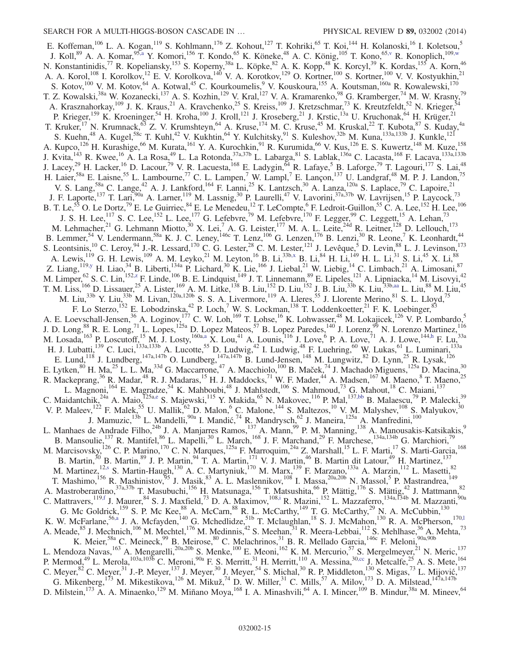E. Koffeman,<sup>106</sup> L. A. Kogan,<sup>119</sup> S. Kohlmann,<sup>176</sup> Z. Kohout,<sup>127</sup> T. Kohriki,<sup>65</sup> T. Koi,<sup>144</sup> H. Kolanoski,<sup>16</sup> I. Koletsou,<sup>5</sup> J. Koll,<sup>89</sup> A. A. Komar,<sup>95[,a](#page-22-3)</sup> Y. Komori,<sup>156</sup> T. Kondo,<sup>65</sup> K. Köneke,<sup>48</sup> A. C. König,<sup>105</sup> T. Kono,<sup>65[,v](#page-22-21)</sup> R. Konoplich,<sup>109[,w](#page-22-22)</sup> N. Konstantinidis,<sup>77</sup> R. Kopeliansky,<sup>153</sup> S. Koperny,<sup>38a</sup> L. Köpke,<sup>82</sup> A. K. Kopp,<sup>48</sup> K. Korcyl,<sup>39</sup> K. Kordas,<sup>155</sup> A. Korn,<sup>46</sup> A. A. Korol,<sup>108</sup> I. Korolkov,<sup>12</sup> E. V. Korolkova,<sup>140</sup> V. A. Korotkov,<sup>129</sup> O. Kortner,<sup>100</sup> S. Kortner,<sup>100</sup> V. V. Kostyukhin,<sup>21</sup> S. Kotov,<sup>100</sup> V. M. Kotov,<sup>64</sup> A. Kotwal,<sup>45</sup> C. Kourkoumelis,<sup>9</sup> V. Kouskoura,<sup>155</sup> A. Koutsman,<sup>160a</sup> R. Kowalewski,<sup>170</sup> T. Z. Kowalski,<sup>38a</sup> W. Kozanecki,<sup>137</sup> A. S. Kozhin,<sup>129</sup> V. Kral,<sup>127</sup> V. A. Kramarenko,<sup>98</sup> G. Kramberger,<sup>74</sup> M. W. Krasny,<sup>79</sup> A. Krasznahorkay,<sup>109</sup> J. K. Kraus,<sup>21</sup> A. Kravchenko,<sup>25</sup> S. Kreiss,<sup>109</sup> J. Kretzschmar,<sup>73</sup> K. Kreutzfeldt,<sup>52</sup> N. Krieger,<sup>54</sup> P. Krieger,<sup>159</sup> K. Kroeninger,<sup>54</sup> H. Kroha,<sup>100</sup> J. Kroll,<sup>121</sup> J. Kroseberg,<sup>21</sup> J. Krstic,<sup>13a</sup> U. Kruchonak,<sup>64</sup> H. Krüger,<sup>21</sup> T. Kruker,<sup>17</sup> N. Krumnack,<sup>63</sup> Z. V. Krumshteyn,<sup>64</sup> A. Kruse,<sup>174</sup> M. C. Kruse,<sup>45</sup> M. Kruskal,<sup>22</sup> T. Kubota,<sup>87</sup> S. Kuday,<sup>4a</sup> S. Kuehn,<sup>48</sup> A. Kugel,<sup>58c</sup> T. Kuhl,<sup>42</sup> V. Kukhtin,<sup>64</sup> Y. Kulchitsky,<sup>91</sup> S. Kuleshov,<sup>32b</sup> M. Kuna,<sup>133a,133b</sup> J. Kunkle,<sup>121</sup> A. Kupco,<sup>126</sup> H. Kurashige,<sup>66</sup> M. Kurata,<sup>161</sup> Y. A. Kurochkin,<sup>91</sup> R. Kurumida,<sup>66</sup> V. Kus,<sup>126</sup> E. S. Kuwertz,<sup>148</sup> M. Kuze,<sup>158</sup> J. Kvita,<sup>143</sup> R. Kwee,<sup>16</sup> A. La Rosa,<sup>49</sup> L. La Rotonda,<sup>37a,37b</sup> L. Labarga,<sup>81</sup> S. Lablak,<sup>136a</sup> C. Lacasta,<sup>168</sup> F. Lacava,<sup>133a,133b</sup> J. Lacey,<sup>29</sup> H. Lacker,<sup>16</sup> D. Lacour,<sup>79</sup> V. R. Lacuesta,<sup>168</sup> E. Ladygin,<sup>64</sup> R. Lafaye,<sup>5</sup> B. Laforge,<sup>79</sup> T. Lagouri,<sup>177</sup> S. Lai,<sup>48</sup> H. Laier,<sup>58a</sup> E. Laisne,<sup>55</sup> L. Lambourne,<sup>77</sup> C. L. Lampen,<sup>7</sup> W. Lampl,<sup>7</sup> E. Lançon,<sup>137</sup> U. Landgraf,<sup>48</sup> M. P. J. Landon,<sup>75</sup> V. S. Lang,<sup>58a</sup> C. Lange,<sup>42</sup> A. J. Lankford,<sup>164</sup> F. Lanni,<sup>25</sup> K. Lantzsch,<sup>30</sup> A. Lanza,<sup>120a</sup> S. Laplace,<sup>79</sup> C. Lapoire,<sup>21</sup> J. F. Laporte,<sup>137</sup> T. Lari,<sup>90a</sup> A. Larner,<sup>119</sup> M. Lassnig,<sup>30</sup> P. Laurelli,<sup>47</sup> V. Lavorini,<sup>37a,37b</sup> W. Lavrijsen,<sup>15</sup> P. Laycock,<sup>73</sup> B. T. Le,<sup>55</sup> O. Le Dortz,<sup>79</sup> E. Le Guirriec,<sup>84</sup> E. Le Menedeu,<sup>12</sup> T. LeCompte,<sup>6</sup> F. Ledroit-Guillon,<sup>55</sup> C. A. Lee,<sup>152</sup> H. Lee,<sup>106</sup> J. S. H. Lee,<sup>117</sup> S. C. Lee,<sup>152</sup> L. Lee,<sup>177</sup> G. Lefebvre,<sup>79</sup> M. Lefebvre,<sup>170</sup> F. Legger,<sup>99</sup> C. Leggett,<sup>15</sup> A. Lehan,<sup>73</sup> M. Lehmacher,<sup>21</sup> G. Lehmann Miotto,<sup>30</sup> X. Lei,<sup>7</sup> A. G. Leister,<sup>177</sup> M. A. L. Leite,<sup>24d</sup> R. Leitner,<sup>128</sup> D. Lellouch,<sup>173</sup> B. Lemmer,<sup>54</sup> V. Lendermann,<sup>58a</sup> K. J. C. Leney,<sup>146c</sup> T. Lenz,<sup>106</sup> G. Lenzen,<sup>176</sup> B. Lenzi,<sup>30</sup> R. Leone,<sup>7</sup> K. Leonhardt,<sup>44</sup> S. Leontsinis,  $^{10}$  C. Leroy,  $^{94}$  J.-R. Lessard,  $^{170}$  C. G. Lester,  $^{28}$  C. M. Lester,  $^{121}$  J. Levêque,  $^{5}$  D. Levin,  $^{88}$  L. J. Levinson,  $^{173}$ A. Lewis,<sup>119</sup> G. H. Lewis,<sup>109</sup> A. M. Leyko,<sup>21</sup> M. Leyton,<sup>16</sup> B. Li,<sup>33b[,x](#page-22-23)</sup> B. Li,<sup>84</sup> H. Li,<sup>149</sup> H. L. Li,<sup>31</sup> S. Li,<sup>45</sup> X. Li,<sup>88</sup> Z. Liang,  $^{119,y}$  $^{119,y}$  $^{119,y}$  H. Liao,  $^{34}$  B. Liberti,  $^{134a}$  P. Lichard,  $^{30}$  K. Lie,  $^{166}$  J. Liebal,  $^{21}$  W. Liebig,  $^{14}$  C. Limbach,  $^{21}$  A. Limosani,  $^{87}$ M. Limper, <sup>62</sup> S. C. Lin, <sup>152, z</sup> F. Linde, <sup>106</sup> B. E. Lindquist, <sup>149</sup> J. T. Linnemann, <sup>89</sup> E. Lipeles, <sup>121</sup> A. Lipniacka, <sup>14</sup> M. Lisovyi, <sup>42</sup> T. M. Liss,<sup>166</sup> D. Lissauer,<sup>25</sup> A. Lister,<sup>169</sup> A. M. Litke,<sup>138</sup> B. Liu,<sup>152</sup> D. Liu,<sup>152</sup> J. B. Liu,<sup>33b</sup> K. Liu,<sup>33[b,aa](#page-22-26)</sup> L. Liu,<sup>88</sup> M. Liu,<sup>45</sup> M. Liu,<sup>33b</sup> Y. Liu,<sup>33b</sup> M. Livan,<sup>120a,120b</sup> S. S. A. Livermore,<sup>119</sup> A. Lleres,<sup>55</sup> J. Llorente Merino,<sup>81</sup> S. L. Lloyd,<sup>75</sup> F. Lo Sterzo,<sup>152</sup> E. Lobodzinska,<sup>42</sup> P. Loch,<sup>7</sup> W. S. Lockman,<sup>138</sup> T. Loddenkoetter,<sup>21</sup> F. K. Loebinger,<sup>83</sup> A. E. Loevschall-Jensen,<sup>36</sup> A. Loginov,<sup>177</sup> C. W. Loh,<sup>169</sup> T. Lohse,<sup>16</sup> K. Lohwasser,<sup>48</sup> M. Lokajicek,<sup>126</sup> V. P. Lombardo,<sup>5</sup> J. D. Long, <sup>88</sup> R. E. Long, <sup>71</sup> L. Lopes, <sup>125a</sup> D. Lopez Mateos, <sup>57</sup> B. Lopez Paredes, <sup>140</sup> J. Lorenz, <sup>99</sup> N. Lorenzo Martinez, <sup>116</sup> M. Losada,  $^{163}$  P. Loscutoff,  $^{15}$  M. J. Losty,  $^{160a,a}$  $^{160a,a}$  $^{160a,a}$  X. Lou,  $^{41}$  A. Lounis,  $^{116}$  J. Love,  $^{6}$  P. A. Love,  $^{71}$  A. J. Lowe,  $^{144,h}$  $^{144,h}$  $^{144,h}$  F. Lu,  $^{33a}$ H. J. Lubatti,<sup>139</sup> C. Luci,<sup>133a,133b</sup> A. Lucotte,<sup>55</sup> D. Ludwig,<sup>42</sup> I. Ludwig,<sup>48</sup> F. Luehring,<sup>60</sup> W. Lukas,<sup>61</sup> L. Luminari,<sup>133a</sup> E. Lund,<sup>118</sup> J. Lundberg,<sup>147a,147b</sup> O. Lundberg,<sup>147a,147b</sup> B. Lund-Jensen,<sup>148</sup> M. Lungwitz,<sup>82</sup> D. Lynn,<sup>25</sup> R. Lysak,<sup>126</sup> E. Lytken,  $80$  H. Ma,  $25$  L. L. Ma,  $33d$  G. Maccarrone,  $47$  A. Macchiolo,  $100$  B. Maček,  $74$  J. Machado Miguens,  $125a$  D. Macina,  $30$ R. Mackeprang,<sup>36</sup> R. Madar,<sup>48</sup> R. J. Madaras,<sup>15</sup> H. J. Maddocks,<sup>71</sup> W. F. Mader,<sup>44</sup> A. Madsen,<sup>167</sup> M. Maeno,<sup>8</sup> T. Maeno,<sup>25</sup> L. Magnoni,<sup>164</sup> E. Magradze,<sup>54</sup> K. Mahboubi,<sup>48</sup> J. Mahlstedt,<sup>106</sup> S. Mahmoud,<sup>73</sup> G. Mahout,<sup>18</sup> C. Maiani,<sup>137</sup> C. Maidantchik,<sup>24a</sup> A. Maio,<sup>125[a,e](#page-22-4)</sup> S. Majewski,<sup>115</sup> Y. Makida,<sup>65</sup> N. Makovec,<sup>116</sup> P. Mal,<sup>13[7,bb](#page-22-27)</sup> B. Malaescu,<sup>79</sup> P. Malecki,<sup>39</sup> V. P. Maleev,<sup>122</sup> F. Malek,<sup>55</sup> U. Mallik,<sup>62</sup> D. Malon,<sup>6</sup> C. Malone,<sup>144</sup> S. Maltezos,<sup>10</sup> V. M. Malyshev,<sup>108</sup> S. Malyukov,<sup>30</sup> J. Mamuzic, <sup>13b</sup> L. Mandelli, <sup>90a</sup> I. Mandić, <sup>74</sup> R. Mandrysch, <sup>62</sup> J. Maneira, <sup>125a</sup> A. Manfredini, <sup>100</sup> L. Manhaes de Andrade Filho,<sup>24b</sup> J. A. Manjarres Ramos,<sup>137</sup> A. Mann,<sup>99</sup> P. M. Manning,<sup>138</sup> A. Manousakis-Katsikakis,<sup>9</sup> B. Mansoulie,<sup>137</sup> R. Mantifel,<sup>86</sup> L. Mapelli,<sup>30</sup> L. March,<sup>168</sup> J. F. Marchand,<sup>29</sup> F. Marchese,<sup>134a,134b</sup> G. Marchiori,<sup>79</sup> M. Marcisovsky, <sup>126</sup> C. P. Marino, <sup>170</sup> C. N. Marques, <sup>125a</sup> F. Marroquim, <sup>24a</sup> Z. Marshall, <sup>15</sup> L. F. Marti, <sup>17</sup> S. Marti-Garcia, <sup>168</sup> B. Martin,<sup>30</sup> B. Martin,<sup>89</sup> J. P. Martin,<sup>94</sup> T. A. Martin,<sup>171</sup> V. J. Martin,<sup>46</sup> B. Martin dit Latour,<sup>49</sup> H. Martinez,<sup>137</sup> M. Martinez,<sup>1[2,s](#page-22-18)</sup> S. Martin-Haugh,<sup>130</sup> A. C. Martyniuk,<sup>170</sup> M. Marx,<sup>139</sup> F. Marzano,<sup>133a</sup> A. Marzin,<sup>112</sup> L. Masetti,<sup>82</sup> T. Mashimo,<sup>156</sup> R. Mashinistov,<sup>95</sup> J. Masik,<sup>83</sup> A. L. Maslennikov,<sup>108</sup> I. Massa,<sup>20a,20b</sup> N. Massol,<sup>5</sup> P. Mastrandrea,<sup>149</sup> A. Mastroberardino,<sup>37a,37b</sup> T. Masubuchi,<sup>156</sup> H. Matsunaga,<sup>156</sup> T. Matsushita,<sup>66</sup> P. Mättig,<sup>176</sup> S. Mättig,<sup>42</sup> J. Mattmann,<sup>82</sup> C. Mattravers,<sup>119[,f](#page-22-5)</sup> J. Maurer,<sup>84</sup> S. J. Maxfield,<sup>73</sup> D. A. Maximov,<sup>108[,i](#page-22-8)</sup> R. Mazini,<sup>152</sup> L. Mazzaferro,<sup>134a,134b</sup> M. Mazzanti,<sup>90a</sup> G. Mc Goldrick,<sup>159</sup> S. P. Mc Kee,<sup>88</sup> A. McCarn,<sup>88</sup> R. L. McCarthy,<sup>149</sup> T. G. McCarthy,<sup>29</sup> N. A. McCubbin,<sup>130</sup> K. W. McFarlane, <sup>5[6,a](#page-22-3)</sup> J. A. Mcfayden, <sup>140</sup> G. Mchedlidze, <sup>51b</sup> T. Mclaughlan, <sup>18</sup> S. J. McMahon, <sup>130</sup> R. A. McPherson, <sup>170,1</sup> A. Meade,  $85$  J. Mechnich,  $106$  M. Mechtel,  $176$  M. Medinnis,  $42$  S. Meehan,  $31$  R. Meera-Lebbai,  $112$  S. Mehlhase,  $36$  A. Mehta,  $73$ K. Meier,<sup>58a</sup> C. Meineck,<sup>99</sup> B. Meirose,<sup>80</sup> C. Melachrinos,<sup>31</sup> B. R. Mellado Garcia,<sup>146c</sup> F. Meloni,<sup>90a,90b</sup> L. Mendoza Navas,<sup>163</sup> A. Mengarelli,<sup>20a,20b</sup> S. Menke,<sup>100</sup> E. Meoni,<sup>162</sup> K. M. Mercurio,<sup>57</sup> S. Mergelmeyer,<sup>21</sup> N. Meric,<sup>137</sup> P. Mermod,<sup>49</sup> L. Merola,<sup>103a,103b</sup> C. Meroni,<sup>90a</sup> F. S. Merritt,<sup>31</sup> H. Merritt,<sup>110</sup> A. Messina,<sup>30[,cc](#page-22-28)</sup> J. Metcalfe,<sup>25</sup> A. S. Mete,<sup>164</sup> C. Meyer,  $82$  C. Meyer,  $31$  J.-P. Meyer,  $137$  J. Meyer,  $30$  J. Meyer,  $54$  S. Michal,  $30$  R. P. Middleton,  $130$  S. Migas,  $73$  L. Mijović,  $137$ G. Mikenberg,  $^{173}$  M. Mikestikova,  $^{126}$  M. Mikuž,  $^{74}$  D. W. Miller,  $^{31}$  C. Mills,  $^{57}$  A. Milov,  $^{173}$  D. A. Milstead,  $^{147a,147b}$ D. Milstein, <sup>173</sup> A. A. Minaenko, <sup>129</sup> M. Miñano Moya, <sup>168</sup> I. A. Minashvili, <sup>64</sup> A. I. Mincer, <sup>109</sup> B. Mindur, <sup>38a</sup> M. Mineev, <sup>64</sup>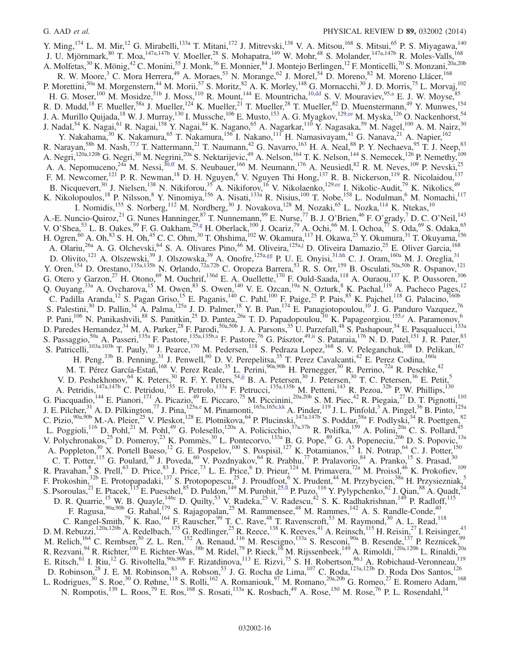Y. Ming,  $^{174}$  L. M. Mir,  $^{12}$  G. Mirabelli,  $^{133a}$  T. Mitani,  $^{172}$  J. Mitrevski,  $^{138}$  V. A. Mitsou,  $^{168}$  S. Mitsui,  $^{65}$  P. S. Miyagawa,  $^{140}$ J. U. Mjörnmark,<sup>80</sup> T. Moa,<sup>147a,147b</sup> V. Moeller,<sup>28</sup> S. Mohapatra,<sup>149</sup> W. Mohr,<sup>48</sup> S. Molander,<sup>147a,147b</sup> R. Moles-Valls,<sup>168</sup> A. Molfetas, <sup>30</sup> K. Mönig, <sup>42</sup> C. Monini, <sup>55</sup> J. Monk, <sup>36</sup> E. Monnier, <sup>84</sup> J. Montejo Berlingen, <sup>12</sup> F. Monticelli, <sup>70</sup> S. Monzani, <sup>20a, 20b</sup> R. W. Moore,<sup>3</sup> C. Mora Herrera,<sup>49</sup> A. Moraes,<sup>53</sup> N. Morange,<sup>62</sup> J. Morel,<sup>54</sup> D. Moreno,<sup>82</sup> M. Moreno Llácer,<sup>168</sup> P. Morettini,<sup>50a</sup> M. Morgenstern,<sup>44</sup> M. Morii,<sup>57</sup> S. Moritz,<sup>82</sup> A. K. Morley,<sup>148</sup> G. Mornacchi,<sup>30</sup> J. D. Morris,<sup>75</sup> L. Morvaj,<sup>102</sup> H. G. Moser,<sup>100</sup> M. Mosidze,<sup>51b</sup> J. Moss,<sup>110</sup> R. Mount,<sup>144</sup> E. Mountricha,<sup>10[,dd](#page-22-29)</sup> S. V. Mouraviev,<sup>9[5,a](#page-22-3)</sup> E. J. W. Moyse,<sup>85</sup> R. D. Mudd,<sup>18</sup> F. Mueller,<sup>58a</sup> J. Mueller,<sup>124</sup> K. Mueller,<sup>21</sup> T. Mueller,<sup>28</sup> T. Mueller,<sup>82</sup> D. Muenstermann,<sup>49</sup> Y. Munwes,<sup>154</sup> J. A. Murillo Quijada,<sup>18</sup> W. J. Murray,<sup>130</sup> I. Mussche,<sup>106</sup> E. Musto,<sup>153</sup> A. G. Myagkov,<sup>129[,ee](#page-22-30)</sup> M. Myska,<sup>126</sup> O. Nackenhorst,<sup>54</sup> J. Nadal,<sup>54</sup> K. Nagai,<sup>61</sup> R. Nagai,<sup>158</sup> Y. Nagai,<sup>84</sup> K. Nagano,<sup>65</sup> A. Nagarkar,<sup>110</sup> Y. Nagasaka,<sup>59</sup> M. Nagel,<sup>100</sup> A. M. Nairz,<sup>30</sup> Y. Nakahama,<sup>30</sup> K. Nakamura,<sup>65</sup> T. Nakamura,<sup>156</sup> I. Nakano,<sup>111</sup> H. Namasivayam,<sup>41</sup> G. Nanava,<sup>21</sup> A. Napier,<sup>162</sup> R. Narayan,<sup>58b</sup> M. Nash,<sup>77[,f](#page-22-5)</sup> T. Nattermann,<sup>21</sup> T. Naumann,<sup>42</sup> G. Navarro,<sup>163</sup> H. A. Neal,<sup>88</sup> P. Y. Nechaeva,<sup>95</sup> T. J. Neep,<sup>83</sup> A. Negri,<sup>120a,120b</sup> G. Negri,<sup>30</sup> M. Negrini,<sup>20a</sup> S. Nektarijevic,<sup>49</sup> A. Nelson,<sup>164</sup> T. K. Nelson,<sup>144</sup> S. Nemecek,<sup>126</sup> P. Nemethy,<sup>109</sup> A. A. Nepomuceno,<sup>24a</sup> M. Nessi,<sup>30[,ff](#page-22-31)</sup> M. S. Neubauer,<sup>166</sup> M. Neumann,<sup>176</sup> A. Neusiedl,<sup>82</sup> R. M. Neves,<sup>109</sup> P. Nevski,<sup>25</sup> F. M. Newcomer,<sup>121</sup> P. R. Newman,<sup>18</sup> D. H. Nguyen,<sup>6</sup> V. Nguyen Thi Hong,<sup>137</sup> R. B. Nickerson,<sup>119</sup> R. Nicolaidou,<sup>137</sup> B. Nicquevert,<sup>30</sup> J. Nielsen,<sup>138</sup> N. Nikiforou,<sup>35</sup> A. Nikiforov,<sup>16</sup> V. Nikolaenko,<sup>129[,ee](#page-22-30)</sup> I. Nikolic-Audit,<sup>79</sup> K. Nikolics,<sup>49</sup> K. Nikolopoulos,<sup>18</sup> P. Nilsson,<sup>8</sup> Y. Ninomiya,<sup>156</sup> A. Nisati,<sup>133a</sup> R. Nisius,<sup>100</sup> T. Nobe,<sup>158</sup> L. Nodulman,<sup>6</sup> M. Nomachi,<sup>117</sup> I. Nomidis, <sup>155</sup> S. Norberg, <sup>112</sup> M. Nordberg, <sup>30</sup> J. Novakova, <sup>128</sup> M. Nozaki, <sup>65</sup> L. Nozka, <sup>114</sup> K. Ntekas, <sup>10</sup> A.-E. Nuncio-Quiroz,<sup>21</sup> G. Nunes Hanninger,<sup>87</sup> T. Nunnemann,<sup>99</sup> E. Nurse,<sup>77</sup> B. J. O'Brien,<sup>46</sup> F. O'grady,<sup>7</sup> D. C. O'Neil,<sup>143</sup> V. O'Shea,<sup>53</sup> L. B. Oakes,<sup>99</sup> F. G. Oakham,<sup>29[,g](#page-22-6)</sup> H. Oberlack,<sup>100</sup> J. Ocariz,<sup>79</sup> A. Ochi,<sup>66</sup> M. I. Ochoa,<sup>77</sup> S. Oda,<sup>69</sup> S. Odaka,<sup>65</sup> H. Ogren,<sup>60</sup> A. Oh,<sup>83</sup> S. H. Oh,<sup>45</sup> C. C. Ohm,<sup>30</sup> T. Ohshima,<sup>102</sup> W. Okamura,<sup>117</sup> H. Okawa,<sup>25</sup> Y. Okumura,<sup>31</sup> T. Okuyama,<sup>156</sup> A. Olariu,<sup>26a</sup> A. G. Olchevski,<sup>64</sup> S. A. Olivares Pino,<sup>46</sup> M. Oliveira,<sup>125a[,j](#page-22-9)</sup> D. Oliveira Damazio,<sup>25</sup> E. Oliver Garcia,<sup>168</sup> D. Olivito,<sup>121</sup> A. Olszewski,<sup>39</sup> J. Olszowska,<sup>39</sup> A. Onofre,<sup>125a[,gg](#page-22-32)</sup> P. U. E. Onyisi,<sup>31[,hh](#page-22-33)</sup> C. J. Oram,<sup>160a</sup> M. J. Oreglia,<sup>31</sup> Y. Oren,<sup>154</sup> D. Orestano,<sup>135a,135b</sup> N. Orlando,<sup>72a,72b</sup> C. Oropeza Barrera,<sup>53</sup> R. S. Orr,<sup>159</sup> B. Osculati,<sup>50a,50b</sup> R. Ospanov,<sup>121</sup> G. Otero y Garzon,<sup>27</sup> H. Otono,<sup>69</sup> M. Ouchrif,<sup>136d</sup> E. A. Ouellette,<sup>170</sup> F. Ould-Saada,<sup>118</sup> A. Ouraou,<sup>137</sup> K. P. Oussoren,<sup>106</sup> Q. Ouyang,  $33a$  A. Ovcharova,  $15$  M. Owen,  $83$  S. Owen,  $140$  V. E. Ozcan,  $19a$  N. Ozturk,  $8$  K. Pachal,  $119$  A. Pacheco Pages,  $12$ C. Padilla Aranda,<sup>12</sup> S. Pagan Griso,<sup>15</sup> E. Paganis,<sup>140</sup> C. Pahl,<sup>100</sup> F. Paige,<sup>25</sup> P. Pais,<sup>85</sup> K. Pajchel,<sup>118</sup> G. Palacino,<sup>160b</sup> S. Palestini,<sup>30</sup> D. Pallin,<sup>34</sup> A. Palma,<sup>125a</sup> J. D. Palmer,<sup>18</sup> Y. B. Pan,<sup>174</sup> E. Panagiotopoulou,<sup>10</sup> J. G. Panduro Vazquez,<sup>76</sup> P. Pani,<sup>106</sup> N. Panikashvili,<sup>88</sup> S. Panitkin,<sup>25</sup> D. Pantea,<sup>26a</sup> T. D. Papadopoulou,<sup>10</sup> K. Papageorgiou,<sup>15[5,r](#page-22-17)</sup> A. Paramonov,<sup>6</sup> D. Paredes Hernandez,<sup>34</sup> M. A. Parker,<sup>28</sup> F. Parodi,<sup>50a,50b</sup> J. A. Parsons,<sup>35</sup> U. Parzefall,<sup>48</sup> S. Pashapour,<sup>54</sup> E. Pasqualucci,<sup>133a</sup> S. Passaggio,<sup>50a</sup> A. Passeri,<sup>135a</sup> F. Pastore,<sup>135a,135[b,a](#page-22-3)</sup> F. Pastore,<sup>76</sup> G. Pásztor,<sup>49[,ii](#page-22-34)</sup> S. Pataraia,<sup>176</sup> N. D. Patel,<sup>151</sup> J. R. Pater,<sup>83</sup> S. Patricelli,<sup>103a,103b</sup> T. Pauly,<sup>30</sup> J. Pearce,<sup>170</sup> M. Pedersen,<sup>118</sup> S. Pedraza Lopez,<sup>168</sup> S. V. Peleganchuk,<sup>108</sup> D. Pelikan,<sup>167</sup> H. Peng,<sup>33b</sup> B. Penning,<sup>31</sup> J. Penwell,<sup>60</sup> D. V. Perepelitsa,<sup>35</sup> T. Perez Cavalcanti,<sup>42</sup> E. Perez Codina,<sup>160a</sup> M. T. Pérez García-Estañ,<sup>168</sup> V. Perez Reale,<sup>35</sup> L. Perini,<sup>90a,90b</sup> H. Pernegger,<sup>30</sup> R. Perrino,<sup>72a</sup> R. Peschke,<sup>42</sup> V. D. Peshekhonov,  $^{64}$  K. Peters,  $^{30}$  R. F. Y. Peters,  $^{54,jj}$  $^{54,jj}$  $^{54,jj}$  B. A. Petersen,  $^{30}$  J. Petersen,  $^{30}$  T. C. Petersen,  $^{36}$  E. Petit,  $^{5}$ A. Petridis,<sup>147a,147b</sup> C. Petridou,<sup>155</sup> E. Petrolo,<sup>133a</sup> F. Petrucci,<sup>135a,135b</sup> M. Petteni,<sup>143</sup> R. Pezoa,<sup>32b</sup> P. W. Phillips,<sup>130</sup> G. Piacquadio, <sup>144</sup> E. Pianori, <sup>171</sup> A. Picazio, <sup>49</sup> E. Piccaro, <sup>75</sup> M. Piccinini, <sup>20a, 20b</sup> S. M. Piec, <sup>42</sup> R. Piegaia, <sup>27</sup> D. T. Pignotti, <sup>110</sup> J. E. Pilcher,<sup>31</sup> A. D. Pilkington,<sup>77</sup> J. Pina,<sup>125[a,e](#page-22-4)</sup> M. Pinamonti,<sup>165a,165[c,kk](#page-22-36)</sup> A. Pinder,<sup>119</sup> J. L. Pinfold,<sup>3</sup> A. Pingel,<sup>36</sup> B. Pinto,<sup>125a</sup> C. Pizio,  $90a,90b$  M.-A. Pleier,  $25$  V. Pleskot,  $128$  E. Plotnikova,  $64$  P. Plucinski,  $147a,147b$  S. Poddar,  $58a$  F. Podlyski,  $34$  R. Poettgen,  $82$ L. Poggioli,<sup>116</sup> D. Pohl,<sup>21</sup> M. Pohl,<sup>49</sup> G. Polesello,<sup>120a</sup> A. Policicchio,<sup>37a,37b</sup> R. Polifka,<sup>159</sup> A. Polini,<sup>20a</sup> C. S. Pollard,<sup>45</sup> V. Polychronakos,<sup>25</sup> D. Pomeroy,<sup>23</sup> K. Pommès,<sup>30</sup> L. Pontecorvo,<sup>133a</sup> B. G. Pope,<sup>89</sup> G. A. Popeneciu,<sup>26b</sup> D. S. Popovic,<sup>13a</sup> A. Poppleton,<sup>30</sup> X. Portell Bueso,<sup>12</sup> G. E. Pospelov,<sup>100</sup> S. Pospisil,<sup>127</sup> K. Potamianos,<sup>15</sup> I. N. Potrap,<sup>64</sup> C. J. Potter,<sup>150</sup> C. T. Potter,<sup>115</sup> G. Poulard,<sup>30</sup> J. Poveda,<sup>60</sup> V. Pozdnyakov,<sup>64</sup> R. Prabhu,<sup>77</sup> P. Pralavorio,<sup>84</sup> A. Pranko,<sup>15</sup> S. Prasad,<sup>30</sup> R. Pravahan, <sup>8</sup> S. Prell, <sup>63</sup> D. Price, <sup>83</sup> J. Price, <sup>73</sup> L. E. Price, <sup>6</sup> D. Prieur, <sup>124</sup> M. Primavera, <sup>72a</sup> M. Proissl, <sup>46</sup> K. Prokofiev, <sup>109</sup> F. Prokoshin,<sup>32b</sup> E. Protopapadaki,<sup>137</sup> S. Protopopescu,<sup>25</sup> J. Proudfoot,<sup>6</sup> X. Prudent,<sup>44</sup> M. Przybycien,<sup>38a</sup> H. Przysiezniak,<sup>5</sup> S. Psoroulas,<sup>21</sup> E. Ptacek,<sup>115</sup> E. Pueschel,<sup>85</sup> D. Puldon,<sup>149</sup> M. Purohit,<sup>25,||</sup> P. Puzo,<sup>116</sup> Y. Pylypchenko,<sup>62</sup> J. Qian,<sup>88</sup> A. Quadt,<sup>54</sup> D. R. Quarrie,<sup>15</sup> W. B. Quayle,<sup>146c</sup> D. Quilty,<sup>53</sup> V. Radeka,<sup>25</sup> V. Radescu,<sup>42</sup> S. K. Radhakrishnan,<sup>149</sup> P. Radloff,<sup>115</sup> F. Ragusa,  $^{90a,90b}$  G. Rahal,  $^{179}$  S. Rajagopalan,  $^{25}$  M. Rammensee,  $^{48}$  M. Rammes,  $^{142}$  A. S. Randle-Conde,  $^{40}$ C. Rangel-Smith,<sup>79</sup> K. Rao,<sup>164</sup> F. Rauscher,<sup>99</sup> T. C. Rave,<sup>48</sup> T. Ravenscroft,<sup>53</sup> M. Raymond,<sup>30</sup> A. L. Read,<sup>118</sup> D. M. Rebuzzi,<sup>120a,120b</sup> A. Redelbach,<sup>175</sup> G. Redlinger,<sup>25</sup> R. Reece,<sup>138</sup> K. Reeves,<sup>41</sup> A. Reinsch,<sup>115</sup> H. Reisin,<sup>27</sup> I. Reisinger,<sup>43</sup> M. Relich,<sup>164</sup> C. Rembser,<sup>30</sup> Z. L. Ren,<sup>152</sup> A. Renaud,<sup>116</sup> M. Rescigno,<sup>133a</sup> S. Resconi,<sup>90a</sup> B. Resende,<sup>137</sup> P. Reznicek,<sup>99</sup> R. Rezvani,  $94$  R. Richter,  $100$  E. Richter-Was,  $38b$  M. Ridel,  $79$  P. Rieck,  $16$  M. Rijssenbeek,  $149$  A. Rimoldi,  $120a,120b$  L. Rinaldi,  $20a$ E. Ritsch,<sup>61</sup> I. Riu,<sup>12</sup> G. Rivoltella,<sup>90a,90b</sup> F. Rizatdinova,<sup>113</sup> E. Rizvi,<sup>75</sup> S. H. Robertson,<sup>86,1</sup> A. Robichaud-Veronneau,<sup>119</sup> D. Robinson,<sup>28</sup> J. E. M. Robinson,<sup>83</sup> A. Robson,<sup>53</sup> J. G. Rocha de Lima,<sup>107</sup> C. Roda,<sup>123a,123b</sup> D. Roda Dos Santos,<sup>126</sup> L. Rodrigues,<sup>30</sup> S. Roe,<sup>30</sup> O. Røhne,<sup>118</sup> S. Rolli,<sup>162</sup> A. Romaniouk,<sup>97</sup> M. Romano,<sup>20a,20b</sup> G. Romeo,<sup>27</sup> E. Romero Adam,<sup>168</sup> N. Rompotis,<sup>139</sup> L. Roos,<sup>79</sup> E. Ros,<sup>168</sup> S. Rosati,<sup>133a</sup> K. Rosbach,<sup>49</sup> A. Rose,<sup>150</sup> M. Rose,<sup>76</sup> P. L. Rosendahl,<sup>14</sup>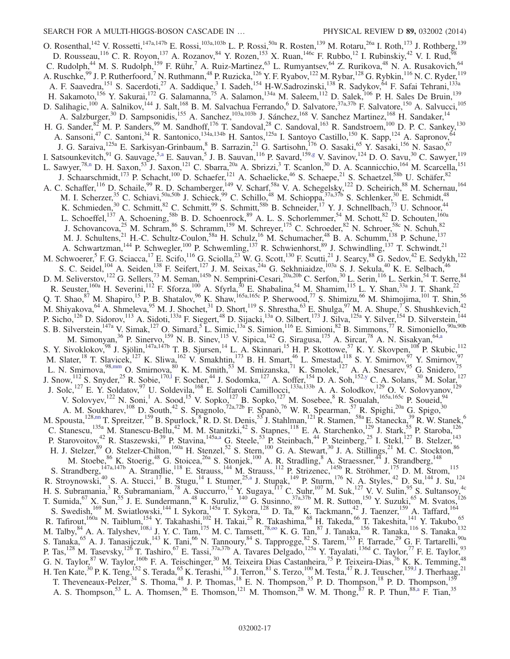O. Rosenthal,  $^{142}$  V. Rossetti,  $^{147a,147b}$  E. Rossi,  $^{103a,103b}$  L. P. Rossi,  $^{50a}$  R. Rosten,  $^{139}$  M. Rotaru,  $^{26a}$  I. Roth,  $^{173}$  J. Rothberg,  $^{139}$ D. Rousseau,<sup>116</sup> C. R. Royon,<sup>137</sup> A. Rozanov,<sup>84</sup> Y. Rozen,<sup>153</sup> X. Ruan,<sup>146c</sup> F. Rubbo,<sup>12</sup> I. Rubinskiy,<sup>42</sup> V. I. Rud,<sup>58</sup> C. Rudolph,<sup>44</sup> M. S. Rudolph,<sup>159</sup> F. Rühr,<sup>7</sup> A. Ruiz-Martinez,<sup>63</sup> L. Rumyantsev,<sup>64</sup> Z. Rurikova,<sup>48</sup> N. A. Rusakovich,<sup>64</sup> A. Ruschke,<sup>99</sup> J. P. Rutherfoord,<sup>7</sup> N. Ruthmann,<sup>48</sup> P. Ruzicka,<sup>126</sup> Y. F. Ryabov,<sup>122</sup> M. Rybar,<sup>128</sup> G. Rybkin,<sup>116</sup> N. C. Ryder,<sup>119</sup> A. F. Saavedra,<sup>151</sup> S. Sacerdoti,<sup>27</sup> A. Saddique,<sup>3</sup> I. Sadeh,<sup>154</sup> H-W.Sadrozinski,<sup>138</sup> R. Sadykov,<sup>64</sup> F. Safai Tehrani,<sup>133a</sup> H. Sakamoto,<sup>156</sup> Y. Sakurai,<sup>172</sup> G. Salamanna,<sup>75</sup> A. Salamon,<sup>134a</sup> M. Saleem,<sup>112</sup> D. Salek,<sup>106</sup> P. H. Sales De Bruin,<sup>139</sup> D. Salihagic,<sup>100</sup> A. Salnikov,<sup>144</sup> J. Salt,<sup>168</sup> B. M. Salvachua Ferrando,<sup>6</sup> D. Salvatore,<sup>37a,37b</sup> F. Salvatore,<sup>150</sup> A. Salvucci,<sup>105</sup> A. Salzburger,<sup>30</sup> D. Sampsonidis,<sup>155</sup> A. Sanchez,<sup>103a,103b</sup> J. Sánchez,<sup>168</sup> V. Sanchez Martinez,<sup>168</sup> H. Sandaker,<sup>14</sup> H. G. Sander,  ${}^{82}$  M. P. Sanders,  ${}^{99}$  M. Sandhoff,  ${}^{176}$  T. Sandoval,  ${}^{28}$  C. Sandoval,  ${}^{163}$  R. Sandstroem,  ${}^{100}$  D. P. C. Sankey,  ${}^{130}$ A. Sansoni,<sup>47</sup> C. Santoni,<sup>34</sup> R. Santonico,<sup>134a,134b</sup> H. Santos,<sup>125a</sup> I. Santoyo Castillo,<sup>150</sup> K. Sapp,<sup>124</sup> A. Sapronov,<sup>64</sup> J. G. Saraiva, <sup>125a</sup> E. Sarkisyan-Grinbaum, <sup>8</sup> B. Sarrazin, <sup>21</sup> G. Sartisohn, <sup>176</sup> O. Sasaki, <sup>65</sup> Y. Sasaki, <sup>156</sup> N. Sasao, <sup>67</sup> I. Satsounkevitch,<sup>91</sup> G. Sauvage,<sup>5[,a](#page-22-3)</sup> E. Sauvan,<sup>5</sup> J. B. Sauvan,<sup>116</sup> P. Savard,<sup>15[9,g](#page-22-6)</sup> V. Savinov,<sup>124</sup> D. O. Savu,<sup>30</sup> C. Sawyer,<sup>119</sup> L. Sawyer,<sup>78[,n](#page-22-13)</sup> D. H. Saxon,<sup>53</sup> J. Saxon,<sup>121</sup> C. Sbarra,<sup>20a</sup> A. Sbrizzi,<sup>3</sup> T. Scanlon,<sup>30</sup> D. A. Scannicchio,<sup>164</sup> M. Scarcella,<sup>151</sup> J. Schaarschmidt,<sup>173</sup> P. Schacht,<sup>100</sup> D. Schaefer,<sup>121</sup> A. Schaelicke,<sup>46</sup> S. Schaepe,<sup>21</sup> S. Schaetzel,<sup>58b</sup> U. Schäfer,<sup>82</sup> A. C. Schaffer,<sup>116</sup> D. Schaile,<sup>99</sup> R. D. Schamberger,<sup>149</sup> V. Scharf,<sup>58a</sup> V. A. Schegelsky,<sup>122</sup> D. Scheirich,<sup>88</sup> M. Schernau,<sup>164</sup> M. I. Scherzer,<sup>35</sup> C. Schiavi,<sup>50a,50b</sup> J. Schieck,<sup>99</sup> C. Schillo,<sup>48</sup> M. Schioppa,<sup>37a,37b</sup> S. Schlenker,<sup>30</sup> E. Schmidt,<sup>48</sup> K. Schmieden,<sup>30</sup> C. Schmitt,<sup>82</sup> C. Schmitt,<sup>99</sup> S. Schmitt,<sup>58b</sup> B. Schneider,<sup>17</sup> Y. J. Schnellbach,<sup>73</sup> U. Schnoor,<sup>44</sup> L. Schoeffel,<sup>137</sup> A. Schoening,<sup>58b</sup> B. D. Schoenrock,<sup>89</sup> A. L. S. Schorlemmer,<sup>54</sup> M. Schott,<sup>82</sup> D. Schouten,<sup>160a</sup> J. Schovancova,<sup>25</sup> M. Schram,<sup>86</sup> S. Schramm,<sup>159</sup> M. Schreyer,<sup>175</sup> C. Schroeder,<sup>82</sup> N. Schroer,<sup>58c</sup> N. Schuh,<sup>82</sup> M. J. Schultens,<sup>21</sup> H.-C. Schultz-Coulon,<sup>58a</sup> H. Schulz,<sup>16</sup> M. Schumacher,<sup>48</sup> B. A. Schumm,<sup>138</sup> P. Schune,<sup>137</sup> A. Schwartzman,<sup>144</sup> P. Schwegler,<sup>100</sup> P. Schwemling,<sup>137</sup> R. Schwienhorst,<sup>89</sup> J. Schwindling,<sup>137</sup> T. Schwindt,<sup>21</sup> M. Schwoerer, <sup>5</sup> F. G. Sciacca, <sup>17</sup> E. Scifo, <sup>116</sup> G. Sciolla, <sup>23</sup> W. G. Scott, <sup>130</sup> F. Scutti, <sup>21</sup> J. Searcy, <sup>88</sup> G. Sedov, <sup>42</sup> E. Sedykh, <sup>122</sup> S. C. Seidel,<sup>104</sup> A. Seiden,<sup>138</sup> F. Seifert,<sup>127</sup> J. M. Seixas,<sup>24a</sup> G. Sekhniaidze,<sup>103a</sup> S. J. Sekula,<sup>40</sup> K. E. Selbach,<sup>46</sup> D. M. Seliverstov,<sup>122</sup> G. Sellers,<sup>73</sup> M. Seman,<sup>145b</sup> N. Semprini-Cesari,<sup>20a,20b</sup> C. Serfon,<sup>30</sup> L. Serin,<sup>116</sup> L. Serkin,<sup>54</sup> T. Serre,<sup>84</sup> R. Seuster,<sup>160a</sup> H. Severini,<sup>112</sup> F. Sforza,<sup>100</sup> A. Sfyrla,<sup>30</sup> E. Shabalina,<sup>54</sup> M. Shamim,<sup>115</sup> L. Y. Shan,<sup>33a</sup> J. T. Shank,<sup>22</sup> Q. T. Shao,  $87$  M. Shapiro,  $15$  P. B. Shatalov,  $96$  K. Shaw,  $165a,165c$  P. Sherwood,  $77$  S. Shimizu,  $66$  M. Shimojima,  $101$  T. Shin,  $56$ M. Shiyakova,  $^{64}$  A. Shmeleva,  $^{95}$  M. J. Shochet,  $^{31}$  D. Short,  $^{119}$  S. Shrestha,  $^{63}$  E. Shulga,  $^{97}$  M. A. Shupe,  $^{7}$  S. Shushkevich,  $^{42}$ P. Sicho,<sup>126</sup> D. Sidorov,<sup>113</sup> A. Sidoti,<sup>133a</sup> F. Siegert,<sup>48</sup> D. Sijacki,<sup>13a</sup> O. Silbert,<sup>173</sup> J. Silva,<sup>125a</sup> Y. Silver,<sup>154</sup> D. Silverstein,<sup>144</sup> S. B. Silverstein,  $^{147a}$  V. Simak,  $^{127}$  O. Simard,  $^5$  L. Simic,  $^{13a}$  S. Simion,  $^{116}$  E. Simioni,  $^{82}$  B. Simmons,  $^{77}$  R. Simoniello,  $^{90a,90b}$ M. Simonyan,<sup>36</sup> P. Sinervo,<sup>159</sup> N. B. Sinev,<sup>115</sup> V. Sipica,<sup>142</sup> G. Siragusa,<sup>175</sup> A. Sircar,<sup>78</sup> A. N. Sisakyan,<sup>64[,a](#page-22-3)</sup> S. Y. Sivoklokov,<sup>98</sup> J. Sjölin,<sup>147a,147b</sup> T. B. Sjursen,<sup>14</sup> L. A. Skinnari,<sup>15</sup> H. P. Skottowe,<sup>57</sup> K. Y. Skovpen,<sup>108</sup> P. Skubic,<sup>112</sup> M. Slater,<sup>18</sup> T. Slavicek,<sup>127</sup> K. Sliwa,<sup>162</sup> V. Smakhtin,<sup>173</sup> B. H. Smart,<sup>46</sup> L. Smestad,<sup>118</sup> S. Y. Smirnov,<sup>97</sup> Y. Smirnov,<sup>97</sup> L. N. Smirnova,<sup>98[,mm](#page-22-38)</sup> O. Smirnova,<sup>80</sup> K. M. Smith,<sup>53</sup> M. Smizanska,<sup>71</sup> K. Smolek,<sup>127</sup> A. A. Snesarev,<sup>95</sup> G. Snidero,<sup>75</sup> J. Snow,<sup>112</sup> S. Snyder,<sup>25</sup> R. Sobie,<sup>170,1</sup> F. Socher,<sup>44</sup> J. Sodomka,<sup>127</sup> A. Soffer,<sup>154</sup> D. A. Soh,<sup>15[2,y](#page-22-24)</sup> C. A. Solans,<sup>30</sup> M. Solar,<sup>127</sup> J. Solc,<sup>127</sup> E. Y. Soldatov,<sup>97</sup> U. Soldevila,<sup>168</sup> E. Solfaroli Camillocci,<sup>133a,133b</sup> A. A. Solodkov,<sup>129</sup> O. V. Solovyanov,<sup>129</sup> V. Solovyev,<sup>122</sup> N. Soni,<sup>1</sup> A. Sood,<sup>15</sup> V. Sopko,<sup>127</sup> B. Sopko,<sup>127</sup> M. Sosebee,<sup>8</sup> R. Soualah,<sup>165a,165c</sup> P. Soueid,<sup>94</sup> A. M. Soukharev,<sup>108</sup> D. South,<sup>42</sup> S. Spagnolo,<sup>72a,72b</sup> F. Spanò,<sup>76</sup> W. R. Spearman,<sup>57</sup> R. Spighi,<sup>20a</sup> G. Spigo,<sup>30</sup> M. Spousta, <sup>12[8,nn](#page-22-39)</sup> T. Spreitzer, <sup>159</sup> B. Spurlock, <sup>8</sup> R. D. St. Denis, <sup>53</sup> J. Stahlman, <sup>121</sup> R. Stamen, <sup>58a</sup> E. Stanecka, <sup>39</sup> R. W. Stanek, <sup>6</sup> C. Stanescu,<sup>135a</sup> M. Stanescu-Bellu,<sup>42</sup> M. M. Stanitzki,<sup>42</sup> S. Stapnes,<sup>118</sup> E. A. Starchenko,<sup>129</sup> J. Stark,<sup>55</sup> P. Staroba,<sup>126</sup> P. Starovoitov,<sup>42</sup> R. Staszewski,<sup>39</sup> P. Stavina,<sup>145a[,a](#page-22-3)</sup> G. Steele,<sup>53</sup> P. Steinbach,<sup>44</sup> P. Steinberg,<sup>25</sup> I. Stekl,<sup>127</sup> B. Stelzer,<sup>143</sup> H. J. Stelzer,<sup>89</sup> O. Stelzer-Chilton,<sup>160a</sup> H. Stenzel,<sup>52</sup> S. Stern,<sup>100</sup> G. A. Stewart,<sup>30</sup> J. A. Stillings,<sup>21</sup> M. C. Stockton,<sup>86</sup> M. Stoebe, <sup>86</sup> K. Stoerig, <sup>48</sup> G. Stoicea, <sup>26a</sup> S. Stonjek, <sup>100</sup> A. R. Stradling, <sup>8</sup> A. Straessner, <sup>44</sup> J. Strandberg, <sup>148</sup> S. Strandberg,  $147a,147b$  A. Strandlie,  $118$  E. Strauss,  $144$  M. Strauss,  $112$  P. Strizenec,  $145b$  R. Ströhmer,  $175$  D. M. Strom,  $115$ R. Stroynowski,<sup>40</sup> S. A. Stucci,<sup>17</sup> B. Stugu,<sup>14</sup> I. Stumer,<sup>25[,a](#page-22-3)</sup> J. Stupak,<sup>149</sup> P. Sturm,<sup>176</sup> N. A. Styles,<sup>42</sup> D. Su,<sup>144</sup> J. Su,<sup>124</sup> H. S. Subramania,<sup>3</sup> R. Subramaniam,<sup>78</sup> A. Succurro,<sup>12</sup> Y. Sugaya,<sup>117</sup> C. Suhr,<sup>107</sup> M. Suk,<sup>127</sup> V. V. Sulin,<sup>95</sup> S. Sultansoy,<sup>4c</sup> T. Sumida,<sup>67</sup> X. Sun,<sup>55</sup> J. E. Sundermann,<sup>48</sup> K. Suruliz,<sup>140</sup> G. Susinno,<sup>37a,37b</sup> M. R. Sutton,<sup>150</sup> Y. Suzuki,<sup>65</sup> M. Svatos,<sup>126</sup> S. Swedish,<sup>169</sup> M. Swiatlowski,<sup>144</sup> I. Sykora,<sup>145a</sup> T. Sykora,<sup>128</sup> D. Ta,<sup>89</sup> K. Tackmann,<sup>42</sup> J. Taenzer,<sup>159</sup> A. Taffard,<sup>164</sup> R. Tafirout,<sup>160a</sup> N. Taiblum,<sup>154</sup> Y. Takahashi,<sup>102</sup> H. Takai,<sup>25</sup> R. Takashima,<sup>68</sup> H. Takeda,<sup>66</sup> T. Takeshita,<sup>141</sup> Y. Takubo,<sup>65</sup> M. Talby,  $^{84}$  A. A. Talyshev,  $^{108, i}$  J. Y. C. Tam,  $^{175}$  M. C. Tamsett,  $^{78, oo}$  K. G. Tan,  $^{87}$  J. Tanaka,  $^{156}$  R. Tanaka,  $^{116}$  S. Tanaka,  $^{132}$ S. Tanaka,<sup>65</sup> A. J. Tanasijczuk,<sup>143</sup> K. Tani,<sup>66</sup> N. Tannoury,<sup>84</sup> S. Tapprogge,<sup>82</sup> S. Tarem,<sup>153</sup> F. Tarrade,<sup>29</sup> G. F. Tartarelli,<sup>90a</sup> P. Tas,<sup>128</sup> M. Tasevsky,<sup>126</sup> T. Tashiro,<sup>67</sup> E. Tassi,<sup>37a,37b</sup> A. Tavares Delgado,<sup>125a</sup> Y. Tayalati,<sup>136d</sup> C. Taylor,<sup>77</sup> F. E. Taylor,<sup>93</sup> G. N. Taylor,<sup>87</sup> W. Taylor,<sup>160b</sup> F. A. Teischinger,<sup>30</sup> M. Teixeira Dias Castanheira,<sup>75</sup> P. Teixeira-Dias,<sup>76</sup> K. K. Temming,<sup>48</sup> H. Ten Kate,  $30$  P. K. Teng,  $152$  S. Terada,  $65$  K. Terashi,  $156$  J. Terron,  $81$  S. Terzo,  $100$  M. Testa,  $47$  R. J. Teuscher,  $159,1$  J. Therhaag,  $21$ T. Theveneaux-Pelzer,<sup>34</sup> S. Thoma,<sup>48</sup> J. P. Thomas,<sup>18</sup> E. N. Thompson,<sup>35</sup> P. D. Thompson,<sup>18</sup> P. D. Thompson,<sup>159</sup> A. S. Thompson,<sup>53</sup> L. A. Thomsen,<sup>36</sup> E. Thomson,<sup>121</sup> M. Thomson,<sup>28</sup> W. M. Thong,<sup>87</sup> R. P. Thun,<sup>8[8,a](#page-22-3)</sup> F. Tian,<sup>35</sup>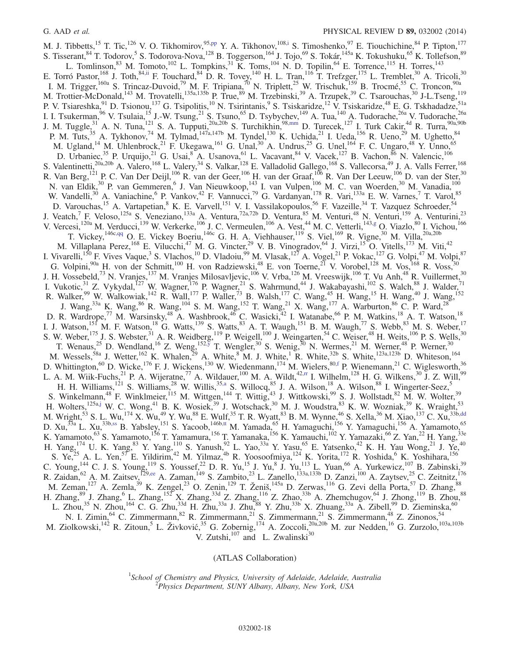M. J. Tibbetts,<sup>15</sup> T. Tic,<sup>126</sup> V. O. Tikhomirov,<sup>95[,pp](#page-22-41)</sup> Y. A. Tikhonov,<sup>10[8,i](#page-22-8)</sup> S. Timoshenko,<sup>97</sup> E. Tiouchichine,<sup>84</sup> P. Tipton,<sup>177</sup> S. Tisserant, <sup>84</sup> T. Todorov, <sup>5</sup> S. Todorova-Nova, <sup>128</sup> B. Toggerson, <sup>164</sup> J. Tojo, <sup>69</sup> S. Tokár, <sup>145a</sup> K. Tokushuku, <sup>65</sup> K. Tollefson, <sup>89</sup> L. Tomlinson,  $83$  M. Tomoto,  $102$  L. Tompkins,  $31$  K. Toms,  $104$  N. D. Topilin,  $64$  E. Torrence,  $115$  H. Torres,  $143$ E. Torró Pastor,  $^{168}$  J. Toth,  $^{84}$ , ii F. Touchard,  $^{84}$  D. R. Tovey,  $^{140}$  H. L. Tran,  $^{116}$  T. Trefzger,  $^{175}$  L. Tremblet,  $^{30}$  A. Tricoli,  $^{30}$ I. M. Trigger,<sup>160a</sup> S. Trincaz-Duvoid,<sup>79</sup> M. F. Tripiana,<sup>70</sup> N. Triplett,<sup>25</sup> W. Trischuk,<sup>159</sup> B. Trocmé,<sup>55</sup> C. Troncon,<sup>90a</sup> M. Trottier-McDonald,<sup>143</sup> M. Trovatelli,<sup>135a,135b</sup> P. True,<sup>89</sup> M. Trzebinski,<sup>39</sup> A. Trzupek,<sup>39</sup> C. Tsarouchas,<sup>30</sup> J-L.Tseng,<sup>119</sup> P. V. Tsiareshka,<sup>91</sup> D. Tsionou,<sup>137</sup> G. Tsipolitis,<sup>10</sup> N. Tsirintanis,<sup>9</sup> S. Tsiskaridze,<sup>12</sup> V. Tsiskaridze,<sup>48</sup> E. G. Tskhadadze,<sup>51a</sup> I. I. Tsukerman,<sup>96</sup> V. Tsulaia,<sup>15</sup> J.-W. Tsung,<sup>21</sup> S. Tsuno,<sup>65</sup> D. Tsybychev,<sup>149</sup> A. Tua,<sup>140</sup> A. Tudorache,<sup>26a</sup> V. Tudorache,<sup>26a</sup> J. M. Tuggle,  $^{31}$  A. N. Tuna,  $^{121}$  S. A. Tupputi,  $^{20a,20b}$  S. Turchikhin,  $^{98,mm}$  $^{98,mm}$  $^{98,mm}$  D. Turecek,  $^{127}$  I. Turk Cakir,  $^{4d}$  R. Turra,  $^{90a,90b}$ P. M. Tuts,<sup>35</sup> A. Tykhonov,<sup>74</sup> M. Tylmad,<sup>147a,147b</sup> M. Tyndel,<sup>130</sup> K. Uchida,<sup>21</sup> I. Ueda,<sup>156</sup> R. Ueno,<sup>29</sup> M. Ughetto,<sup>84</sup> M. Ugland,<sup>14</sup> M. Uhlenbrock,<sup>21</sup> F. Ukegawa,<sup>161</sup> G. Unal,<sup>30</sup> A. Undrus,<sup>25</sup> G. Unel,<sup>164</sup> F. C. Ungaro,<sup>48</sup> Y. Unno,<sup>65</sup> D. Urbaniec,<sup>35</sup> P. Urquijo,<sup>21</sup> G. Usai,<sup>8</sup> A. Usanova,<sup>61</sup> L. Vacavant,<sup>84</sup> V. Vacek,<sup>127</sup> B. Vachon,<sup>86</sup> N. Valencic,<sup>106</sup> S. Valentinetti,<sup>20a,20b</sup> A. Valero,<sup>168</sup> L. Valery,<sup>34</sup> S. Valkar,<sup>128</sup> E. Valladolid Gallego,<sup>168</sup> S. Vallecorsa,<sup>49</sup> J. A. Valls Ferrer,<sup>168</sup> R. Van Berg,<sup>121</sup> P. C. Van Der Deijl,<sup>106</sup> R. van der Geer,<sup>106</sup> H. van der Graaf,<sup>106</sup> R. Van Der Leeuw,<sup>106</sup> D. van der Ster,<sup>30</sup> N. van Eldik,<sup>30</sup> P. van Gemmeren,<sup>6</sup> J. Van Nieuwkoop,<sup>143</sup> I. van Vulpen,<sup>106</sup> M. C. van Woerden,<sup>30</sup> M. Vanadia,<sup>100</sup> W. Vandelli,<sup>30</sup> A. Vaniachine,<sup>6</sup> P. Vankov,<sup>42</sup> F. Vannucci,<sup>79</sup> G. Vardanyan,<sup>178</sup> R. Vari,<sup>133a</sup> E. W. Varnes,<sup>7</sup> T. Varol,<sup>85</sup> D. Varouchas,<sup>15</sup> A. Vartapetian,<sup>8</sup> K. E. Varvell,<sup>151</sup> V. I. Vassilakopoulos,<sup>56</sup> F. Vazeille,<sup>34</sup> T. Vazquez Schroeder,<sup>54</sup> J. Veatch,<sup>7</sup> F. Veloso,<sup>125a</sup> S. Veneziano,<sup>133a</sup> A. Ventura,<sup>72a,72b</sup> D. Ventura,<sup>85</sup> M. Venturi,<sup>48</sup> N. Venturi,<sup>159</sup> A. Venturini,<sup>23</sup> V. Vercesi,<sup>120a</sup> M. Verducci,<sup>139</sup> W. Verkerke,<sup>106</sup> J. C. Vermeulen,<sup>106</sup> A. Vest,<sup>44</sup> M. C. Vetterli,<sup>143[,g](#page-22-6)</sup> O. Viazlo,<sup>80</sup> I. Vichou,<sup>166</sup> T. Vickey,  $1^{46c,qq}$  $1^{46c,qq}$  $1^{46c,qq}$  O. E. Vickey Boeriu,  $1^{46c}$  G. H. A. Viehhauser,  $1^{19}$  S. Viel,  $1^{69}$  R. Vigne,  $30$  M. Villa,  $20a,20b$ M. Villaplana Perez, <sup>168</sup> E. Vilucchi, <sup>47</sup> M. G. Vincter, <sup>29</sup> V. B. Vinogradov, <sup>64</sup> J. Virzi, <sup>15</sup> O. Vitells, <sup>173</sup> M. Viti, <sup>42</sup> I. Vivarelli,<sup>150</sup> F. Vives Vaque,<sup>3</sup> S. Vlachos,<sup>10</sup> D. Vladoiu,<sup>99</sup> M. Vlasak,<sup>127</sup> A. Vogel,<sup>21</sup> P. Vokac,<sup>127</sup> G. Volpi,<sup>47</sup> M. Volpi,<sup>87</sup> G. Volpini,<sup>90a</sup> H. von der Schmitt,<sup>100</sup> H. von Radziewski,<sup>48</sup> E. von Toerne,<sup>21</sup> V. Vorobel,<sup>128</sup> M. Vos,<sup>168</sup> R. Voss,<sup>30</sup> J. H. Vossebeld,<sup>73</sup> N. Vranjes,<sup>137</sup> M. Vranjes Milosavljevic,<sup>106</sup> V. Vrba,<sup>126</sup> M. Vreeswijk,<sup>106</sup> T. Vu Anh,<sup>48</sup> R. Vuillermet,<sup>30</sup> I. Vukotic,<sup>31</sup> Z. Vykydal,<sup>127</sup> W. Wagner,<sup>176</sup> P. Wagner,<sup>21</sup> S. Wahrmund,<sup>44</sup> J. Wakabayashi,<sup>102</sup> S. Walch,<sup>88</sup> J. Walder,<sup>71</sup> R. Walker,<sup>99</sup> W. Walkowiak,<sup>142</sup> R. Wall,<sup>177</sup> P. Waller,<sup>73</sup> B. Walsh,<sup>177</sup> C. Wang,<sup>45</sup> H. Wang,<sup>15</sup> H. Wang,<sup>40</sup> J. Wang,<sup>152</sup> J. Wang,<sup>33a</sup> K. Wang,<sup>86</sup> R. Wang,<sup>104</sup> S. M. Wang,<sup>152</sup> T. Wang,<sup>21</sup> X. Wang,<sup>177</sup> A. Warburton,<sup>86</sup> C. P. Ward,<sup>28</sup> D. R. Wardrope,<sup>77</sup> M. Warsinsky,<sup>48</sup> A. Washbrook,<sup>46</sup> C. Wasicki,<sup>42</sup> I. Watanabe,<sup>66</sup> P. M. Watkins,<sup>18</sup> A. T. Watson,<sup>18</sup> I. J. Watson,<sup>151</sup> M. F. Watson,<sup>18</sup> G. Watts,<sup>139</sup> S. Watts,<sup>83</sup> A. T. Waugh,<sup>151</sup> B. M. Waugh,<sup>77</sup> S. Webb,<sup>83</sup> M. S. Weber,<sup>17</sup> S. W. Weber,  $^{175}$  J. S. Webster,  $^{31}$  A. R. Weidberg,  $^{119}$  P. Weigell,  $^{100}$  J. Weingarten,  $^{54}$  C. Weiser,  $^{48}$  H. Weits,  $^{106}$  P. S. Wells,  $^{30}$ T. Wenaus,<sup>25</sup> D. Wendland,<sup>16</sup> Z. Weng,<sup>152[,y](#page-22-24)</sup> T. Wengler,<sup>30</sup> S. Wenig,<sup>30</sup> N. Wermes,<sup>21</sup> M. Werner,<sup>48</sup> P. Werner,<sup>30</sup> M. Wessels,<sup>58a</sup> J. Wetter,<sup>162</sup> K. Whalen,<sup>29</sup> A. White,<sup>8</sup> M. J. White,<sup>1</sup> R. White,<sup>32b</sup> S. White,<sup>123a,123b</sup> D. Whiteson,<sup>164</sup> D. Whittington,<sup>60</sup> D. Wicke,<sup>176</sup> F. J. Wickens,<sup>130</sup> W. Wiedenmann,<sup>174</sup> M. Wielers,<sup>80[,f](#page-22-5)</sup> P. Wienemann,<sup>21</sup> C. Wiglesworth,<sup>36</sup> L. A. M. Wiik-Fuchs,  $^{21}$  P. A. Wijeratne,  $^{77}$  A. Wildauer,  $^{100}$  M. A. Wildt,  $^{42,\text{rr}}$  I. Wilhelm,  $^{128}$  H. G. Wilkens,  $^{30}$  J. Z. Will,  $^{99}$ H. H. Williams,<sup>121</sup> S. Williams,<sup>28</sup> W. Willis,<sup>3[5,a](#page-22-3)</sup> S. Willocq,<sup>85</sup> J. A. Wilson,<sup>18</sup> A. Wilson,<sup>88</sup> I. Wingerter-Seez,<sup>5</sup> S. Winkelmann,<sup>48</sup> F. Winklmeier,<sup>115</sup> M. Wittgen,<sup>144</sup> T. Wittig,<sup>43</sup> J. Wittkowski,<sup>99</sup> S. J. Wollstadt,<sup>82</sup> M. W. Wolter,<sup>39</sup> H. Wolters,  $125a,j$  $125a,j$  W. C. Wong,  $41B$ . K. Wosiek,  $39J$ . Wotschack,  $30M$ . J. Woudstra,  $83K$ . W. Wozniak,  $39K$ . Wraight,  $53K$ M. Wright,<sup>53</sup> S. L. Wu,<sup>174</sup> X. Wu,<sup>49</sup> Y. Wu,<sup>88</sup> E. Wulf,<sup>35</sup> T. R. Wyatt,<sup>83</sup> B. M. Wynne,<sup>46</sup> S. Xella,<sup>36</sup> M. Xiao,<sup>137</sup> C. Xu,<sup>33[b,dd](#page-22-29)</sup> D. Xu,<sup>33a</sup> L. Xu,<sup>33[b,ss](#page-22-44)</sup> B. Yabsley,<sup>151</sup> S. Yacoob,<sup>146b[,tt](#page-22-45)</sup> M. Yamada,<sup>65</sup> H. Yamaguchi,<sup>156</sup> Y. Yamaguchi,<sup>156</sup> A. Yamamoto,<sup>65</sup> K. Yamamoto,<sup>63</sup> S. Yamamoto,<sup>156</sup> T. Yamamura,<sup>156</sup> T. Yamanaka,<sup>156</sup> K. Yamauchi,<sup>102</sup> Y. Yamazaki,<sup>66</sup> Z. Yan,<sup>22</sup> H. Yang,<sup>33e</sup> H. Yang,  $^{174}$  U. K. Yang,  $^{83}$  Y. Yang,  $^{110}$  S. Yanush,  $^{92}$  L. Yao,  $^{33a}$  Y. Yasu,  $^{65}$  E. Yatsenko,  $^{42}$  K. H. Yau Wong,  $^{21}$  J. Ye,  $^{40}$ S. Ye,<sup>25</sup> A. L. Yen,<sup>57</sup> E. Yildirim,<sup>42</sup> M. Yilmaz,<sup>4b</sup> R. Yoosoofmiya,<sup>124</sup> K. Yorita,<sup>172</sup> R. Yoshida,<sup>6</sup> K. Yoshihara,<sup>156</sup> C. Young,<sup>144</sup> C. J. S. Young,<sup>119</sup> S. Youssef,<sup>22</sup> D. R. Yu,<sup>15</sup> J. Yu,<sup>8</sup> J. Yu,<sup>113</sup> L. Yuan,<sup>66</sup> A. Yurkewicz,<sup>107</sup> B. Zabinski,<sup>39</sup> R. Zaidan, <sup>62</sup> A. M. Zaitsev,<sup>129[,ee](#page-22-30)</sup> A. Zaman,<sup>149</sup> S. Zambito,<sup>23</sup> L. Zanello,<sup>133a,133b</sup> D. Zanzi,<sup>100</sup> A. Zaytsev,<sup>25</sup> C. Zeitnitz,<sup>176</sup> M. Zeman,  $127$  A. Zemla,  $39$  K. Zengel,  $23$  O. Zenin,  $129$  T. Ženiš,  $145a$  D. Zerwas,  $116$  G. Zevi della Porta,  $57$  D. Zhang,  $88$ H. Zhang,  $89$  J. Zhang,  $6$  L. Zhang,  $152^\circ$  X. Zhang,  $33^\circ$  Z. Zhang,  $116$  Z. Zhao,  $33^\circ$  A. Zhemchugov,  $64$  J. Zhong,  $119$  B. Zhou,  $88$ L. Zhou,<sup>35</sup> N. Zhou,<sup>164</sup> C. G. Zhu,<sup>33d</sup> H. Zhu,<sup>33a</sup> J. Zhu,<sup>88</sup> Y. Zhu,<sup>33b</sup> X. Zhuang,<sup>33a</sup> A. Zibell,<sup>99</sup> D. Zieminska,<sup>60</sup> N. I. Zimin, <sup>64</sup> C. Zimmermann, <sup>82</sup> R. Zimmermann, <sup>21</sup> S. Zimmermann, <sup>21</sup> S. Zimmermann, <sup>48</sup> Z. Zinonos, <sup>54</sup> M. Ziolkowski,<sup>142</sup> R. Zitoun,<sup>5</sup> L. Živković,<sup>35</sup> G. Zobernig,<sup>174</sup> A. Zoccoli,<sup>20a,20b</sup> M. zur Nedden,<sup>16</sup> G. Zurzolo,<sup>103a,103b</sup> V. Zutshi, $107$  and L. Zwalinski $30$ 

(ATLAS Collaboration)

<sup>1</sup>School of Chemistry and Physics, University of Adelaide, Adelaide, Australia<br><sup>2</sup> Physics Department, SUNV Albamy, Albamy, New York, USA  $P<sup>2</sup> Physics Department, SUNY Albany, Album, New York, USA$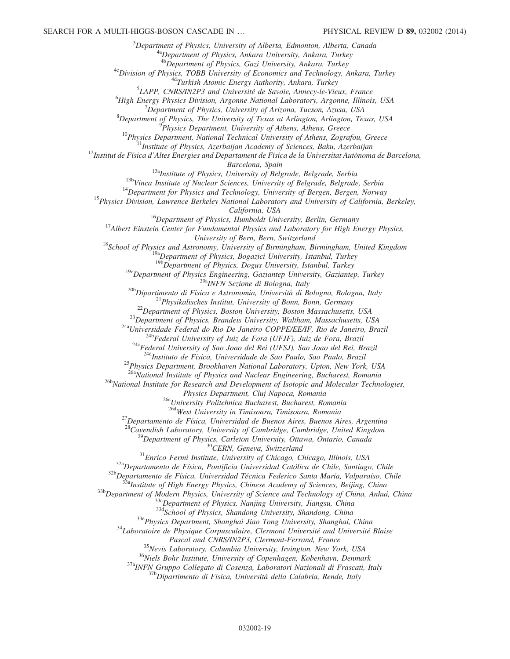<sup>3</sup>Department of Physics, University of Alberta, Edmonton, Alberta, Canada<br><sup>4a</sup>Department of Physics, Ankara University, Ankara, Turkey <sup>4b</sup>Department of Physics, Gazi University, Ankara, Turkey<br><sup>4c</sup>Division of Physics, TOBB University of Economics and Technology, Ankara, Turkey<br><sup>4d</sup>Turkish Atomic Energy Authority, Ankara, Turkey <sup>5</sup>LAPP, CNRS/IN2P3 and Université de Savoie, Annecy-le-Vieux, France  ${}^{6}$ High Energy Physics Division, Argonne National Laboratory, Argonne, Illinois, USA  $10^{7}$ Department of Physics, University of Arizona, Tucson, Azusa, USA <sup>8</sup>Department of Physics, The University of Texas at Arlington, Arlington, Texas, USA<br><sup>9</sup>Physics Department, University of Athens, Athens, Greece <sup>10</sup>Physics Department, National Technical University of Athens, Zografou, Greece<br><sup>11</sup>Institute of Physics, Azerbaijan Academy of Sciences, Baku, Azerbaijan<br><sup>12</sup>Institut de Física d'Altes Energies and Departament de Físic Barcelona, Spain<br><sup>13b</sup>Vinca Institute of Physics, University of Belgrade, Belgrade, Serbia<br><sup>13b</sup>Vinca Institute of Nuclear Sciences, University of Belgrade, Belgrade, Serbia<br><sup>14</sup>Department for Physics and Technology, Unive California, USA<br><sup>16</sup>Department of Physics, Humboldt University, Berlin, Germany<br><sup>17</sup>Albert Einstein Center for Fundamental Physics and Laboratory for High Energy Physics,<br>University of Bern, Bern, Switzerland <sup>18</sup>School of Physics and Astronomy, University of Birmingham, Birmingham, United Kingdom<br><sup>19a</sup>Department of Physics, Bogazici University, Istanbul, Turkey<br><sup>19b</sup>Department of Physics, Dogus University, Istanbul, Turkey <sup>19c</sup>Department of Physics Engineering, Gaziantep University, Gaziantep, Turkey<br><sup>20b</sup>Dipartimento di Fisica e Astronomia, Università di Bologna, Bologna, Italy<br><sup>21</sup>Physikalisches Institut, University of Bonn, Bonn, German <sup>25</sup>Physics Department, Brookhaven National Laboratory, Upton, New York, USA<br><sup>26a</sup>National Institute of Physics and Nuclear Engineering, Bucharest, Romania  $^{26b}$ National Institute for Research and Development of Isotopic and Molecular Technologies,<br>Physics Department, Cluj Napoca, Romania <sup>26c</sup>University Politehnica Bucharest, Bucharest, Romania<br><sup>26d</sup>West University in Timisoara, Timisoara, Romania <sup>27</sup>Departamento de Física, Universidad de Buenos Aires, Buenos Aires, Argentina <sup>28</sup>Cavendish Laboratory, University of Cambridge, Cambridge, United Kingdom <sup>28</sup>Cavendish Laboratory, University of Cambridge, Cambridge, United Kingdom<br><sup>29</sup>Department of Physics, Carleton University, Ottawa, Ontario, Canada<br><sup>30</sup>CERN, Geneva, Switzerland<br><sup>31</sup>Enrico Fermi Institute, University of Pascal and CNRS/IN2P3, Clermont-Ferrand, France<br><sup>35</sup>Nevis Laboratory, Columbia University, Irvington, New York, USA<br><sup>36</sup>Niels Bohr Institute, University of Copenhagen, Kobenhavn, Denmark<br><sup>37a</sup>INFN Gruppo Collegato di Cosen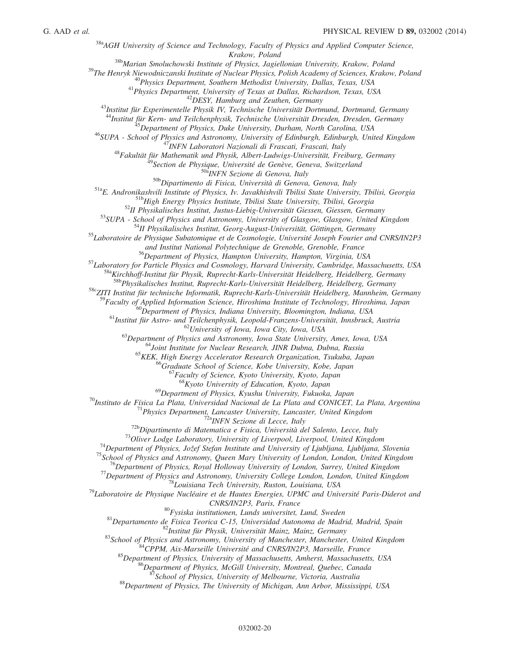$38a$ <sub>384</sub>GH University of Science and Technology, Faculty of Physics and Applied Computer Science, <sup>38b</sup>Marian Smoluchowski Institute of Physics, Jagiellonian University, Krakow, Poland<br><sup>39</sup>The Henryk Niewodniczanski Institute of Nuclear Physics, Polish Academy of Sciences, Krakow, Poland<br><sup>40</sup>Physics Department, Souther  $\begin{array}{r} \begin{array}{r} \begin{array}{r} \text{44-1} \end{array} \end{array} \begin{array}{r} \begin{array}{r} \text{45-1} \end{array} \end{array} \begin{array}{r} \begin{array}{r} \text{46-1} \end{array} \end{array} \begin{array}{r} \begin{array}{r} \text{48-1} \end{array} \end{array} \begin{array}{r} \text{49-1} \end{array} \begin{array}{r} \text{40-1} \end{array} \begin{array}{r} \text{40-1} \end{array} \begin{array}{r} \text{41-1} \end{array} \begin{array}{$ Solution Constraint Constraint Constraint Pure Times Hampton, Virginia, USA<br><sup>57</sup> Laboratory for Particle Physics and Cosmology, Harvard University, Cambridge, Massachusetts, USA<br><sup>588</sup> Kirchhoff-Institut für Physik, Ruprech <sup>58c</sup>ZITI Institut für technische Informatik, Ruprecht-Karls-Universität Heidelberg, Mannheim, Germany <sup>59</sup>Faculty of Applied Information Science, Hiroshima Institute of Technology, Hiroshima, Japan <sup>60</sup>Department of Physics, Indiana University, Bloomington, Indiana, USA<br><sup>61</sup>Institut für Astro- und Teilchenphysik, Leopold-Franzens-Universität, Innsbruck, Austria<br><sup>62</sup>University of Iowa, Iowa City, Iowa, USA<br><sup>63</sup>Depart  $^{68}$ Kyoto University of Education, Kyoto, Japan<br> $^{69}$ Department of Physics, Kyushu University, Fukuoka, Japan <sup>69</sup>Department of Physics, Kyushu University, Fukuoka, Japan<br><sup>70</sup>Instituto de Física La Plata, Universidad Nacional de La Plata and CONICET, La Plata, Argentina<br><sup>71</sup>Physics Department, Lancaster University, Lancaster, Uni

 $^{80}F$ ysiska institutionen, Lunds universitet, Lund, Sweden<br>  $^{81}Departamento$  de Fisica Teorica C-15, Universitat Autonoma de Madrid, Madrid, Spain<br>  $^{82}T$ Institut für Physik, Universität Mainz, Mainz, Germany<br>  $^{83}School$  of Ph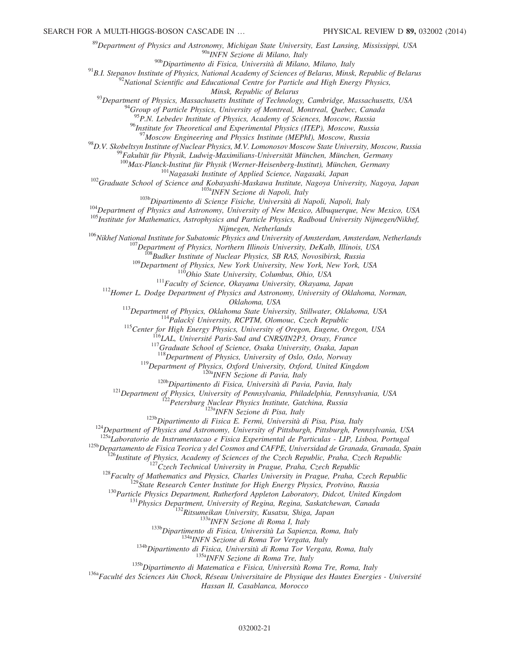<sup>89</sup>Department of Physics and Astronomy, Michigan State University, East Lansing, Mississippi, USA<br><sup>90a</sup>INFN Sezione di Milano, Italy<br><sup>90b</sup>Dipartimento di Fisica, Università di Milano, Milano, Italy

<sup>91</sup>B.I. Stepanov Institute of Physics, National Academy of Sciences of Belarus, Minsk, Republic of Belarus<br><sup>92</sup>National Scientific and Educational Centre for Particle and High Energy Physics,

Minsk, Republic of Belarus<br><sup>93</sup>Department of Physics, Massachusetts Institute of Technology, Cambridge, Massachusetts, USA<br><sup>94</sup>Group of Particle Physics, University of Montreal, Montreal, Quebec, Canada

 $^{95}P.N.$  Lebedev Institute of Physics, Academy of Sciences, Moscow, Russia

<sup>96</sup>Institute for Theoretical and Experimental Physics (ITEP), Moscow, Russia<br><sup>97</sup>Moscow Engineering and Physics Institute (MEPhI), Moscow, Russia

<sup>98</sup>D.V. Skobeltsyn Institute of Nuclear Physics, M.V. Lomonosov Moscow State University, Moscow, Russia<br><sup>99</sup>Fakultät für Physik, Ludwig-Maximilians-Universität München, München, Germany<sup>100</sup>Max-Planck-Institut für Physik

<sup>102</sup>Graduate School of Science and Kobayashi-Maskawa Institute, Nagasaki, Japan<br><sup>102</sup>Graduate School of Science and Kobayashi-Maskawa Institute, Nagoya University, Nagoya, Japan<br><sup>103b</sup>Dipartimento di Scienze Fisiche, Uni

<sup>106</sup>Nikhef National Institute for Subatomic Physics and University of Amsterdam, Amsterdam, Netherlands<br><sup>107</sup>Department of Physics, Northern Illinois University, DeKalb, Illinois, USA<br><sup>108</sup>Budker Institute of Nuclear Phy

Oklahoma, USA<br>
<sup>113</sup>Department of Physics, Oklahoma State University, Stillwater, Oklahoma, USA<br>
<sup>114</sup>Palacký University, RCPTM, Olomouc, Czech Republic<br>
<sup>115</sup>Center for High Energy Physics, University of Oregon, Eugene, O

<sup>119</sup>Department of Physics, Oxford University, Oxford, United Kingdom<br><sup>120b</sup>Dipartment of Physics, Oxford University, Oxford, United Kingdom<br><sup>120b</sup>Dipartment of Fisica, Università di Pavia, Pavia, Italy<br><sup>121</sup>Department of

 $\begin{array}{r}\n\text{L25b} \text{Departamento de Física Terorica} & \text{L25b} \text{Departamento de Física Ferica} & \text{L25b} \text{Departamento de Física Ferica} & \text{L25c} \text{do } \text{Smos and CAFPE, Universal de Granda, Granda, Signal, Granda, Spain} \\
\text{L25c} \text{Institute of Physics, Academy of Sciences of the Czech Republic, Praha, Czech Republic} \\
\text{L27czech Technical University in Prague, Praha, Czech Republic} \\
\text{L28 Facully of Mathematical University in Prague, Praha, Czech Republic} \\
\text{L29 State Research Center Institute for High Energy Physics, Prothino, Russia} \\
\text{L39 Particle Physics Department,$ 

Hassan II, Casablanca, Morocco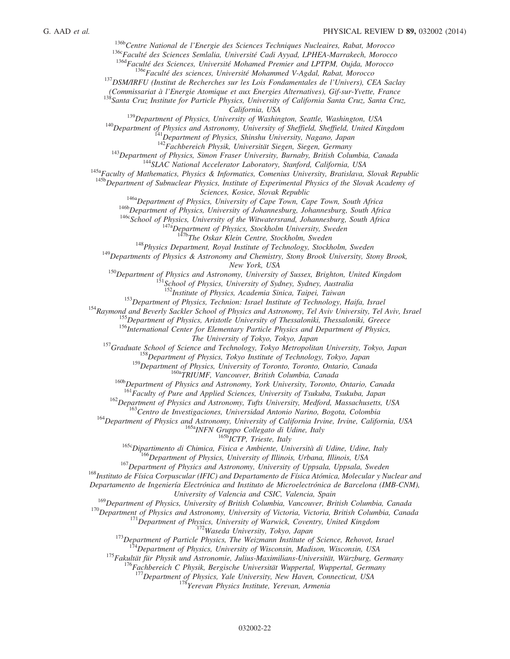<sup>1366</sup>Centre National de l'Energie des Sciences Techniques Nucleaires, Rabat, Morocco<br><sup>1366</sup>Faculté des Sciences Semlalia, Université Cadi Ayyad, LPHEA-Marrakech, Morocco<br><sup>136d</sup>Faculté des Sciences, Université Mohamed Pre

(Commissariat à l'Energie Atomique et aux Energies Alternatives), Gif-sur-Yvette, France <sup>138</sup>Santa Cruz Institute for Particle Physics, University of California Santa Cruz, Santa Cruz,

California, USA<br>
<sup>139</sup>Department of Physics, University of Washington, Seattle, Washington, USA<br>
<sup>140</sup>Department of Physics and Astronomy, University of Sheffield, Sheffield, United Kingdom<br>
<sup>141</sup>Department of Physics, Shi

<sup>143</sup>Department of Physics, Simon Fraser University, Burnaby, British Columbia, Canada<br><sup>144</sup>SLAC National Accelerator Laboratory, Stanford, California, USA<br><sup>145a</sup>Faculty of Mathematics, Physics & Informatics, Comenius Uni

<sup>146a</sup>Department of Physics, University of Cape Town, Cape Town, South Africa<br><sup>146b</sup>Department of Physics, University of Johannesburg, Johannesburg, South Africa<br><sup>146c</sup>School of Physics, University of the Witwatersrand, J

<sup>148</sup>Physics Department, Royal Institute of Technology, Stockholm, Sweden <sup>149</sup>Departments of Physics & Astronomy and Chemistry, Stony Brook University, Stony Brook,

New York, USA<br><sup>150</sup>Department of Physics and Astronomy, University of Sussex, Brighton, United Kingdom<br><sup>151</sup>School of Physics, University of Sydney, Sydney, Australia<br><sup>152</sup>Institute of Physics, Academia Sinica, Taipei, Tai

<sup>154</sup><br>Raymond and Beverly Sackler School of Physics and Astronomy, Tel Aviv University, Tel Aviv, Israel<br><sup>155</sup> Department of Physics, Aristotle University of Thessaloniki, Thessaloniki, Greece<br><sup>155</sup> Department of Physics,

<sup>157</sup>Graduate School of Science and Technology, Tokyo Metropolitan University, Tokyo, Japan <sup>158</sup>Department of Physics, Tokyo Institute of Technology, Tokyo, Japan <sup>159</sup>Department of Physics, University of Toronto, Toront

<sup>160b</sup>Department of Physics and Astronomy, York University, Toronto, Ontario, Canada<br><sup>161</sup>Faculty of Pure and Applied Sciences, University of Tsukuba, Tsukuba, Japan

<sup>162</sup>Department of Physics and Astronomy, Tufts University, Medford, Massachusetts, USA<br><sup>163</sup>Centro de Investigaciones, Universidad Antonio Narino, Bogota, Colombia<br><sup>164</sup>Department of Physics and Astronomy, University of

Departamento de Ingeniería Electrónica and Instituto de Microelectrónica de Barcelona (IMB-CNM),

University of Valencia and CSIC, Valencia, Spain<br><sup>169</sup>Department of Physics, University of British Columbia, Vancouver, British Columbia, Canada

<sup>170</sup>Department of Physics and Astronomy, University of Victoria, Victoria, British Columbia, Canada<br><sup>171</sup>Department of Physics, University of Warwick, Coventry, United Kingdom<br><sup>172</sup>Department of Particle Physics, The Wei

<sup>177</sup>Department of Physics, Yale University, New Haven, Connecticut, USA  $^{178}$ Yerevan Physics Institute, Yerevan, Armenia